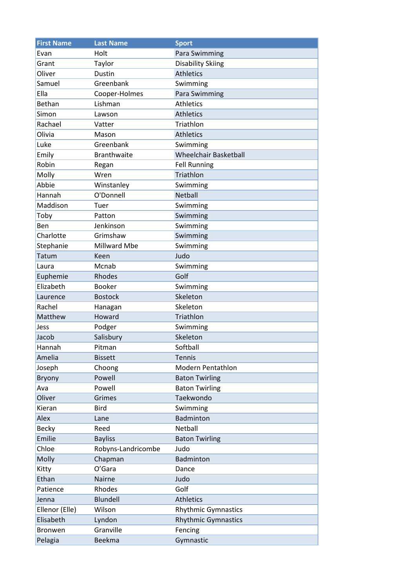| <b>First Name</b> | <b>Last Name</b>   | <b>Sport</b>                 |
|-------------------|--------------------|------------------------------|
| Fvan              | Holt               | Para Swimming                |
| Grant             | Taylor             | <b>Disability Skiing</b>     |
| Oliver            | <b>Dustin</b>      | <b>Athletics</b>             |
| Samuel            | Greenbank          | Swimming                     |
| Ella              | Cooper-Holmes      | Para Swimming                |
| Bethan            | Lishman            | <b>Athletics</b>             |
| Simon             | Lawson             | <b>Athletics</b>             |
| Rachael           | Vatter             | Triathlon                    |
| Olivia            | Mason              | <b>Athletics</b>             |
| Luke              | Greenbank          | Swimming                     |
| Emily             | <b>Branthwaite</b> | <b>Wheelchair Basketball</b> |
| Robin             | Regan              | <b>Fell Running</b>          |
| Molly             | Wren               | Triathlon                    |
| Abbie             | Winstanley         | Swimming                     |
| Hannah            | O'Donnell          | <b>Netball</b>               |
| Maddison          | Tuer               | Swimming                     |
| Toby              | Patton             | Swimming                     |
| Ben               | Jenkinson          | Swimming                     |
| Charlotte         | Grimshaw           | Swimming                     |
| Stephanie         | Millward Mbe       | Swimming                     |
| Tatum             | Keen               | Judo                         |
| Laura             | Mcnab              | Swimming                     |
| Euphemie          | Rhodes             | Golf                         |
| Elizabeth         | <b>Booker</b>      | Swimming                     |
| Laurence          | <b>Bostock</b>     | Skeleton                     |
| Rachel            | Hanagan            | Skeleton                     |
| Matthew           | Howard             | Triathlon                    |
| Jess              | Podger             | Swimming                     |
| Jacob             | Salisbury          | Skeleton                     |
| Hannah            | Pitman             | Softball                     |
| Amelia            | <b>Bissett</b>     | <b>Tennis</b>                |
| Joseph            | Choong             | Modern Pentathlon            |
| Bryony            | Powell             | <b>Baton Twirling</b>        |
| Ava               | Powell             | <b>Baton Twirling</b>        |
| Oliver            | Grimes             | Taekwondo                    |
| Kieran            | <b>Bird</b>        | Swimming                     |
| Alex              | Lane               | Badminton                    |
| <b>Becky</b>      | Reed               | Netball                      |
| Emilie            | <b>Bayliss</b>     | <b>Baton Twirling</b>        |
| Chloe             | Robyns-Landricombe | Judo                         |
| Molly             | Chapman            | Badminton                    |
| Kitty             | O'Gara             | Dance                        |
| Ethan             | Nairne             | Judo                         |
| Patience          | Rhodes             | Golf                         |
| Jenna             | Blundell           | <b>Athletics</b>             |
| Ellenor (Elle)    | Wilson             | <b>Rhythmic Gymnastics</b>   |
| Elisabeth         | Lyndon             | <b>Rhythmic Gymnastics</b>   |
| <b>Bronwen</b>    | Granville          | Fencing                      |
| Pelagia           | Beekma             | Gymnastic                    |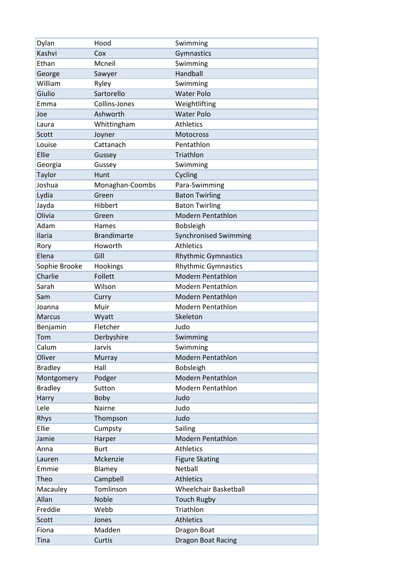| Dylan          | Hood               | Swimming                     |
|----------------|--------------------|------------------------------|
| Kashvi         | Cox                | Gymnastics                   |
| Ethan          | Mcneil             | Swimming                     |
| George         | Sawyer             | Handball                     |
| William        | Ryley              | Swimming                     |
| Giulio         | Sartorello         | <b>Water Polo</b>            |
| Emma           | Collins-Jones      | Weightlifting                |
| Joe            | Ashworth           | <b>Water Polo</b>            |
| Laura          | Whittingham        | <b>Athletics</b>             |
| Scott          | Joyner             | <b>Motocross</b>             |
| Louise         | Cattanach          | Pentathlon                   |
| Ellie          | Gussey             | Triathlon                    |
| Georgia        | Gussey             | Swimming                     |
| Taylor         | Hunt               | Cycling                      |
| Joshua         | Monaghan-Coombs    | Para-Swimming                |
| Lydia          | Green              | <b>Baton Twirling</b>        |
| Jayda          | Hibbert            | <b>Baton Twirling</b>        |
| Olivia         | Green              | <b>Modern Pentathlon</b>     |
| Adam           | Hames              | Bobsleigh                    |
| Ilaria         | <b>Brandimarte</b> | <b>Synchronised Swimming</b> |
| Rory           | Howorth            | <b>Athletics</b>             |
| Elena          | Gill               | <b>Rhythmic Gymnastics</b>   |
| Sophie Brooke  | Hookings           | <b>Rhythmic Gymnastics</b>   |
| Charlie        | Follett            | <b>Modern Pentathlon</b>     |
| Sarah          | Wilson             | Modern Pentathlon            |
| Sam            | Curry              | <b>Modern Pentathlon</b>     |
| Joanna         | Muir               | <b>Modern Pentathlon</b>     |
| <b>Marcus</b>  | Wyatt              | Skeleton                     |
| Benjamin       | Fletcher           | Judo                         |
| Tom            | Derbyshire         | Swimming                     |
| Calum          | Jarvis             | Swimming                     |
| Oliver         | Murray             | <b>Modern Pentathlon</b>     |
| <b>Bradley</b> | Hall               | Bobsleigh                    |
| Montgomery     | Podger             | <b>Modern Pentathlon</b>     |
| <b>Bradley</b> | Sutton             | Modern Pentathlon            |
| Harry          | Boby               | Judo                         |
| Lele           | Nairne             | Judo                         |
| Rhys           | Thompson           | Judo                         |
| Ellie          | Cumpsty            | Sailing                      |
| Jamie          | Harper             | <b>Modern Pentathlon</b>     |
| Anna           | <b>Burt</b>        | <b>Athletics</b>             |
| Lauren         | Mckenzie           | <b>Figure Skating</b>        |
| Emmie          | Blamey             | Netball                      |
| Theo           | Campbell           | <b>Athletics</b>             |
| Macauley       | Tomlinson          | <b>Wheelchair Basketball</b> |
| Allan          | Noble              | <b>Touch Rugby</b>           |
| Freddie        | Webb               | Triathlon                    |
| Scott          | Jones              | <b>Athletics</b>             |
| Fiona          | Madden             | Dragon Boat                  |
| Tina           | Curtis             | Dragon Boat Racing           |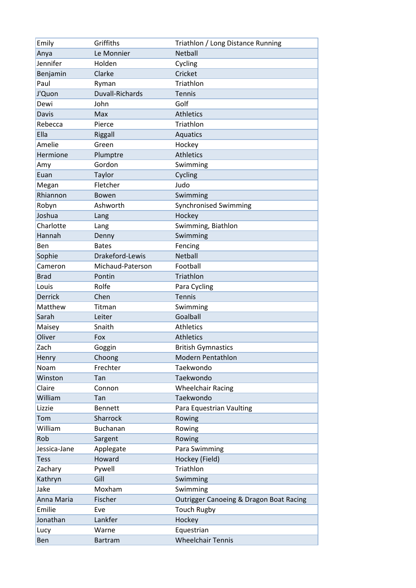| Emily          | Griffiths        | Triathlon / Long Distance Running       |
|----------------|------------------|-----------------------------------------|
| Anya           | Le Monnier       | Netball                                 |
| Jennifer       | Holden           | Cycling                                 |
| Benjamin       | Clarke           | Cricket                                 |
| Paul           | Ryman            | Triathlon                               |
| J'Quon         | Duvall-Richards  | <b>Tennis</b>                           |
| Dewi           | John             | Golf                                    |
| <b>Davis</b>   | Max              | <b>Athletics</b>                        |
| Rebecca        | Pierce           | Triathlon                               |
| Ella           | Riggall          | <b>Aquatics</b>                         |
| Amelie         | Green            | Hockey                                  |
| Hermione       | Plumptre         | <b>Athletics</b>                        |
| Amy            | Gordon           | Swimming                                |
| Euan           | Taylor           | Cycling                                 |
| Megan          | Fletcher         | Judo                                    |
| Rhiannon       | Bowen            | Swimming                                |
| Robyn          | Ashworth         | <b>Synchronised Swimming</b>            |
| Joshua         | Lang             | Hockey                                  |
| Charlotte      | Lang             | Swimming, Biathlon                      |
| Hannah         | Denny            | Swimming                                |
| Ben            | <b>Bates</b>     | Fencing                                 |
| Sophie         | Drakeford-Lewis  | Netball                                 |
| Cameron        | Michaud-Paterson | Football                                |
| <b>Brad</b>    | Pontin           | Triathlon                               |
| Louis          | Rolfe            | Para Cycling                            |
| <b>Derrick</b> | Chen             | Tennis                                  |
| Matthew        | Titman           | Swimming                                |
| Sarah          | Leiter           | Goalball                                |
| Maisey         | Snaith           | <b>Athletics</b>                        |
| Oliver         | Fox              | <b>Athletics</b>                        |
| Zach           | Goggin           | <b>British Gymnastics</b>               |
| Henry          | Choong           | <b>Modern Pentathlon</b>                |
| Noam           | Frechter         | Taekwondo                               |
| Winston        | Tan              | Taekwondo                               |
| Claire         | Connon           | <b>Wheelchair Racing</b>                |
| William        | Tan              | Taekwondo                               |
| Lizzie         | <b>Bennett</b>   | Para Equestrian Vaulting                |
| Tom            | Sharrock         | Rowing                                  |
| William        | <b>Buchanan</b>  | Rowing                                  |
| Rob            | Sargent          | Rowing                                  |
| Jessica-Jane   | Applegate        | Para Swimming                           |
| <b>Tess</b>    | Howard           | Hockey (Field)                          |
| Zachary        | Pywell           | Triathlon                               |
| Kathryn        | Gill             | Swimming                                |
| Jake           | Moxham           | Swimming                                |
| Anna Maria     | Fischer          | Outrigger Canoeing & Dragon Boat Racing |
| Emilie         | Eve              | <b>Touch Rugby</b>                      |
| Jonathan       | Lankfer          | Hockey                                  |
| Lucy           | Warne            | Equestrian                              |
| Ben            | <b>Bartram</b>   | <b>Wheelchair Tennis</b>                |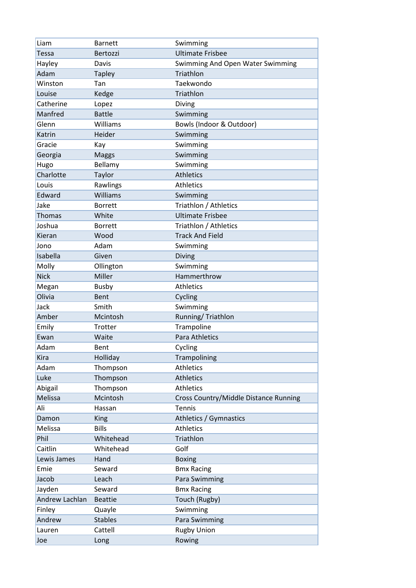| Liam           | <b>Barnett</b> | Swimming                              |
|----------------|----------------|---------------------------------------|
| <b>Tessa</b>   | Bertozzi       | <b>Ultimate Frisbee</b>               |
| Hayley         | Davis          | Swimming And Open Water Swimming      |
| Adam           | <b>Tapley</b>  | Triathlon                             |
| Winston        | Tan            | Taekwondo                             |
| Louise         | Kedge          | Triathlon                             |
| Catherine      | Lopez          | Diving                                |
| Manfred        | <b>Battle</b>  | Swimming                              |
| Glenn          | Williams       | Bowls (Indoor & Outdoor)              |
| Katrin         | Heider         | Swimming                              |
| Gracie         | Kay            | Swimming                              |
| Georgia        | <b>Maggs</b>   | Swimming                              |
| Hugo           | Bellamy        | Swimming                              |
| Charlotte      | Taylor         | <b>Athletics</b>                      |
| Louis          | Rawlings       | <b>Athletics</b>                      |
| Edward         | Williams       | Swimming                              |
| Jake           | <b>Borrett</b> | Triathlon / Athletics                 |
| <b>Thomas</b>  | White          | <b>Ultimate Frisbee</b>               |
| Joshua         | <b>Borrett</b> | Triathlon / Athletics                 |
| Kieran         | Wood           | <b>Track And Field</b>                |
| Jono           | Adam           | Swimming                              |
| Isabella       | Given          | Diving                                |
| Molly          | Ollington      | Swimming                              |
| <b>Nick</b>    | Miller         | Hammerthrow                           |
| Megan          | <b>Busby</b>   | <b>Athletics</b>                      |
| Olivia         | Bent           | Cycling                               |
| Jack           | Smith          | Swimming                              |
| Amber          | Mcintosh       | Running/Triathlon                     |
| Emily          | Trotter        | Trampoline                            |
| Ewan           | Waite          | <b>Para Athletics</b>                 |
| Adam           | Bent           | Cycling                               |
| Kira           | Holliday       | Trampolining                          |
| Adam           | Thompson       | <b>Athletics</b>                      |
| Luke           | Thompson       | <b>Athletics</b>                      |
| Abigail        | Thompson       | <b>Athletics</b>                      |
| Melissa        | Mcintosh       | Cross Country/Middle Distance Running |
| Ali            | Hassan         | <b>Tennis</b>                         |
| Damon          | <b>King</b>    | Athletics / Gymnastics                |
| Melissa        | <b>Bills</b>   | <b>Athletics</b>                      |
| Phil           | Whitehead      | Triathlon                             |
| Caitlin        | Whitehead      | Golf                                  |
| Lewis James    | Hand           | <b>Boxing</b>                         |
| Emie           | Seward         | <b>Bmx Racing</b>                     |
| Jacob          | Leach          | Para Swimming                         |
| Jayden         | Seward         | <b>Bmx Racing</b>                     |
| Andrew Lachlan | <b>Beattie</b> | Touch (Rugby)                         |
| Finley         | Quayle         | Swimming                              |
| Andrew         | <b>Stables</b> | Para Swimming                         |
| Lauren         | Cattell        | <b>Rugby Union</b>                    |
| Joe            | Long           | Rowing                                |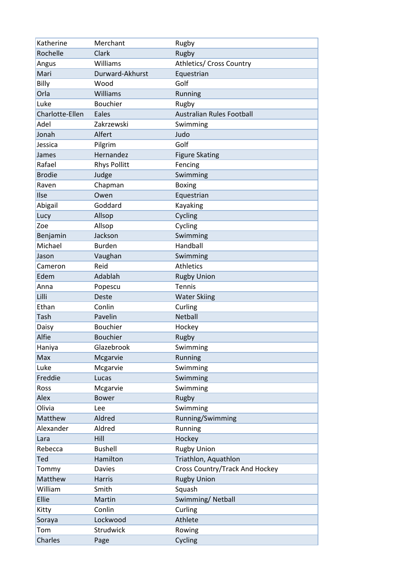| Katherine       | Merchant            | Rugby                            |
|-----------------|---------------------|----------------------------------|
| Rochelle        | Clark               | Rugby                            |
| Angus           | Williams            | Athletics/ Cross Country         |
| Mari            | Durward-Akhurst     | Equestrian                       |
| Billy           | Wood                | Golf                             |
| Orla            | Williams            | Running                          |
| Luke            | <b>Bouchier</b>     | Rugby                            |
| Charlotte-Ellen | Eales               | <b>Australian Rules Football</b> |
| Adel            | Zakrzewski          | Swimming                         |
| Jonah           | Alfert              | Judo                             |
| Jessica         | Pilgrim             | Golf                             |
| James           | Hernandez           | <b>Figure Skating</b>            |
| Rafael          | <b>Rhys Pollitt</b> | Fencing                          |
| <b>Brodie</b>   | Judge               | Swimming                         |
| Raven           | Chapman             | <b>Boxing</b>                    |
| Ilse            | Owen                | Equestrian                       |
| Abigail         | Goddard             | Kayaking                         |
| Lucy            | Allsop              | Cycling                          |
| Zoe             | Allsop              | Cycling                          |
| Benjamin        | Jackson             | Swimming                         |
| Michael         | <b>Burden</b>       | Handball                         |
| Jason           | Vaughan             | Swimming                         |
| Cameron         | Reid                | <b>Athletics</b>                 |
| Edem            | Adablah             | <b>Rugby Union</b>               |
| Anna            | Popescu             | <b>Tennis</b>                    |
| Lilli           | Deste               | <b>Water Skiing</b>              |
| Ethan           | Conlin              | Curling                          |
| Tash            | Pavelin             | Netball                          |
| Daisy           | <b>Bouchier</b>     | Hockey                           |
| Alfie           | <b>Bouchier</b>     | Rugby                            |
| Haniya          | Glazebrook          | Swimming                         |
| Max             | Mcgarvie            | Running                          |
| Luke            | Mcgarvie            | Swimming                         |
| Freddie         | Lucas               | Swimming                         |
| Ross            | Mcgarvie            | Swimming                         |
| Alex            | <b>Bower</b>        | Rugby                            |
| Olivia          | Lee                 | Swimming                         |
| Matthew         | Aldred              | Running/Swimming                 |
| Alexander       | Aldred              | Running                          |
| Lara            | Hill                | Hockey                           |
| Rebecca         | <b>Bushell</b>      | <b>Rugby Union</b>               |
| Ted             | Hamilton            | Triathlon, Aquathlon             |
| Tommy           | <b>Davies</b>       | Cross Country/Track And Hockey   |
| Matthew         | Harris              | <b>Rugby Union</b>               |
| William         | Smith               | Squash                           |
| Ellie           | Martin              | Swimming/Netball                 |
| Kitty           | Conlin              | Curling                          |
| Soraya          | Lockwood            | Athlete                          |
| Tom             | Strudwick           | Rowing                           |
| Charles         | Page                | Cycling                          |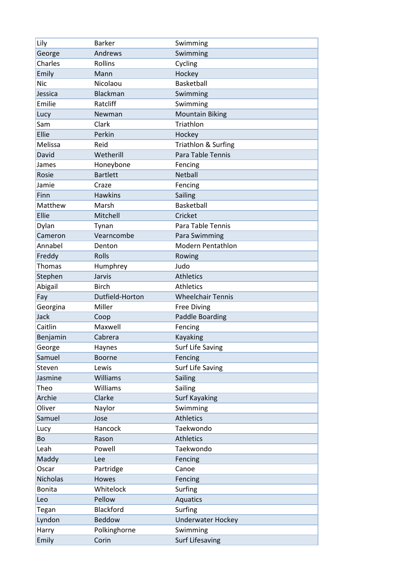| Lily            | <b>Barker</b>    | Swimming                 |
|-----------------|------------------|--------------------------|
| George          | Andrews          | Swimming                 |
| Charles         | Rollins          | Cycling                  |
| Emily           | Mann             | Hockey                   |
| <b>Nic</b>      | Nicolaou         | Basketball               |
| Jessica         | <b>Blackman</b>  | Swimming                 |
| Emilie          | Ratcliff         | Swimming                 |
| Lucy            | Newman           | <b>Mountain Biking</b>   |
| Sam             | Clark            | Triathlon                |
| Ellie           | Perkin           | Hockey                   |
| Melissa         | Reid             | Triathlon & Surfing      |
| David           | Wetherill        | Para Table Tennis        |
| James           | Honeybone        | Fencing                  |
| Rosie           | <b>Bartlett</b>  | <b>Netball</b>           |
| Jamie           | Craze            | Fencing                  |
| Finn            | <b>Hawkins</b>   | Sailing                  |
| Matthew         | Marsh            | Basketball               |
| Ellie           | Mitchell         | Cricket                  |
| Dylan           | Tynan            | Para Table Tennis        |
| Cameron         | Vearncombe       | Para Swimming            |
| Annabel         | Denton           | <b>Modern Pentathlon</b> |
| Freddy          | Rolls            | Rowing                   |
| Thomas          | Humphrey         | Judo                     |
| Stephen         | Jarvis           | <b>Athletics</b>         |
| Abigail         | <b>Birch</b>     | <b>Athletics</b>         |
|                 |                  |                          |
| Fay             | Dutfield-Horton  | <b>Wheelchair Tennis</b> |
| Georgina        | Miller           | <b>Free Diving</b>       |
| Jack            | Coop             | <b>Paddle Boarding</b>   |
| Caitlin         | Maxwell          | Fencing                  |
| Benjamin        | Cabrera          | Kayaking                 |
| George          | Haynes           | <b>Surf Life Saving</b>  |
| Samuel          | <b>Boorne</b>    | Fencing                  |
| Steven          | Lewis            | Surf Life Saving         |
| Jasmine         | Williams         | Sailing                  |
| Theo            | Williams         | Sailing                  |
| Archie          | Clarke           | <b>Surf Kayaking</b>     |
| Oliver          | Naylor           | Swimming                 |
| Samuel          | Jose             | <b>Athletics</b>         |
| Lucy            | Hancock          | Taekwondo                |
| Bo              | Rason            | <b>Athletics</b>         |
| Leah            | Powell           | Taekwondo                |
| Maddy           | Lee              | Fencing                  |
| Oscar           | Partridge        | Canoe                    |
| <b>Nicholas</b> | Howes            | Fencing                  |
| <b>Bonita</b>   | Whitelock        | Surfing                  |
| Leo             | Pellow           | Aquatics                 |
| Tegan           | <b>Blackford</b> | Surfing                  |
| Lyndon          | Beddow           | <b>Underwater Hockey</b> |
| Harry           | Polkinghorne     | Swimming                 |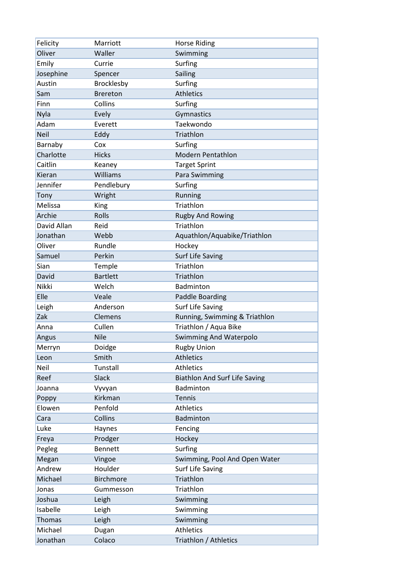| Felicity      | Marriott          | <b>Horse Riding</b>                  |
|---------------|-------------------|--------------------------------------|
| Oliver        | Waller            | Swimming                             |
| Emily         | Currie            | Surfing                              |
| Josephine     | Spencer           | Sailing                              |
| Austin        | <b>Brocklesby</b> | Surfing                              |
| Sam           | <b>Brereton</b>   | <b>Athletics</b>                     |
| Finn          | Collins           | Surfing                              |
| Nyla          | Evely             | Gymnastics                           |
| Adam          | Everett           | Taekwondo                            |
| <b>Neil</b>   | Eddy              | Triathlon                            |
| Barnaby       | Cox               | Surfing                              |
| Charlotte     | <b>Hicks</b>      | <b>Modern Pentathlon</b>             |
| Caitlin       | Keaney            | <b>Target Sprint</b>                 |
| Kieran        | Williams          | Para Swimming                        |
| Jennifer      | Pendlebury        | Surfing                              |
| Tony          | Wright            | Running                              |
| Melissa       | King              | Triathlon                            |
| Archie        | Rolls             | <b>Rugby And Rowing</b>              |
| David Allan   | Reid              | Triathlon                            |
| Jonathan      | Webb              | Aquathlon/Aquabike/Triathlon         |
| Oliver        | Rundle            | Hockey                               |
| Samuel        | Perkin            | <b>Surf Life Saving</b>              |
| Sian          | Temple            | Triathlon                            |
| David         | <b>Bartlett</b>   | Triathlon                            |
| Nikki         | Welch             | Badminton                            |
| Elle          | Veale             | <b>Paddle Boarding</b>               |
| Leigh         | Anderson          | <b>Surf Life Saving</b>              |
| Zak           | Clemens           | Running, Swimming & Triathlon        |
| Anna          | Cullen            | Triathlon / Aqua Bike                |
| Angus         | <b>Nile</b>       | <b>Swimming And Waterpolo</b>        |
| Merryn        | Doidge            | <b>Rugby Union</b>                   |
| Leon          | Smith             | <b>Athletics</b>                     |
| Neil          | Tunstall          | <b>Athletics</b>                     |
| Reef          | Slack             | <b>Biathlon And Surf Life Saving</b> |
| Joanna        | Vyvyan            | Badminton                            |
| Poppy         | Kirkman           | <b>Tennis</b>                        |
| Elowen        | Penfold           | Athletics                            |
| Cara          | Collins           | Badminton                            |
| Luke          | Haynes            | Fencing                              |
| Freya         | Prodger           | Hockey                               |
| Pegleg        | <b>Bennett</b>    | Surfing                              |
| Megan         | Vingoe            | Swimming, Pool And Open Water        |
| Andrew        | Houlder           | <b>Surf Life Saving</b>              |
| Michael       | <b>Birchmore</b>  | Triathlon                            |
| Jonas         | Gummesson         | Triathlon                            |
| Joshua        | Leigh             | Swimming                             |
| Isabelle      | Leigh             | Swimming                             |
| <b>Thomas</b> | Leigh             | Swimming                             |
| Michael       | Dugan             | <b>Athletics</b>                     |
| Jonathan      | Colaco            | Triathlon / Athletics                |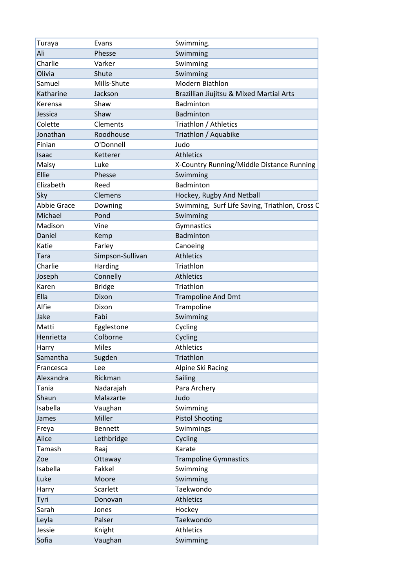| Turaya             | Evans            | Swimming.                                      |
|--------------------|------------------|------------------------------------------------|
| Ali                | Phesse           | Swimming                                       |
| Charlie            | Varker           | Swimming                                       |
| Olivia             | Shute            | Swimming                                       |
| Samuel             | Mills-Shute      | Modern Biathlon                                |
| Katharine          | Jackson          | Brazillian Jiujitsu & Mixed Martial Arts       |
| Kerensa            | Shaw             | Badminton                                      |
| Jessica            | Shaw             | Badminton                                      |
| Colette            | Clements         | Triathlon / Athletics                          |
| Jonathan           | Roodhouse        | Triathlon / Aquabike                           |
| Finian             | O'Donnell        | Judo                                           |
| Isaac              | Ketterer         | <b>Athletics</b>                               |
| Maisy              | Luke             | X-Country Running/Middle Distance Running      |
| Ellie              | Phesse           | Swimming                                       |
| Elizabeth          | Reed             | Badminton                                      |
| Sky                | Clemens          | Hockey, Rugby And Netball                      |
| <b>Abbie Grace</b> | Downing          | Swimming, Surf Life Saving, Triathlon, Cross C |
| Michael            | Pond             | Swimming                                       |
| Madison            | Vine             | Gymnastics                                     |
| Daniel             | Kemp             | <b>Badminton</b>                               |
| Katie              | Farley           | Canoeing                                       |
| Tara               | Simpson-Sullivan | <b>Athletics</b>                               |
| Charlie            | Harding          | Triathlon                                      |
| Joseph             | Connelly         | <b>Athletics</b>                               |
| Karen              | <b>Bridge</b>    | Triathlon                                      |
| Ella               | Dixon            | <b>Trampoline And Dmt</b>                      |
| Alfie              | Dixon            | Trampoline                                     |
| Jake               | Fabi             | Swimming                                       |
| Matti              | Egglestone       | Cycling                                        |
| Henrietta          | Colborne         | Cycling                                        |
| Harry              | <b>Miles</b>     | <b>Athletics</b>                               |
| Samantha           | Sugden           | Triathlon                                      |
| Francesca          | Lee              | Alpine Ski Racing                              |
| Alexandra          | Rickman          | Sailing                                        |
| Tania              | Nadarajah        | Para Archery                                   |
| Shaun              | Malazarte        | Judo                                           |
| Isabella           | Vaughan          | Swimming                                       |
| James              | Miller           | <b>Pistol Shooting</b>                         |
| Freya              | <b>Bennett</b>   | Swimmings                                      |
| Alice              | Lethbridge       | Cycling                                        |
| Tamash             | Raaj             | Karate                                         |
| Zoe                | Ottaway          | <b>Trampoline Gymnastics</b>                   |
| Isabella           | Fakkel           | Swimming                                       |
| Luke               | Moore            | Swimming                                       |
| Harry              | Scarlett         | Taekwondo                                      |
| Tyri               | Donovan          | <b>Athletics</b>                               |
| Sarah              | Jones            | Hockey                                         |
| Leyla              | Palser           | Taekwondo                                      |
| Jessie             | Knight           | <b>Athletics</b>                               |
| Sofia              | Vaughan          | Swimming                                       |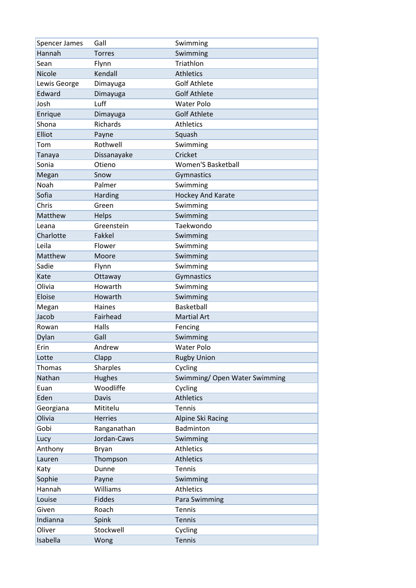| Spencer James | Gall            | Swimming                      |
|---------------|-----------------|-------------------------------|
| Hannah        | <b>Torres</b>   | Swimming                      |
| Sean          | Flynn           | Triathlon                     |
| <b>Nicole</b> | Kendall         | <b>Athletics</b>              |
| Lewis George  | Dimayuga        | <b>Golf Athlete</b>           |
| Edward        | Dimayuga        | <b>Golf Athlete</b>           |
| Josh          | Luff            | <b>Water Polo</b>             |
| Enrique       | Dimayuga        | <b>Golf Athlete</b>           |
| Shona         | <b>Richards</b> | <b>Athletics</b>              |
| Elliot        | Payne           | Squash                        |
| Tom           | Rothwell        | Swimming                      |
| Tanaya        | Dissanayake     | Cricket                       |
| Sonia         | Otieno          | <b>Women'S Basketball</b>     |
| Megan         | Snow            | Gymnastics                    |
| Noah          | Palmer          | Swimming                      |
| Sofia         | Harding         | Hockey And Karate             |
| Chris         | Green           | Swimming                      |
| Matthew       | Helps           | Swimming                      |
| Leana         | Greenstein      | Taekwondo                     |
| Charlotte     | Fakkel          | Swimming                      |
| Leila         | Flower          | Swimming                      |
| Matthew       | Moore           | Swimming                      |
| Sadie         | Flynn           | Swimming                      |
| Kate          | Ottaway         | Gymnastics                    |
| Olivia        | Howarth         | Swimming                      |
| Eloise        | Howarth         | Swimming                      |
| Megan         | Haines          | <b>Basketball</b>             |
| Jacob         | Fairhead        | <b>Martial Art</b>            |
| Rowan         | Halls           | Fencing                       |
| Dylan         | Gall            | Swimming                      |
| Erin          | Andrew          | <b>Water Polo</b>             |
| Lotte         | Clapp           | <b>Rugby Union</b>            |
| Thomas        | <b>Sharples</b> | Cycling                       |
| Nathan        | Hughes          | Swimming/ Open Water Swimming |
| Euan          | Woodliffe       | Cycling                       |
| Eden          | Davis           | <b>Athletics</b>              |
| Georgiana     | Mititelu        | <b>Tennis</b>                 |
| Olivia        | <b>Herries</b>  | Alpine Ski Racing             |
| Gobi          | Ranganathan     | <b>Badminton</b>              |
| Lucy          | Jordan-Caws     | Swimming                      |
| Anthony       | Bryan           | <b>Athletics</b>              |
| Lauren        | Thompson        | <b>Athletics</b>              |
| Katy          | Dunne           | Tennis                        |
| Sophie        | Payne           | Swimming                      |
| Hannah        | Williams        | <b>Athletics</b>              |
| Louise        | <b>Fiddes</b>   | Para Swimming                 |
| Given         | Roach           | <b>Tennis</b>                 |
| Indianna      | Spink           | <b>Tennis</b>                 |
| Oliver        | Stockwell       | Cycling                       |
| Isabella      | Wong            | Tennis                        |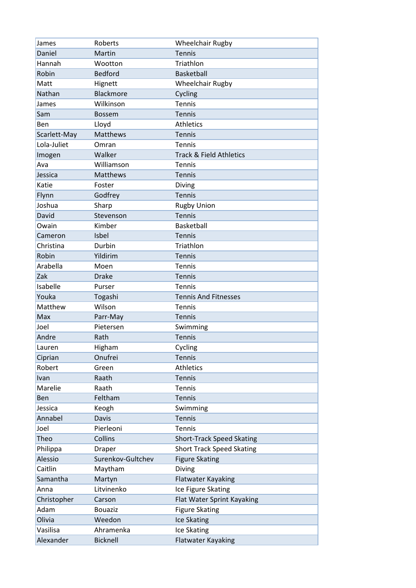| James        | Roberts           | <b>Wheelchair Rugby</b>          |
|--------------|-------------------|----------------------------------|
| Daniel       | Martin            | <b>Tennis</b>                    |
| Hannah       | Wootton           | Triathlon                        |
| Robin        | Bedford           | Basketball                       |
| Matt         | Hignett           | <b>Wheelchair Rugby</b>          |
| Nathan       | Blackmore         | Cycling                          |
| James        | Wilkinson         | Tennis                           |
| Sam          | <b>Bossem</b>     | <b>Tennis</b>                    |
| Ben          | Lloyd             | <b>Athletics</b>                 |
| Scarlett-May | Matthews          | Tennis                           |
| Lola-Juliet  | Omran             | Tennis                           |
| Imogen       | Walker            | Track & Field Athletics          |
| Ava          | Williamson        | Tennis                           |
| Jessica      | Matthews          | Tennis                           |
| Katie        | Foster            | Diving                           |
| Flynn        | Godfrey           | Tennis                           |
| Joshua       | Sharp             | <b>Rugby Union</b>               |
| David        | Stevenson         | Tennis                           |
| Owain        | Kimber            | Basketball                       |
| Cameron      | Isbel             | <b>Tennis</b>                    |
| Christina    | Durbin            | Triathlon                        |
| Robin        | Yildirim          | Tennis                           |
| Arabella     | Moen              | Tennis                           |
| Zak          | <b>Drake</b>      | <b>Tennis</b>                    |
| Isabelle     | Purser            | Tennis                           |
| Youka        | Togashi           | <b>Tennis And Fitnesses</b>      |
| Matthew      | Wilson            | Tennis                           |
| Max          | Parr-May          | Tennis                           |
| Joel         | Pietersen         | Swimming                         |
| Andre        | Rath              | <b>Tennis</b>                    |
| Lauren       | Higham            | Cycling                          |
| Ciprian      | Onufrei           | <b>Tennis</b>                    |
| Robert       | Green             | <b>Athletics</b>                 |
| Ivan         | Raath             | Tennis                           |
| Marelie      | Raath             | Tennis                           |
| Ben          | Feltham           | <b>Tennis</b>                    |
| Jessica      | Keogh             | Swimming                         |
| Annabel      | <b>Davis</b>      | <b>Tennis</b>                    |
| Joel         | Pierleoni         | <b>Tennis</b>                    |
| Theo         | Collins           | <b>Short-Track Speed Skating</b> |
| Philippa     | <b>Draper</b>     | <b>Short Track Speed Skating</b> |
| Alessio      | Surenkov-Gultchev | <b>Figure Skating</b>            |
| Caitlin      | Maytham           | Diving                           |
| Samantha     | Martyn            | Flatwater Kayaking               |
| Anna         | Litvinenko        | Ice Figure Skating               |
| Christopher  | Carson            | Flat Water Sprint Kayaking       |
| Adam         | <b>Bouaziz</b>    | <b>Figure Skating</b>            |
| Olivia       | Weedon            | Ice Skating                      |
| Vasilisa     | Ahramenka         | Ice Skating                      |
| Alexander    | <b>Bicknell</b>   | <b>Flatwater Kayaking</b>        |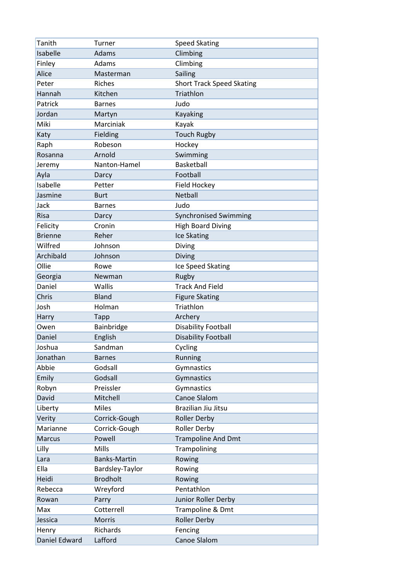| Tanith         | Turner              | <b>Speed Skating</b>             |
|----------------|---------------------|----------------------------------|
| Isabelle       | Adams               | Climbing                         |
| Finley         | Adams               | Climbing                         |
| Alice          | Masterman           | Sailing                          |
| Peter          | <b>Riches</b>       | <b>Short Track Speed Skating</b> |
| Hannah         | Kitchen             | Triathlon                        |
| Patrick        | <b>Barnes</b>       | Judo                             |
| Jordan         | Martyn              | <b>Kayaking</b>                  |
| Miki           | Marciniak           | Kayak                            |
| Katy           | Fielding            | <b>Touch Rugby</b>               |
| Raph           | Robeson             | Hockey                           |
| Rosanna        | Arnold              | Swimming                         |
| Jeremy         | Nanton-Hamel        | <b>Basketball</b>                |
| Ayla           | Darcy               | Football                         |
| Isabelle       | Petter              | Field Hockey                     |
| Jasmine        | <b>Burt</b>         | <b>Netball</b>                   |
| Jack           | <b>Barnes</b>       | Judo                             |
| <b>Risa</b>    | Darcy               | <b>Synchronised Swimming</b>     |
| Felicity       | Cronin              | <b>High Board Diving</b>         |
| <b>Brienne</b> | Reher               | Ice Skating                      |
| Wilfred        | Johnson             | Diving                           |
| Archibald      | Johnson             | <b>Diving</b>                    |
| Ollie          | Rowe                | Ice Speed Skating                |
| Georgia        | Newman              | Rugby                            |
| Daniel         | Wallis              | <b>Track And Field</b>           |
| Chris          | <b>Bland</b>        | <b>Figure Skating</b>            |
| Josh           | Holman              | Triathlon                        |
| Harry          | <b>Tapp</b>         | Archery                          |
| Owen           | Bainbridge          | <b>Disability Football</b>       |
| Daniel         | English             | <b>Disability Football</b>       |
| Joshua         | Sandman             | Cycling                          |
| Jonathan       | <b>Barnes</b>       | Running                          |
| Abbie          | Godsall             | Gymnastics                       |
| Emily          | Godsall             | Gymnastics                       |
| Robyn          | Preissler           | Gymnastics                       |
| David          | Mitchell            | Canoe Slalom                     |
| Liberty        | Miles               | Brazilian Jiu Jitsu              |
| Verity         | Corrick-Gough       | <b>Roller Derby</b>              |
| Marianne       | Corrick-Gough       | <b>Roller Derby</b>              |
| <b>Marcus</b>  | Powell              | <b>Trampoline And Dmt</b>        |
| Lilly          | Mills               | Trampolining                     |
| Lara           | <b>Banks-Martin</b> | Rowing                           |
| Ella           | Bardsley-Taylor     | Rowing                           |
| Heidi          | <b>Brodholt</b>     | Rowing                           |
| Rebecca        | Wreyford            | Pentathlon                       |
| Rowan          | Parry               | Junior Roller Derby              |
| Max            | Cotterrell          | Trampoline & Dmt                 |
| Jessica        | Morris              | <b>Roller Derby</b>              |
| Henry          | Richards            | Fencing                          |
| Daniel Edward  | Lafford             | Canoe Slalom                     |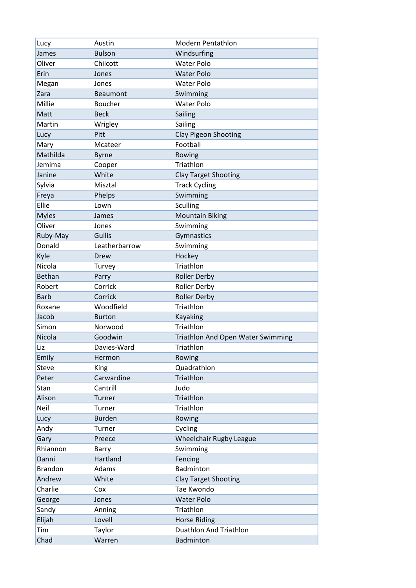| Lucy           | Austin         | <b>Modern Pentathlon</b>                 |
|----------------|----------------|------------------------------------------|
| James          | <b>Bulson</b>  | Windsurfing                              |
| Oliver         | Chilcott       | <b>Water Polo</b>                        |
| Erin           | Jones          | <b>Water Polo</b>                        |
| Megan          | Jones          | <b>Water Polo</b>                        |
| Zara           | Beaumont       | Swimming                                 |
| Millie         | <b>Boucher</b> | <b>Water Polo</b>                        |
| Matt           | <b>Beck</b>    | Sailing                                  |
| Martin         | Wrigley        | Sailing                                  |
| Lucy           | Pitt           | Clay Pigeon Shooting                     |
| Mary           | Mcateer        | Football                                 |
| Mathilda       | <b>Byrne</b>   | Rowing                                   |
| Jemima         | Cooper         | Triathlon                                |
| Janine         | White          | <b>Clay Target Shooting</b>              |
| Sylvia         | Misztal        | <b>Track Cycling</b>                     |
| Freya          | Phelps         | Swimming                                 |
| Ellie          | Lown           | <b>Sculling</b>                          |
| <b>Myles</b>   | James          | <b>Mountain Biking</b>                   |
| Oliver         | Jones          | Swimming                                 |
| Ruby-May       | <b>Gullis</b>  | Gymnastics                               |
| Donald         | Leatherbarrow  | Swimming                                 |
| Kyle           | Drew           | Hockey                                   |
| Nicola         |                | Triathlon                                |
| <b>Bethan</b>  | Turvey         | <b>Roller Derby</b>                      |
| Robert         | Parry          |                                          |
|                | Corrick        | <b>Roller Derby</b>                      |
| <b>Barb</b>    | Corrick        | <b>Roller Derby</b>                      |
| Roxane         | Woodfield      | Triathlon                                |
| Jacob          | <b>Burton</b>  | Kayaking                                 |
| Simon          | Norwood        | Triathlon                                |
| Nicola         | Goodwin        | <b>Triathlon And Open Water Swimming</b> |
| Liz            | Davies-Ward    | Triathlon                                |
| Emily          | Hermon         | Rowing                                   |
| <b>Steve</b>   | King           | Quadrathlon                              |
| Peter          | Carwardine     | Triathlon                                |
| Stan           | Cantrill       | Judo                                     |
| Alison         | Turner         | Triathlon                                |
| Neil           | Turner         | Triathlon                                |
| Lucy           | <b>Burden</b>  | Rowing                                   |
| Andy           | Turner         | Cycling                                  |
| Gary           | Preece         | <b>Wheelchair Rugby League</b>           |
| Rhiannon       | Barry          | Swimming                                 |
| Danni          | Hartland       | Fencing                                  |
| <b>Brandon</b> | Adams          | Badminton                                |
| Andrew         | White          | Clay Target Shooting                     |
| Charlie        | Cox            | Tae Kwondo                               |
| George         | Jones          | <b>Water Polo</b>                        |
| Sandy          | Anning         | Triathlon                                |
| Elijah         | Lovell         | <b>Horse Riding</b>                      |
| Tim            | Taylor         | <b>Duathlon And Triathlon</b>            |
| Chad           | Warren         | Badminton                                |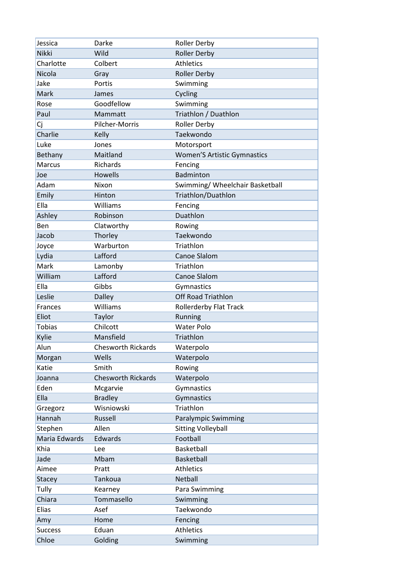| Jessica        | Darke                     | <b>Roller Derby</b>                |
|----------------|---------------------------|------------------------------------|
| <b>Nikki</b>   | Wild                      | <b>Roller Derby</b>                |
| Charlotte      | Colbert                   | <b>Athletics</b>                   |
| Nicola         | Gray                      | <b>Roller Derby</b>                |
| Jake           | Portis                    | Swimming                           |
| Mark           | James                     | Cycling                            |
| Rose           | Goodfellow                | Swimming                           |
| Paul           | Mammatt                   | Triathlon / Duathlon               |
| Cj             | Pilcher-Morris            | <b>Roller Derby</b>                |
| Charlie        | Kelly                     | Taekwondo                          |
| Luke           | Jones                     | Motorsport                         |
| Bethany        | Maitland                  | <b>Women'S Artistic Gymnastics</b> |
| <b>Marcus</b>  | Richards                  | Fencing                            |
| Joe            | <b>Howells</b>            | <b>Badminton</b>                   |
| Adam           | Nixon                     | Swimming/ Wheelchair Basketball    |
| Emily          | Hinton                    | Triathlon/Duathlon                 |
| Ella           | Williams                  | Fencing                            |
| Ashley         | Robinson                  | Duathlon                           |
| Ben            | Clatworthy                | Rowing                             |
| Jacob          | Thorley                   | Taekwondo                          |
| Joyce          | Warburton                 | Triathlon                          |
| Lydia          | Lafford                   | Canoe Slalom                       |
| Mark           | Lamonby                   | Triathlon                          |
| William        | Lafford                   | Canoe Slalom                       |
| Ella           | Gibbs                     | Gymnastics                         |
| Leslie         | <b>Dalley</b>             | <b>Off Road Triathlon</b>          |
| <b>Frances</b> | Williams                  | Rollerderby Flat Track             |
| Eliot          | Taylor                    | Running                            |
| <b>Tobias</b>  | Chilcott                  | <b>Water Polo</b>                  |
| Kylie          | Mansfield                 | Triathlon                          |
| Alun           | <b>Chesworth Rickards</b> | Waterpolo                          |
| Morgan         | Wells                     | Waterpolo                          |
| Katie          | Smith                     | Rowing                             |
| Joanna         | <b>Chesworth Rickards</b> | Waterpolo                          |
| Eden           | Mcgarvie                  | Gymnastics                         |
| Ella           | <b>Bradley</b>            | Gymnastics                         |
| Grzegorz       | Wisniowski                | Triathlon                          |
| Hannah         | Russell                   | <b>Paralympic Swimming</b>         |
| Stephen        | Allen                     | <b>Sitting Volleyball</b>          |
| Maria Edwards  | Edwards                   | Football                           |
| Khia           | Lee                       | Basketball                         |
| Jade           | Mbam                      | Basketball                         |
| Aimee          | Pratt                     | <b>Athletics</b>                   |
| <b>Stacey</b>  | Tankoua                   | Netball                            |
| Tully          | Kearney                   | Para Swimming                      |
| Chiara         | Tommasello                | Swimming                           |
| Elias          | Asef                      | Taekwondo                          |
| Amy            | Home                      | Fencing                            |
| <b>Success</b> | Eduan                     | <b>Athletics</b>                   |
| Chloe          | Golding                   | Swimming                           |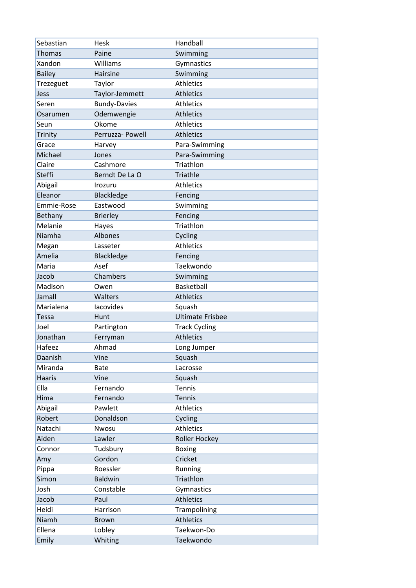| Sebastian     | Hesk                | Handball                |
|---------------|---------------------|-------------------------|
| <b>Thomas</b> | Paine               | Swimming                |
| Xandon        | Williams            | Gymnastics              |
| <b>Bailey</b> | Hairsine            | Swimming                |
| Trezeguet     | Taylor              | <b>Athletics</b>        |
| Jess          | Taylor-Jemmett      | <b>Athletics</b>        |
| Seren         | <b>Bundy-Davies</b> | <b>Athletics</b>        |
| Osarumen      | Odemwengie          | <b>Athletics</b>        |
| Seun          | Okome               | <b>Athletics</b>        |
| Trinity       | Perruzza- Powell    | <b>Athletics</b>        |
| Grace         | Harvey              | Para-Swimming           |
| Michael       | Jones               | Para-Swimming           |
| Claire        | Cashmore            | Triathlon               |
| <b>Steffi</b> | Berndt De La O      | Triathle                |
| Abigail       | Irozuru             | <b>Athletics</b>        |
| Eleanor       | Blackledge          | Fencing                 |
| Emmie-Rose    | Eastwood            | Swimming                |
| Bethany       | <b>Brierley</b>     | Fencing                 |
| Melanie       | Hayes               | Triathlon               |
| Niamha        | Albones             | Cycling                 |
| Megan         | Lasseter            | <b>Athletics</b>        |
| Amelia        | Blackledge          | Fencing                 |
| Maria         | Asef                | Taekwondo               |
| Jacob         | Chambers            | Swimming                |
| Madison       | Owen                | Basketball              |
| Jamall        | Walters             | <b>Athletics</b>        |
| Marialena     | lacovides           | Squash                  |
| <b>Tessa</b>  | Hunt                | <b>Ultimate Frisbee</b> |
| Joel          | Partington          | <b>Track Cycling</b>    |
| Jonathan      | Ferryman            | <b>Athletics</b>        |
| Hafeez        | Ahmad               | Long Jumper             |
| Daanish       | Vine                | Squash                  |
| Miranda       | <b>Bate</b>         | Lacrosse                |
| <b>Haaris</b> | Vine                | Squash                  |
| Ella          | Fernando            | Tennis                  |
| Hima          | Fernando            | Tennis                  |
| Abigail       | Pawlett             | Athletics               |
| Robert        | Donaldson           | Cycling                 |
| Natachi       | Nwosu               | Athletics               |
| Aiden         | Lawler              | Roller Hockey           |
| Connor        | Tudsbury            | <b>Boxing</b>           |
| Amy           | Gordon              | Cricket                 |
| Pippa         | Roessler            | Running                 |
| Simon         | <b>Baldwin</b>      | Triathlon               |
| Josh          | Constable           | Gymnastics              |
| Jacob         | Paul                | Athletics               |
| Heidi         | Harrison            | Trampolining            |
| Niamh         | <b>Brown</b>        | <b>Athletics</b>        |
| Ellena        | Lobley              | Taekwon-Do              |
| Emily         | Whiting             | Taekwondo               |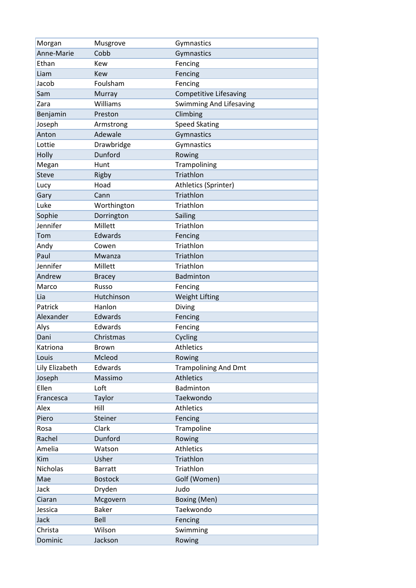| Morgan         | Musgrove       | Gymnastics                     |
|----------------|----------------|--------------------------------|
| Anne-Marie     | Cobb           | Gymnastics                     |
| Ethan          | <b>Kew</b>     | Fencing                        |
| Liam           | <b>Kew</b>     | Fencing                        |
| Jacob          | Foulsham       | Fencing                        |
| Sam            | Murray         | Competitive Lifesaving         |
| Zara           | Williams       | <b>Swimming And Lifesaving</b> |
| Benjamin       | Preston        | Climbing                       |
| Joseph         | Armstrong      | <b>Speed Skating</b>           |
| Anton          | Adewale        | Gymnastics                     |
| Lottie         | Drawbridge     | Gymnastics                     |
| Holly          | Dunford        | Rowing                         |
| Megan          | Hunt           | Trampolining                   |
| <b>Steve</b>   | Rigby          | Triathlon                      |
| Lucy           | Hoad           | Athletics (Sprinter)           |
| Gary           | Cann           | Triathlon                      |
| Luke           | Worthington    | Triathlon                      |
| Sophie         | Dorrington     | Sailing                        |
| Jennifer       | Millett        | Triathlon                      |
| Tom            | Edwards        | Fencing                        |
| Andy           | Cowen          | Triathlon                      |
| Paul           | Mwanza         | Triathlon                      |
| Jennifer       | Millett        | Triathlon                      |
| Andrew         | <b>Bracey</b>  | Badminton                      |
| Marco          | Russo          | Fencing                        |
| Lia            | Hutchinson     | <b>Weight Lifting</b>          |
| Patrick        | Hanlon         | Diving                         |
| Alexander      | Edwards        | Fencing                        |
| Alys           | Edwards        | Fencing                        |
| Dani           | Christmas      | Cycling                        |
| Katriona       | Brown          | <b>Athletics</b>               |
| Louis          | Mcleod         | Rowing                         |
| Lily Elizabeth | Edwards        | <b>Trampolining And Dmt</b>    |
| Joseph         | Massimo        | <b>Athletics</b>               |
| Ellen          | Loft           | Badminton                      |
| Francesca      | Taylor         | Taekwondo                      |
| Alex           | Hill           | <b>Athletics</b>               |
| Piero          | Steiner        | Fencing                        |
| Rosa           | Clark          | Trampoline                     |
| Rachel         | Dunford        | Rowing                         |
| Amelia         | Watson         | Athletics                      |
| Kim            | Usher          | Triathlon                      |
| Nicholas       | <b>Barratt</b> | Triathlon                      |
| Mae            | <b>Bostock</b> | Golf (Women)                   |
| Jack           | Dryden         | Judo                           |
| Ciaran         | Mcgovern       | Boxing (Men)                   |
| Jessica        | <b>Baker</b>   | Taekwondo                      |
| Jack           | Bell           | Fencing                        |
| Christa        | Wilson         | Swimming                       |
| Dominic        | Jackson        | Rowing                         |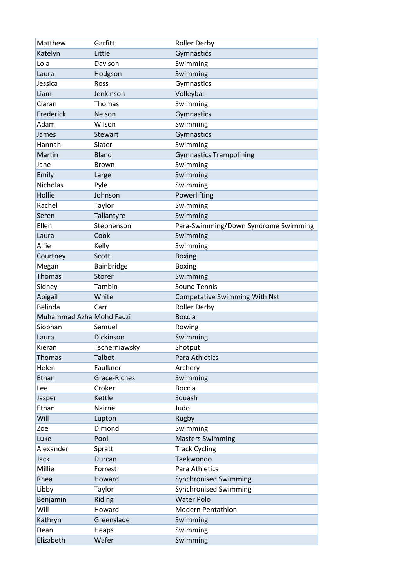| Matthew                     | Garfitt                        | <b>Roller Derby</b>                                |
|-----------------------------|--------------------------------|----------------------------------------------------|
| Katelyn                     | Little                         | Gymnastics                                         |
| Lola                        | Davison                        | Swimming                                           |
| Laura                       | Hodgson                        | Swimming                                           |
| Jessica                     | Ross                           | Gymnastics                                         |
| Liam                        | Jenkinson                      | Volleyball                                         |
| Ciaran                      | Thomas                         | Swimming                                           |
| Frederick                   | Nelson                         | Gymnastics                                         |
| Adam                        | Wilson                         | Swimming                                           |
| James                       | <b>Stewart</b>                 | Gymnastics                                         |
| Hannah                      | Slater                         | Swimming                                           |
| Martin                      | <b>Bland</b>                   | <b>Gymnastics Trampolining</b>                     |
| Jane                        | <b>Brown</b>                   | Swimming                                           |
| Emily                       | Large                          | Swimming                                           |
| <b>Nicholas</b>             | Pyle                           | Swimming                                           |
| Hollie                      | Johnson                        | Powerlifting                                       |
| Rachel                      | Taylor                         | Swimming                                           |
| Seren                       | Tallantyre                     | Swimming                                           |
| Ellen                       | Stephenson                     | Para-Swimming/Down Syndrome Swimming               |
| Laura                       | Cook                           | Swimming                                           |
| Alfie                       | Kelly                          | Swimming                                           |
| Courtney                    | Scott                          | <b>Boxing</b>                                      |
| Megan                       | Bainbridge                     | <b>Boxing</b>                                      |
| <b>Thomas</b>               | Storer                         | Swimming                                           |
| Sidney                      | Tambin                         | <b>Sound Tennis</b>                                |
| Abigail                     | White                          | <b>Competative Swimming With Nst</b>               |
| <b>Belinda</b>              | Carr                           | <b>Roller Derby</b>                                |
| Muhammad Azha Mohd Fauzi    |                                | <b>Boccia</b>                                      |
| Siobhan                     | Samuel                         | Rowing                                             |
| Laura                       | <b>Dickinson</b>               | Swimming                                           |
| Kieran                      | Tscherniawsky                  | Shotput                                            |
| Thomas                      | Talbot                         | Para Athletics                                     |
| Helen                       | Faulkner                       | Archery                                            |
| Ethan                       | Grace-Riches                   | Swimming                                           |
| Lee                         | Croker                         | <b>Boccia</b>                                      |
| Jasper                      | Kettle                         | Squash                                             |
| Ethan                       | Nairne                         | Judo                                               |
| Will                        | Lupton                         | Rugby                                              |
| Zoe                         | Dimond                         | Swimming                                           |
| Luke                        | Pool                           | <b>Masters Swimming</b>                            |
| Alexander                   | Spratt                         | <b>Track Cycling</b>                               |
| Jack                        | Durcan                         | Taekwondo                                          |
| Millie                      | Forrest                        | Para Athletics                                     |
| Rhea                        | Howard                         | <b>Synchronised Swimming</b>                       |
| Libby                       | Taylor                         | <b>Synchronised Swimming</b>                       |
|                             |                                |                                                    |
|                             |                                |                                                    |
|                             |                                |                                                    |
| Dean                        |                                |                                                    |
|                             | Heaps                          | Swimming                                           |
| Benjamin<br>Will<br>Kathryn | Riding<br>Howard<br>Greenslade | <b>Water Polo</b><br>Modern Pentathlon<br>Swimming |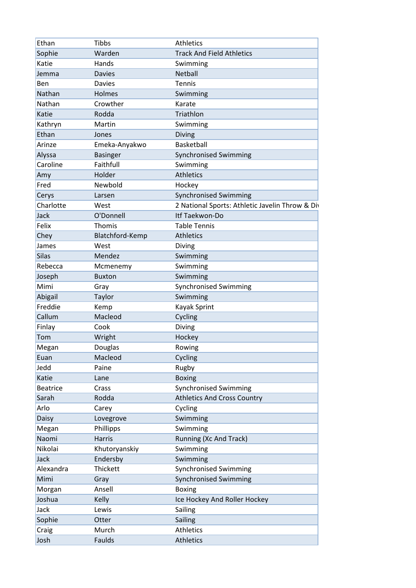| Ethan           | <b>Tibbs</b>    | <b>Athletics</b>                                |
|-----------------|-----------------|-------------------------------------------------|
| Sophie          | Warden          | <b>Track And Field Athletics</b>                |
| Katie           | Hands           | Swimming                                        |
| Jemma           | <b>Davies</b>   | Netball                                         |
| Ben             | <b>Davies</b>   | <b>Tennis</b>                                   |
| Nathan          | Holmes          | Swimming                                        |
| Nathan          | Crowther        | Karate                                          |
| Katie           | Rodda           | Triathlon                                       |
| Kathryn         | Martin          | Swimming                                        |
| Ethan           | Jones           | <b>Diving</b>                                   |
| Arinze          | Emeka-Anyakwo   | Basketball                                      |
| Alyssa          | <b>Basinger</b> | Synchronised Swimming                           |
| Caroline        | Faithfull       | Swimming                                        |
| Amy             | Holder          | <b>Athletics</b>                                |
| Fred            | Newbold         | Hockey                                          |
| Cerys           | Larsen          | <b>Synchronised Swimming</b>                    |
| Charlotte       | West            | 2 National Sports: Athletic Javelin Throw & Div |
| <b>Jack</b>     | O'Donnell       | Itf Taekwon-Do                                  |
| Felix           | Thomis          | <b>Table Tennis</b>                             |
| Chey            | Blatchford-Kemp | <b>Athletics</b>                                |
| James           | West            | Diving                                          |
| <b>Silas</b>    | Mendez          | Swimming                                        |
| Rebecca         | Mcmenemy        | Swimming                                        |
| Joseph          | <b>Buxton</b>   | Swimming                                        |
| Mimi            | Gray            | <b>Synchronised Swimming</b>                    |
| Abigail         | Taylor          | Swimming                                        |
| Freddie         | Kemp            | Kayak Sprint                                    |
| Callum          | Macleod         | Cycling                                         |
| Finlay          | Cook            | Diving                                          |
| Tom             | Wright          | Hockey                                          |
| Megan           | Douglas         | Rowing                                          |
| Euan            | Macleod         | Cycling                                         |
| Jedd            | Paine           | Rugby                                           |
| Katie           | Lane            |                                                 |
| <b>Beatrice</b> |                 | <b>Boxing</b><br><b>Synchronised Swimming</b>   |
| Sarah           | Crass<br>Rodda  |                                                 |
| Arlo            |                 | <b>Athletics And Cross Country</b><br>Cycling   |
|                 | Carey           |                                                 |
| Daisy           | Lovegrove       | Swimming                                        |
| Megan           | Phillipps       | Swimming                                        |
| Naomi           | <b>Harris</b>   | Running (Xc And Track)                          |
| Nikolai         | Khutoryanskiy   | Swimming                                        |
| Jack            | Endersby        | Swimming                                        |
| Alexandra       | Thickett        | <b>Synchronised Swimming</b>                    |
| Mimi            | Gray            | Synchronised Swimming                           |
| Morgan          | Ansell          | <b>Boxing</b>                                   |
| Joshua          | Kelly           | Ice Hockey And Roller Hockey                    |
| Jack            | Lewis           | Sailing                                         |
| Sophie          | Otter           | Sailing                                         |
| Craig           | Murch           | <b>Athletics</b>                                |
| Josh            | Faulds          | <b>Athletics</b>                                |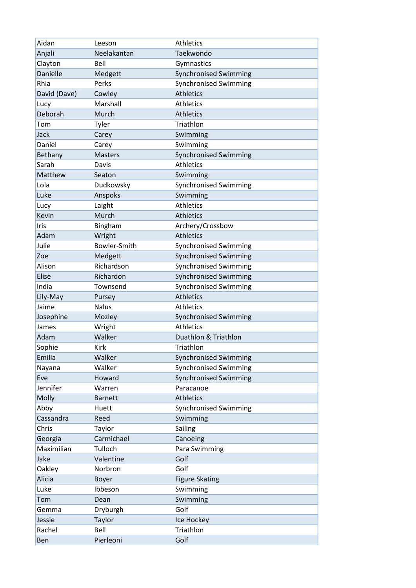| Aidan           | Leeson         | <b>Athletics</b>             |
|-----------------|----------------|------------------------------|
| Anjali          | Neelakantan    | Taekwondo                    |
| Clayton         | Bell           | Gymnastics                   |
| <b>Danielle</b> | Medgett        | <b>Synchronised Swimming</b> |
| Rhia            | Perks          | <b>Synchronised Swimming</b> |
| David (Dave)    | Cowley         | <b>Athletics</b>             |
| Lucy            | Marshall       | <b>Athletics</b>             |
| Deborah         | Murch          | <b>Athletics</b>             |
| Tom             | Tyler          | Triathlon                    |
| Jack            | Carey          | Swimming                     |
| Daniel          | Carey          | Swimming                     |
| <b>Bethany</b>  | <b>Masters</b> | <b>Synchronised Swimming</b> |
| Sarah           | Davis          | <b>Athletics</b>             |
| Matthew         | Seaton         | Swimming                     |
| Lola            | Dudkowsky      | <b>Synchronised Swimming</b> |
| Luke            | Anspoks        | Swimming                     |
| Lucy            | Laight         | <b>Athletics</b>             |
| Kevin           | Murch          | <b>Athletics</b>             |
| Iris            | Bingham        | Archery/Crossbow             |
| Adam            | Wright         | <b>Athletics</b>             |
| Julie           | Bowler-Smith   | <b>Synchronised Swimming</b> |
| Zoe             | Medgett        | <b>Synchronised Swimming</b> |
| Alison          | Richardson     | <b>Synchronised Swimming</b> |
| <b>Elise</b>    | Richardon      | <b>Synchronised Swimming</b> |
| India           | Townsend       | <b>Synchronised Swimming</b> |
| Lily-May        | Pursey         | <b>Athletics</b>             |
| Jaime           | <b>Nalus</b>   | <b>Athletics</b>             |
| Josephine       | Mozley         | <b>Synchronised Swimming</b> |
| James           | Wright         | <b>Athletics</b>             |
| Adam            | Walker         | Duathlon & Triathlon         |
| Sophie          | Kirk           | Triathlon                    |
| Emilia          | Walker         | <b>Synchronised Swimming</b> |
| Nayana          | Walker         | <b>Synchronised Swimming</b> |
| Eve             | Howard         | <b>Synchronised Swimming</b> |
| Jennifer        | Warren         | Paracanoe                    |
| Molly           | <b>Barnett</b> | <b>Athletics</b>             |
| Abby            | Huett          | <b>Synchronised Swimming</b> |
| Cassandra       | Reed           | Swimming                     |
| Chris           | Taylor         | Sailing                      |
| Georgia         | Carmichael     | Canoeing                     |
| Maximilian      | Tulloch        | Para Swimming                |
| Jake            | Valentine      | Golf                         |
| Oakley          | Norbron        | Golf                         |
| Alicia          | Boyer          | <b>Figure Skating</b>        |
| Luke            | Ibbeson        | Swimming                     |
| Tom             | Dean           | Swimming                     |
| Gemma           | Dryburgh       | Golf                         |
| Jessie          | Taylor         | Ice Hockey                   |
| Rachel          | Bell           | Triathlon                    |
| Ben             | Pierleoni      | Golf                         |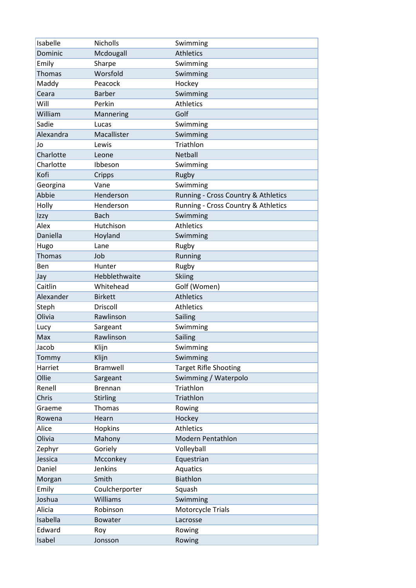| Isabelle      | <b>Nicholls</b> | Swimming                            |
|---------------|-----------------|-------------------------------------|
| Dominic       | Mcdougall       | <b>Athletics</b>                    |
| Emily         | Sharpe          | Swimming                            |
| <b>Thomas</b> | Worsfold        | Swimming                            |
| Maddy         | Peacock         | Hockey                              |
| Ceara         | <b>Barber</b>   | Swimming                            |
| Will          | Perkin          | <b>Athletics</b>                    |
| William       | Mannering       | Golf                                |
| Sadie         | Lucas           | Swimming                            |
| Alexandra     | Macallister     | Swimming                            |
| Jo            | Lewis           | Triathlon                           |
| Charlotte     | Leone           | Netball                             |
| Charlotte     | Ibbeson         | Swimming                            |
| Kofi          | Cripps          | Rugby                               |
| Georgina      | Vane            | Swimming                            |
| Abbie         | Henderson       | Running - Cross Country & Athletics |
| Holly         | Henderson       | Running - Cross Country & Athletics |
| Izzy          | <b>Bach</b>     | Swimming                            |
| Alex          | Hutchison       | <b>Athletics</b>                    |
| Daniella      | Hoyland         | Swimming                            |
| Hugo          | Lane            | Rugby                               |
| <b>Thomas</b> | Job             | Running                             |
| Ben           | Hunter          | Rugby                               |
| Jay           | Hebblethwaite   | <b>Skiing</b>                       |
| Caitlin       | Whitehead       | Golf (Women)                        |
| Alexander     | <b>Birkett</b>  | <b>Athletics</b>                    |
| Steph         | Driscoll        | <b>Athletics</b>                    |
| Olivia        | Rawlinson       | Sailing                             |
| Lucy          | Sargeant        | Swimming                            |
| Max           | Rawlinson       | Sailing                             |
| Jacob         | Klijn           | Swimming                            |
| Tommy         | Klijn           | Swimming                            |
| Harriet       | Bramwell        | <b>Target Rifle Shooting</b>        |
| Ollie         | Sargeant        | Swimming / Waterpolo                |
| Renell        | <b>Brennan</b>  | Triathlon                           |
| Chris         | <b>Stirling</b> | Triathlon                           |
| Graeme        | Thomas          | Rowing                              |
| Rowena        | Hearn           | Hockey                              |
| Alice         | Hopkins         | <b>Athletics</b>                    |
| Olivia        | Mahony          | <b>Modern Pentathlon</b>            |
| Zephyr        | Goriely         | Volleyball                          |
| Jessica       | Mcconkey        | Equestrian                          |
| Daniel        | <b>Jenkins</b>  | Aquatics                            |
| Morgan        | Smith           | <b>Biathlon</b>                     |
| Emily         | Coulcherporter  | Squash                              |
| Joshua        | Williams        | Swimming                            |
| Alicia        | Robinson        | Motorcycle Trials                   |
| Isabella      | Bowater         | Lacrosse                            |
| Edward        | Roy             | Rowing                              |
| Isabel        | Jonsson         | Rowing                              |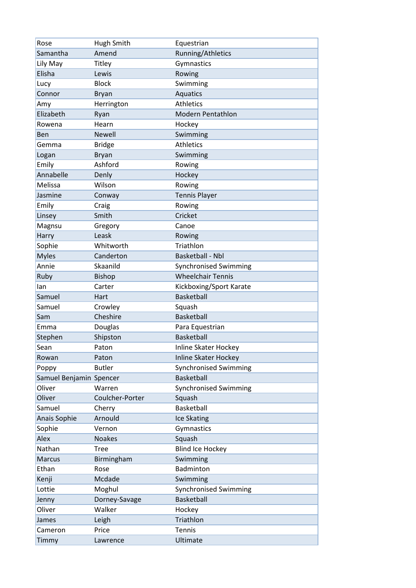| Rose                    | Hugh Smith      | Equestrian                   |
|-------------------------|-----------------|------------------------------|
| Samantha                | Amend           | Running/Athletics            |
| Lily May                | Titley          | Gymnastics                   |
| Elisha                  | Lewis           | Rowing                       |
| Lucy                    | <b>Block</b>    | Swimming                     |
| Connor                  | <b>Bryan</b>    | Aquatics                     |
| Amy                     | Herrington      | <b>Athletics</b>             |
| Elizabeth               | Ryan            | <b>Modern Pentathlon</b>     |
| Rowena                  | Hearn           | Hockey                       |
| <b>Ben</b>              | <b>Newell</b>   | Swimming                     |
| Gemma                   | <b>Bridge</b>   | Athletics                    |
| Logan                   | <b>Bryan</b>    | Swimming                     |
| Emily                   | Ashford         | Rowing                       |
| Annabelle               | Denly           | Hockey                       |
| Melissa                 | Wilson          | Rowing                       |
| Jasmine                 | Conway          | <b>Tennis Player</b>         |
| Emily                   | Craig           | Rowing                       |
| Linsey                  | Smith           | Cricket                      |
| Magnsu                  | Gregory         | Canoe                        |
| Harry                   | Leask           | Rowing                       |
| Sophie                  | Whitworth       | Triathlon                    |
| <b>Myles</b>            | Canderton       | Basketball - Nbl             |
| Annie                   | Skaanild        | <b>Synchronised Swimming</b> |
| Ruby                    | <b>Bishop</b>   | <b>Wheelchair Tennis</b>     |
| lan                     | Carter          | Kickboxing/Sport Karate      |
| Samuel                  | Hart            | <b>Basketball</b>            |
| Samuel                  | Crowley         | Squash                       |
| Sam                     | Cheshire        | <b>Basketball</b>            |
| Emma                    | Douglas         | Para Equestrian              |
| Stephen                 | Shipston        | <b>Basketball</b>            |
| Sean                    | Paton           | Inline Skater Hockey         |
| Rowan                   | Paton           | Inline Skater Hockey         |
| Poppy                   | <b>Butler</b>   | <b>Synchronised Swimming</b> |
| Samuel Benjamin Spencer |                 | <b>Basketball</b>            |
| Oliver                  | Warren          | <b>Synchronised Swimming</b> |
| Oliver                  | Coulcher-Porter | Squash                       |
| Samuel                  | Cherry          | Basketball                   |
| Anais Sophie            | Arnould         | Ice Skating                  |
| Sophie                  | Vernon          | Gymnastics                   |
| Alex                    | <b>Noakes</b>   | Squash                       |
| Nathan                  | <b>Tree</b>     | <b>Blind Ice Hockey</b>      |
| <b>Marcus</b>           | Birmingham      | Swimming                     |
| Ethan                   | Rose            | Badminton                    |
| Kenji                   | Mcdade          | Swimming                     |
| Lottie                  | Moghul          | <b>Synchronised Swimming</b> |
| Jenny                   | Dorney-Savage   | Basketball                   |
| Oliver                  | Walker          | Hockey                       |
| James                   | Leigh           | Triathlon                    |
| Cameron                 | Price           | Tennis                       |
| Timmy                   | Lawrence        | Ultimate                     |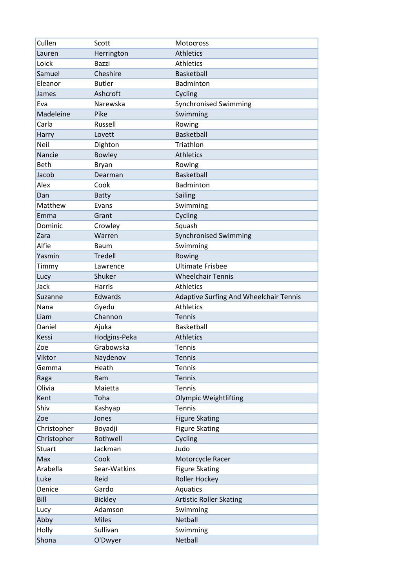| Cullen         | Scott               | Motocross                              |
|----------------|---------------------|----------------------------------------|
| Lauren         | Herrington          | <b>Athletics</b>                       |
| Loick          | Bazzi               | <b>Athletics</b>                       |
| Samuel         | Cheshire            | Basketball                             |
| Eleanor        | <b>Butler</b>       | Badminton                              |
| James          | Ashcroft            | Cycling                                |
| Eva            | Narewska            | <b>Synchronised Swimming</b>           |
| Madeleine      | Pike                | Swimming                               |
| Carla          | Russell             | Rowing                                 |
| Harry          | Lovett              | <b>Basketball</b>                      |
| <b>Neil</b>    | Dighton             | Triathlon                              |
| Nancie         | <b>Bowley</b>       | <b>Athletics</b>                       |
| Beth           | <b>Bryan</b>        | Rowing                                 |
| Jacob          | Dearman             | <b>Basketball</b>                      |
| Alex           | Cook                | Badminton                              |
| Dan            | <b>Batty</b>        | Sailing                                |
| Matthew        | Evans               | Swimming                               |
| Emma           | Grant               | Cycling                                |
| Dominic        | Crowley             | Squash                                 |
| Zara           | Warren              | <b>Synchronised Swimming</b>           |
| Alfie          | <b>Baum</b>         | Swimming                               |
| Yasmin         | <b>Tredell</b>      | Rowing                                 |
| Timmy          | Lawrence            | <b>Ultimate Frisbee</b>                |
| Lucy           | Shuker              | <b>Wheelchair Tennis</b>               |
| Jack           | <b>Harris</b>       | <b>Athletics</b>                       |
| Suzanne        | Edwards             | Adaptive Surfing And Wheelchair Tennis |
| Nana           | Gyedu               | <b>Athletics</b>                       |
| Liam           | Channon             | <b>Tennis</b>                          |
| Daniel         | Ajuka               | Basketball                             |
| Kessi          | Hodgins-Peka        | <b>Athletics</b>                       |
|                |                     |                                        |
|                |                     |                                        |
| Zoe            | Grabowska           | Tennis                                 |
| Viktor         | Naydenov            | <b>Tennis</b>                          |
| Gemma          | Heath               | <b>Tennis</b>                          |
| Raga           | Ram                 | <b>Tennis</b>                          |
| Olivia         | Maietta             | Tennis                                 |
| Kent           | Toha                | <b>Olympic Weightlifting</b>           |
| Shiv           | Kashyap             | <b>Tennis</b>                          |
| Zoe            | Jones               | <b>Figure Skating</b>                  |
| Christopher    | Boyadji             | <b>Figure Skating</b>                  |
| Christopher    | Rothwell            | Cycling                                |
| <b>Stuart</b>  | Jackman             | Judo                                   |
| Max            | Cook                | Motorcycle Racer                       |
| Arabella       | Sear-Watkins        | <b>Figure Skating</b>                  |
| Luke           | Reid                | Roller Hockey                          |
| Denice         | Gardo               | Aquatics                               |
| Bill           | <b>Bickley</b>      | <b>Artistic Roller Skating</b>         |
| Lucy           | Adamson             | Swimming                               |
| Abby           | <b>Miles</b>        | Netball                                |
| Holly<br>Shona | Sullivan<br>O'Dwyer | Swimming<br>Netball                    |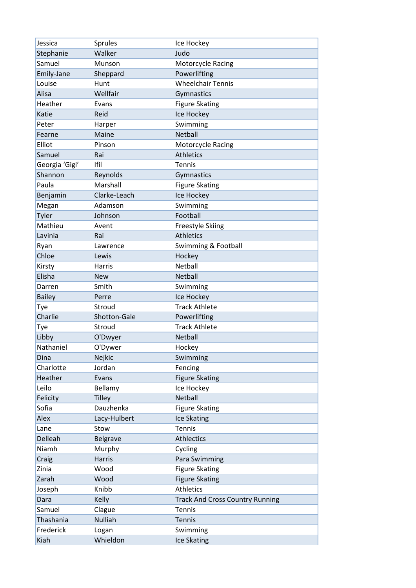| Jessica        | Sprules        | Ice Hockey                             |
|----------------|----------------|----------------------------------------|
| Stephanie      | Walker         | Judo                                   |
| Samuel         | Munson         | Motorcycle Racing                      |
| Emily-Jane     | Sheppard       | Powerlifting                           |
| Louise         | Hunt           | <b>Wheelchair Tennis</b>               |
| Alisa          | Wellfair       | Gymnastics                             |
| Heather        | Evans          | <b>Figure Skating</b>                  |
| Katie          | Reid           | Ice Hockey                             |
| Peter          | Harper         | Swimming                               |
| Fearne         | Maine          | Netball                                |
| Elliot         | Pinson         | <b>Motorcycle Racing</b>               |
| Samuel         | Rai            | <b>Athletics</b>                       |
| Georgia 'Gigi' | Ifil           | Tennis                                 |
| Shannon        | Reynolds       | Gymnastics                             |
| Paula          | Marshall       | <b>Figure Skating</b>                  |
| Benjamin       | Clarke-Leach   | Ice Hockey                             |
| Megan          | Adamson        | Swimming                               |
| Tyler          | Johnson        | Football                               |
| Mathieu        | Avent          | <b>Freestyle Skiing</b>                |
| Lavinia        | Rai            | <b>Athletics</b>                       |
| Ryan           | Lawrence       | Swimming & Football                    |
| Chloe          | Lewis          | Hockey                                 |
| Kirsty         | Harris         | Netball                                |
| Elisha         | <b>New</b>     | Netball                                |
| Darren         | Smith          | Swimming                               |
| <b>Bailey</b>  | Perre          | Ice Hockey                             |
| Tye            | Stroud         | <b>Track Athlete</b>                   |
| Charlie        | Shotton-Gale   | Powerlifting                           |
| Tye            | Stroud         | <b>Track Athlete</b>                   |
| Libby          | O'Dwyer        | Netball                                |
| Nathaniel      | O'Dywer        | Hockey                                 |
| Dina           | Nejkic         | Swimming                               |
| Charlotte      | Jordan         | Fencing                                |
| Heather        | Evans          | <b>Figure Skating</b>                  |
| Leilo          | Bellamy        | Ice Hockey                             |
| Felicity       | <b>Tilley</b>  | Netball                                |
| Sofia          | Dauzhenka      | <b>Figure Skating</b>                  |
| Alex           | Lacy-Hulbert   | Ice Skating                            |
| Lane           | Stow           | <b>Tennis</b>                          |
| Delleah        | Belgrave       | <b>Athlectics</b>                      |
| Niamh          | Murphy         | Cycling                                |
| Craig          | Harris         | Para Swimming                          |
| Zinia          | Wood           | <b>Figure Skating</b>                  |
| Zarah          | Wood           | <b>Figure Skating</b>                  |
| Joseph         | Knibb          | <b>Athletics</b>                       |
| Dara           | Kelly          | <b>Track And Cross Country Running</b> |
| Samuel         | Clague         | Tennis                                 |
| Thashania      | <b>Nulliah</b> | Tennis                                 |
|                |                |                                        |
| Frederick      | Logan          | Swimming                               |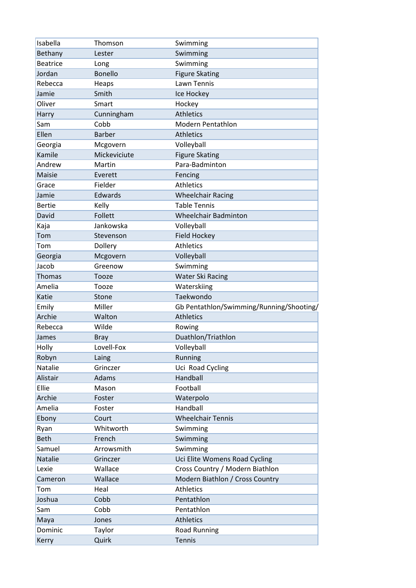| Isabella        | Thomson        | Swimming                                 |
|-----------------|----------------|------------------------------------------|
| Bethany         | Lester         | Swimming                                 |
| <b>Beatrice</b> | Long           | Swimming                                 |
| Jordan          | <b>Bonello</b> | <b>Figure Skating</b>                    |
| Rebecca         | Heaps          | Lawn Tennis                              |
| Jamie           | Smith          | Ice Hockey                               |
| Oliver          | Smart          | Hockey                                   |
| Harry           | Cunningham     | <b>Athletics</b>                         |
| Sam             | Cobb           | <b>Modern Pentathlon</b>                 |
| Ellen           | <b>Barber</b>  | <b>Athletics</b>                         |
| Georgia         | Mcgovern       | Volleyball                               |
| Kamile          | Mickeviciute   | <b>Figure Skating</b>                    |
| Andrew          | Martin         | Para-Badminton                           |
| Maisie          | Everett        | Fencing                                  |
| Grace           | Fielder        | <b>Athletics</b>                         |
| Jamie           | Edwards        | <b>Wheelchair Racing</b>                 |
| <b>Bertie</b>   | Kelly          | <b>Table Tennis</b>                      |
| David           | Follett        | <b>Wheelchair Badminton</b>              |
| Kaja            | Jankowska      | Volleyball                               |
| Tom             | Stevenson      | <b>Field Hockey</b>                      |
| Tom             | Dollery        | <b>Athletics</b>                         |
| Georgia         | Mcgovern       | Volleyball                               |
| Jacob           | Greenow        | Swimming                                 |
| Thomas          | Tooze          | <b>Water Ski Racing</b>                  |
| Amelia          | Tooze          | Waterskiing                              |
| Katie           | Stone          | Taekwondo                                |
| Emily           | Miller         | Gb Pentathlon/Swimming/Running/Shooting/ |
| Archie          | Walton         | <b>Athletics</b>                         |
| Rebecca         | Wilde          | Rowing                                   |
| James           | <b>Bray</b>    | Duathlon/Triathlon                       |
| Holly           | Lovell-Fox     | Volleyball                               |
| Robyn           | Laing          | Running                                  |
| Natalie         | Grinczer       | Uci Road Cycling                         |
| Alistair        | Adams          | Handball                                 |
| Ellie           | Mason          | Football                                 |
| Archie          | Foster         | Waterpolo                                |
| Amelia          | Foster         | Handball                                 |
| Ebony           | Court          | <b>Wheelchair Tennis</b>                 |
| Ryan            | Whitworth      | Swimming                                 |
| <b>Beth</b>     | French         | Swimming                                 |
| Samuel          | Arrowsmith     | Swimming                                 |
| Natalie         | Grinczer       | Uci Elite Womens Road Cycling            |
| Lexie           | Wallace        | Cross Country / Modern Biathlon          |
| Cameron         | Wallace        | Modern Biathlon / Cross Country          |
| Tom             | Heal           | <b>Athletics</b>                         |
| Joshua          | Cobb           | Pentathlon                               |
|                 |                |                                          |
| Sam             | Cobb           | Pentathlon                               |
| Maya            | Jones          | <b>Athletics</b>                         |
| Dominic         | Taylor         | <b>Road Running</b>                      |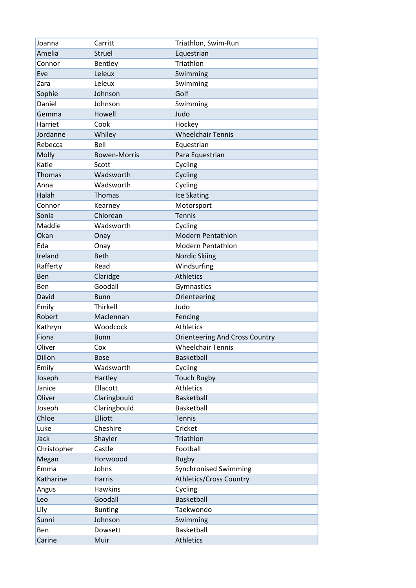| Joanna        | Carritt             | Triathlon, Swim-Run                   |
|---------------|---------------------|---------------------------------------|
| Amelia        | <b>Struel</b>       | Equestrian                            |
| Connor        | Bentley             | Triathlon                             |
| Eve           | Leleux              | Swimming                              |
| Zara          | Leleux              | Swimming                              |
| Sophie        | Johnson             | Golf                                  |
| Daniel        | Johnson             | Swimming                              |
| Gemma         | Howell              | Judo                                  |
| Harriet       | Cook                | Hockey                                |
| Jordanne      | Whiley              | <b>Wheelchair Tennis</b>              |
| Rebecca       | Bell                | Equestrian                            |
| Molly         | <b>Bowen-Morris</b> | Para Equestrian                       |
| Katie         | Scott               | Cycling                               |
| <b>Thomas</b> | Wadsworth           | Cycling                               |
| Anna          | Wadsworth           | Cycling                               |
| Halah         | Thomas              | Ice Skating                           |
| Connor        | Kearney             | Motorsport                            |
| Sonia         | Chiorean            | <b>Tennis</b>                         |
| Maddie        | Wadsworth           | Cycling                               |
| Okan          | Onay                | <b>Modern Pentathlon</b>              |
| Eda           | Onay                | <b>Modern Pentathlon</b>              |
| Ireland       | <b>Beth</b>         | Nordic Skiing                         |
| Rafferty      | Read                | Windsurfing                           |
| Ben           | Claridge            | <b>Athletics</b>                      |
| Ben           | Goodall             | Gymnastics                            |
| David         | <b>Bunn</b>         | Orienteering                          |
| Emily         | Thirkell            | Judo                                  |
| Robert        | Maclennan           | Fencing                               |
| Kathryn       | Woodcock            | <b>Athletics</b>                      |
| Fiona         | <b>Bunn</b>         | <b>Orienteering And Cross Country</b> |
| Oliver        | Cox                 | <b>Wheelchair Tennis</b>              |
| Dillon        | <b>Bose</b>         | Basketball                            |
| Emily         | Wadsworth           | Cycling                               |
| Joseph        | Hartley             | <b>Touch Rugby</b>                    |
| Janice        | Ellacott            | <b>Athletics</b>                      |
| Oliver        | Claringbould        | Basketball                            |
| Joseph        | Claringbould        | Basketball                            |
| Chloe         | Elliott             | <b>Tennis</b>                         |
| Luke          | Cheshire            | Cricket                               |
| Jack          | Shayler             | Triathlon                             |
| Christopher   | Castle              | Football                              |
| Megan         | Horwoood            | Rugby                                 |
| Emma          | Johns               | <b>Synchronised Swimming</b>          |
| Katharine     | Harris              | <b>Athletics/Cross Country</b>        |
| Angus         | <b>Hawkins</b>      | Cycling                               |
| Leo           | Goodall             | Basketball                            |
| Lily          | <b>Bunting</b>      | Taekwondo                             |
| Sunni         | Johnson             | Swimming                              |
| Ben           | Dowsett             | Basketball                            |
| Carine        | Muir                | <b>Athletics</b>                      |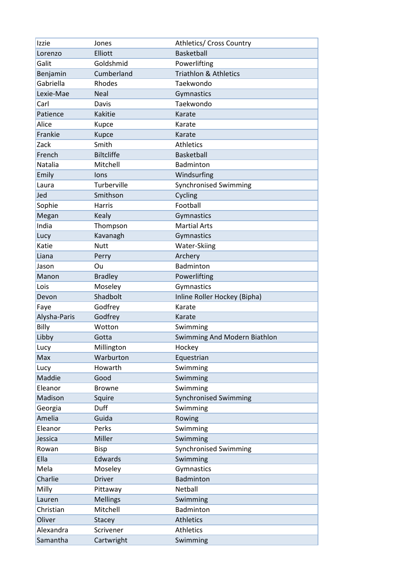| Izzie        | Jones             | Athletics/ Cross Country         |
|--------------|-------------------|----------------------------------|
| Lorenzo      | Elliott           | Basketball                       |
| Galit        | Goldshmid         | Powerlifting                     |
| Benjamin     | Cumberland        | <b>Triathlon &amp; Athletics</b> |
| Gabriella    | Rhodes            | Taekwondo                        |
| Lexie-Mae    | <b>Neal</b>       | Gymnastics                       |
| Carl         | Davis             | Taekwondo                        |
| Patience     | Kakitie           | Karate                           |
| Alice        | Kupce             | Karate                           |
| Frankie      | <b>Kupce</b>      | Karate                           |
| Zack         | Smith             | Athletics                        |
| French       | <b>Biltcliffe</b> | Basketball                       |
| Natalia      | Mitchell          | Badminton                        |
| Emily        | lons              | Windsurfing                      |
| Laura        | Turberville       | <b>Synchronised Swimming</b>     |
| Jed          | Smithson          | Cycling                          |
| Sophie       | Harris            | Football                         |
| Megan        | <b>Kealy</b>      | Gymnastics                       |
| India        | Thompson          | <b>Martial Arts</b>              |
| Lucy         | Kavanagh          | Gymnastics                       |
| Katie        | <b>Nutt</b>       | Water-Skiing                     |
| Liana        | Perry             | Archery                          |
| Jason        | Ou                | Badminton                        |
| Manon        | <b>Bradley</b>    | Powerlifting                     |
| Lois         | Moseley           | Gymnastics                       |
|              | Shadbolt          | Inline Roller Hockey (Bipha)     |
| Devon        |                   |                                  |
| Faye         | Godfrey           | Karate                           |
| Alysha-Paris | Godfrey           | Karate                           |
| Billy        | Wotton            | Swimming                         |
| Libby        | Gotta             | Swimming And Modern Biathlon     |
| Lucy         | Millington        | Hockey                           |
| Max          | Warburton         | Equestrian                       |
| Lucy         | Howarth           | Swimming                         |
| Maddie       | Good              | Swimming                         |
| Eleanor      | <b>Browne</b>     | Swimming                         |
| Madison      | Squire            | <b>Synchronised Swimming</b>     |
| Georgia      | Duff              | Swimming                         |
| Amelia       | Guida             | Rowing                           |
| Eleanor      | Perks             | Swimming                         |
| Jessica      | Miller            | Swimming                         |
| Rowan        | <b>Bisp</b>       | <b>Synchronised Swimming</b>     |
| Ella         | Edwards           | Swimming                         |
| Mela         | Moseley           | Gymnastics                       |
| Charlie      | <b>Driver</b>     | Badminton                        |
| Milly        | Pittaway          | Netball                          |
| Lauren       | <b>Mellings</b>   | Swimming                         |
| Christian    | Mitchell          | Badminton                        |
| Oliver       | Stacey            | <b>Athletics</b>                 |
| Alexandra    | Scrivener         | <b>Athletics</b>                 |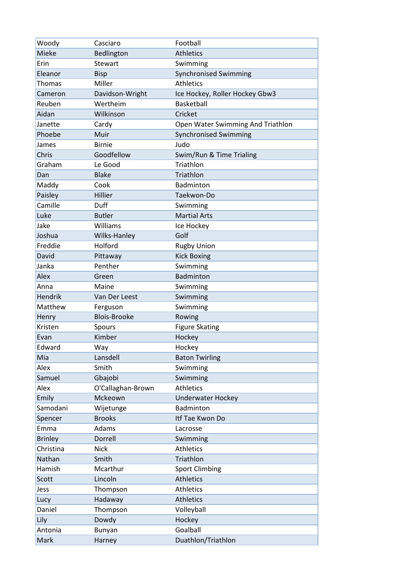| Woody          | Casciaro            | Football                          |
|----------------|---------------------|-----------------------------------|
| Mieke          | Bedlington          | <b>Athletics</b>                  |
| Erin           | Stewart             | Swimming                          |
| Eleanor        | <b>Bisp</b>         | <b>Synchronised Swimming</b>      |
| Thomas         | Miller              | <b>Athletics</b>                  |
| Cameron        | Davidson-Wright     | Ice Hockey, Roller Hockey Gbw3    |
| Reuben         | Wertheim            | Basketball                        |
| Aidan          | Wilkinson           | Cricket                           |
| Janette        | Cardy               | Open Water Swimming And Triathlon |
| Phoebe         | Muir                | <b>Synchronised Swimming</b>      |
| James          | <b>Birnie</b>       | Judo                              |
| Chris          | Goodfellow          | Swim/Run & Time Trialing          |
| Graham         | Le Good             | Triathlon                         |
| Dan            | <b>Blake</b>        | Triathlon                         |
| Maddy          | Cook                | Badminton                         |
| Paisley        | Hillier             | Taekwon-Do                        |
| Camille        | Duff                | Swimming                          |
| Luke           | <b>Butler</b>       | <b>Martial Arts</b>               |
| Jake           | Williams            | Ice Hockey                        |
| Joshua         | Wilks-Hanley        | Golf                              |
| Freddie        | Holford             | <b>Rugby Union</b>                |
| David          | Pittaway            | <b>Kick Boxing</b>                |
| Janka          | Penther             | Swimming                          |
| Alex           | Green               | Badminton                         |
| Anna           | Maine               | Swimming                          |
| <b>Hendrik</b> | Van Der Leest       | Swimming                          |
| Matthew        | Ferguson            | Swimming                          |
| Henry          | <b>Blois-Brooke</b> | Rowing                            |
| Kristen        | Spours              | <b>Figure Skating</b>             |
| Evan           | Kimber              | Hockey                            |
| Edward         | Way                 | Hockey                            |
| Mia            | Lansdell            | <b>Baton Twirling</b>             |
| Alex           | Smith               | Swimming                          |
| Samuel         | Gbajobi             | Swimming                          |
| Alex           | O'Callaghan-Brown   | <b>Athletics</b>                  |
| Emily          | Mckeown             | <b>Underwater Hockey</b>          |
| Samodani       | Wijetunge           | Badminton                         |
| Spencer        | <b>Brooks</b>       | Itf Tae Kwon Do                   |
| Emma           | Adams               | Lacrosse                          |
| <b>Brinley</b> | Dorrell             | Swimming                          |
| Christina      | <b>Nick</b>         | Athletics                         |
| Nathan         | Smith               | Triathlon                         |
| Hamish         | Mcarthur            | <b>Sport Climbing</b>             |
| Scott          | Lincoln             | <b>Athletics</b>                  |
| Jess           | Thompson            | Athletics                         |
| Lucy           | Hadaway             | Athletics                         |
| Daniel         | Thompson            | Volleyball                        |
| Lily           | Dowdy               | Hockey                            |
| Antonia        | Bunyan              | Goalball                          |
| Mark           | Harney              | Duathlon/Triathlon                |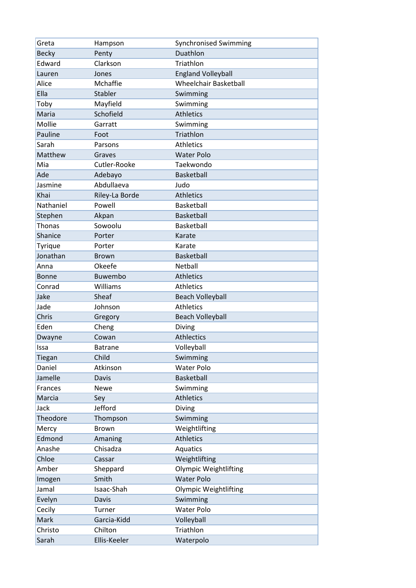| Greta         | Hampson        | <b>Synchronised Swimming</b> |
|---------------|----------------|------------------------------|
| <b>Becky</b>  | Penty          | Duathlon                     |
| Edward        | Clarkson       | Triathlon                    |
| Lauren        | Jones          | <b>England Volleyball</b>    |
| Alice         | Mchaffie       | <b>Wheelchair Basketball</b> |
| Ella          | Stabler        | Swimming                     |
| Toby          | Mayfield       | Swimming                     |
| Maria         | Schofield      | <b>Athletics</b>             |
| Mollie        | Garratt        | Swimming                     |
| Pauline       | Foot           | Triathlon                    |
| Sarah         | Parsons        | <b>Athletics</b>             |
| Matthew       | Graves         | <b>Water Polo</b>            |
| Mia           | Cutler-Rooke   | Taekwondo                    |
| Ade           | Adebayo        | Basketball                   |
| Jasmine       | Abdullaeva     | Judo                         |
| Khai          | Riley-La Borde | <b>Athletics</b>             |
| Nathaniel     | Powell         | Basketball                   |
| Stephen       | Akpan          | Basketball                   |
| <b>Thonas</b> | Sowoolu        | Basketball                   |
| Shanice       | Porter         | Karate                       |
| Tyrique       | Porter         | Karate                       |
| Jonathan      | <b>Brown</b>   | Basketball                   |
| Anna          | Okeefe         | Netball                      |
| <b>Bonne</b>  | Buwembo        | <b>Athletics</b>             |
| Conrad        | Williams       | <b>Athletics</b>             |
| Jake          | Sheaf          | <b>Beach Volleyball</b>      |
| Jade          | Johnson        | Athletics                    |
| Chris         | Gregory        | <b>Beach Volleyball</b>      |
| Eden          | Cheng          | Diving                       |
| Dwayne        | Cowan          | <b>Athlectics</b>            |
| Issa          | <b>Batrane</b> | Volleyball                   |
| Tiegan        | Child          | Swimming                     |
| Daniel        | Atkinson       | Water Polo                   |
| Jamelle       | Davis          | Basketball                   |
| Frances       | Newe           | Swimming                     |
| Marcia        | Sey            | <b>Athletics</b>             |
| Jack          | Jefford        | Diving                       |
| Theodore      | Thompson       | Swimming                     |
| Mercy         | <b>Brown</b>   | Weightlifting                |
| Edmond        | Amaning        | <b>Athletics</b>             |
| Anashe        | Chisadza       | Aquatics                     |
| Chloe         | Cassar         | Weightlifting                |
| Amber         | Sheppard       | <b>Olympic Weightlifting</b> |
| Imogen        | Smith          | <b>Water Polo</b>            |
| Jamal         | Isaac-Shah     | <b>Olympic Weightlifting</b> |
| Evelyn        | Davis          | Swimming                     |
| Cecily        | Turner         | Water Polo                   |
| Mark          | Garcia-Kidd    | Volleyball                   |
| Christo       | Chilton        | Triathlon                    |
| Sarah         | Ellis-Keeler   | Waterpolo                    |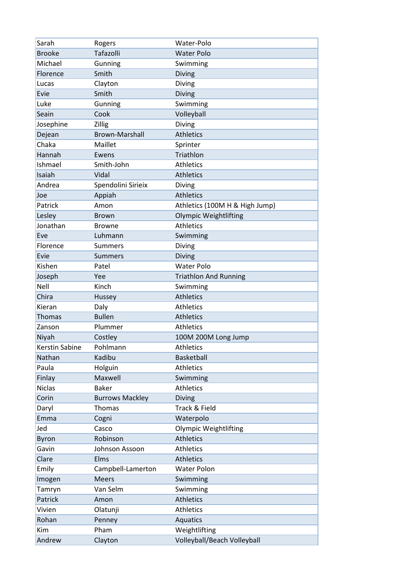| Sarah                 | Rogers                 | Water-Polo                     |
|-----------------------|------------------------|--------------------------------|
| <b>Brooke</b>         | Tafazolli              | <b>Water Polo</b>              |
| Michael               | Gunning                | Swimming                       |
| Florence              | Smith                  | Diving                         |
| Lucas                 | Clayton                | Diving                         |
| Evie                  | Smith                  | <b>Diving</b>                  |
| Luke                  | Gunning                | Swimming                       |
| Seain                 | Cook                   | Volleyball                     |
| Josephine             | Zillig                 | Diving                         |
| Dejean                | <b>Brown-Marshall</b>  | <b>Athletics</b>               |
| Chaka                 | Maillet                | Sprinter                       |
| Hannah                | Ewens                  | Triathlon                      |
| Ishmael               | Smith-John             | <b>Athletics</b>               |
| Isaiah                | Vidal                  | <b>Athletics</b>               |
| Andrea                | Spendolini Sirieix     | Diving                         |
| Joe                   | Appiah                 | <b>Athletics</b>               |
| Patrick               | Amon                   | Athletics (100M H & High Jump) |
| Lesley                | Brown                  | <b>Olympic Weightlifting</b>   |
| Jonathan              | <b>Browne</b>          | <b>Athletics</b>               |
| Eve                   | Luhmann                | Swimming                       |
| Florence              | <b>Summers</b>         | Diving                         |
| Evie                  | <b>Summers</b>         | Diving                         |
| Kishen                | Patel                  | <b>Water Polo</b>              |
| Joseph                | Yee                    | <b>Triathlon And Running</b>   |
| Nell                  | Kinch                  | Swimming                       |
| Chira                 | Hussey                 | <b>Athletics</b>               |
| Kieran                | Daly                   | <b>Athletics</b>               |
| <b>Thomas</b>         | <b>Bullen</b>          | <b>Athletics</b>               |
| Zanson                | Plummer                | <b>Athletics</b>               |
| Niyah                 | Costley                | 100M 200M Long Jump            |
| <b>Kerstin Sabine</b> | Pohlmann               | <b>Athletics</b>               |
| Nathan                | Kadibu                 | Basketball                     |
| Paula                 | Holguin                | <b>Athletics</b>               |
| Finlay                | Maxwell                | Swimming                       |
| <b>Niclas</b>         | <b>Baker</b>           | <b>Athletics</b>               |
| Corin                 | <b>Burrows Mackley</b> | Diving                         |
| Daryl                 | Thomas                 | Track & Field                  |
| Emma                  | Cogni                  | Waterpolo                      |
| Jed                   | Casco                  | <b>Olympic Weightlifting</b>   |
| Byron                 | Robinson               | <b>Athletics</b>               |
| Gavin                 | Johnson Assoon         | <b>Athletics</b>               |
| Clare                 | Elms                   | <b>Athletics</b>               |
| Emily                 | Campbell-Lamerton      | <b>Water Polon</b>             |
| Imogen                | <b>Meers</b>           | Swimming                       |
| Tamryn                | Van Selm               | Swimming                       |
| Patrick               | Amon                   | <b>Athletics</b>               |
| Vivien                | Olatunji               | <b>Athletics</b>               |
| Rohan                 | Penney                 | Aquatics                       |
| Kim                   | Pham                   | Weightlifting                  |
| Andrew                | Clayton                | Volleyball/Beach Volleyball    |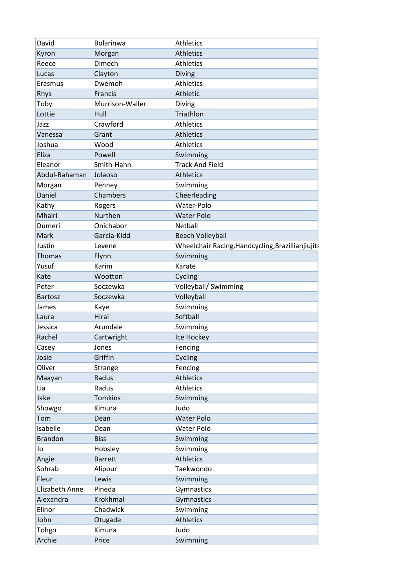| David                 | <b>Bolarinwa</b> | <b>Athletics</b>                                  |
|-----------------------|------------------|---------------------------------------------------|
| Kyron                 | Morgan           | <b>Athletics</b>                                  |
| Reece                 | Dimech           | <b>Athletics</b>                                  |
| Lucas                 | Clayton          | Diving                                            |
| Erasmus               | Dwemoh           | <b>Athletics</b>                                  |
| Rhys                  | Francis          | <b>Athletic</b>                                   |
| Toby                  | Murrison-Waller  | Diving                                            |
| Lottie                | Hull             | Triathlon                                         |
| Jazz                  | Crawford         | <b>Athletics</b>                                  |
| Vanessa               | Grant            | <b>Athletics</b>                                  |
| Joshua                | Wood             | <b>Athletics</b>                                  |
| Eliza                 | Powell           | Swimming                                          |
| Eleanor               | Smith-Hahn       | <b>Track And Field</b>                            |
| Abdul-Rahaman         | Jolaoso          | <b>Athletics</b>                                  |
| Morgan                | Penney           | Swimming                                          |
| Daniel                | Chambers         | Cheerleading                                      |
| Kathy                 | Rogers           | Water-Polo                                        |
| Mhairi                | Nurthen          | <b>Water Polo</b>                                 |
| Dumeri                | Onichabor        | Netball                                           |
| Mark                  | Garcia-Kidd      | <b>Beach Volleyball</b>                           |
| Justin                | Levene           | Wheelchair Racing, Handcycling, Brazillianjiujits |
| <b>Thomas</b>         | Flynn            | Swimming                                          |
| Yusuf                 | Karim            | Karate                                            |
| Kate                  | Wootton          | Cycling                                           |
| Peter                 | Soczewka         | Volleyball/ Swimming                              |
| <b>Bartosz</b>        | Soczewka         | Volleyball                                        |
| James                 | Kaye             | Swimming                                          |
| Laura                 | Hirai            | Softball                                          |
| Jessica               | Arundale         | Swimming                                          |
| Rachel                | Cartwright       | Ice Hockey                                        |
| Casey                 | Jones            | Fencing                                           |
| Josie                 | Griffin          | Cycling                                           |
| Oliver                | Strange          | Fencing                                           |
| Maayan                | Radus            | <b>Athletics</b>                                  |
| Lia                   | Radus            | <b>Athletics</b>                                  |
| Jake                  | <b>Tomkins</b>   | Swimming                                          |
| Showgo                | Kimura           | Judo                                              |
| Tom                   | Dean             | <b>Water Polo</b>                                 |
| Isabelle              | Dean             | Water Polo                                        |
| <b>Brandon</b>        | <b>Biss</b>      | Swimming                                          |
| Jo                    | Hobsley          | Swimming                                          |
| Angie                 | <b>Barrett</b>   | <b>Athletics</b>                                  |
| Sohrab                | Alipour          | Taekwondo                                         |
| Fleur                 | Lewis            | Swimming                                          |
| <b>Elizabeth Anne</b> | Pineda           | Gymnastics                                        |
| Alexandra             |                  | Gymnastics                                        |
|                       | Krokhmal         |                                                   |
| Elinor                | Chadwick         | Swimming                                          |
| John                  | Otugade          | <b>Athletics</b>                                  |
| Tohgo                 | Kimura           | Judo                                              |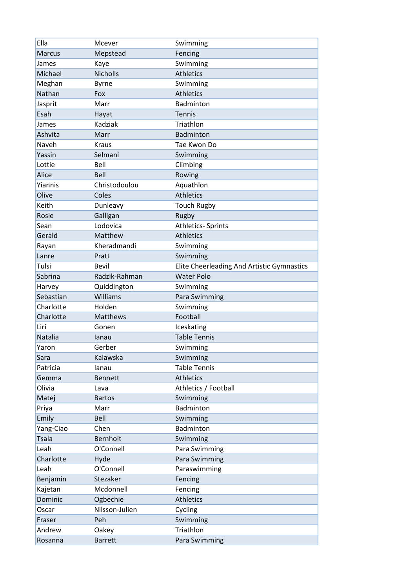| Ella          | Mcever          | Swimming                                   |
|---------------|-----------------|--------------------------------------------|
| <b>Marcus</b> | Mepstead        | Fencing                                    |
| James         | Kaye            | Swimming                                   |
| Michael       | <b>Nicholls</b> | <b>Athletics</b>                           |
| Meghan        | <b>Byrne</b>    | Swimming                                   |
| Nathan        | Fox             | <b>Athletics</b>                           |
| Jasprit       | Marr            | Badminton                                  |
| Esah          | Hayat           | <b>Tennis</b>                              |
| James         | Kadziak         | Triathlon                                  |
| Ashvita       | Marr            | <b>Badminton</b>                           |
| Naveh         | <b>Kraus</b>    | Tae Kwon Do                                |
| Yassin        | Selmani         | Swimming                                   |
| Lottie        | Bell            | Climbing                                   |
| Alice         | Bell            | Rowing                                     |
| Yiannis       | Christodoulou   | Aquathlon                                  |
| Olive         | Coles           | <b>Athletics</b>                           |
| Keith         | Dunleavy        | <b>Touch Rugby</b>                         |
| Rosie         | Galligan        | Rugby                                      |
| Sean          | Lodovica        | <b>Athletics- Sprints</b>                  |
| Gerald        | Matthew         | <b>Athletics</b>                           |
| Rayan         | Kheradmandi     | Swimming                                   |
| Lanre         | Pratt           | Swimming                                   |
| Tulsi         | Bevil           | Elite Cheerleading And Artistic Gymnastics |
| Sabrina       | Radzik-Rahman   | <b>Water Polo</b>                          |
| Harvey        | Quiddington     | Swimming                                   |
| Sebastian     | Williams        | Para Swimming                              |
| Charlotte     | Holden          | Swimming                                   |
| Charlotte     | Matthews        | Football                                   |
| Liri          | Gonen           | Iceskating                                 |
| Natalia       | lanau           | <b>Table Tennis</b>                        |
| Yaron         | Gerber          | Swimming                                   |
| Sara          | Kalawska        | Swimming                                   |
| Patricia      | lanau           | <b>Table Tennis</b>                        |
| Gemma         | <b>Bennett</b>  | <b>Athletics</b>                           |
| Olivia        | Lava            | Athletics / Football                       |
| Matej         | <b>Bartos</b>   | Swimming                                   |
| Priya         | Marr            | Badminton                                  |
| Emily         | Bell            | Swimming                                   |
| Yang-Ciao     | Chen            | Badminton                                  |
| <b>Tsala</b>  | <b>Bernholt</b> | Swimming                                   |
| Leah          | O'Connell       | Para Swimming                              |
| Charlotte     | Hyde            | Para Swimming                              |
| Leah          | O'Connell       | Paraswimming                               |
| Benjamin      | Stezaker        | Fencing                                    |
| Kajetan       | Mcdonnell       | Fencing                                    |
| Dominic       | Ogbechie        | <b>Athletics</b>                           |
| Oscar         | Nilsson-Julien  | Cycling                                    |
| Fraser        | Peh             | Swimming                                   |
| Andrew        | Oakey           | Triathlon                                  |
| Rosanna       | <b>Barrett</b>  | Para Swimming                              |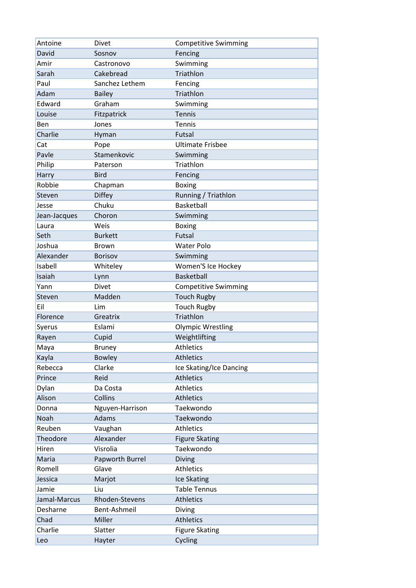| Antoine      | Divet           | <b>Competitive Swimming</b> |
|--------------|-----------------|-----------------------------|
| David        | Sosnov          | Fencing                     |
| Amir         | Castronovo      | Swimming                    |
| Sarah        | Cakebread       | Triathlon                   |
| Paul         | Sanchez Lethem  | Fencing                     |
| Adam         | <b>Bailey</b>   | Triathlon                   |
| Edward       | Graham          | Swimming                    |
| Louise       | Fitzpatrick     | <b>Tennis</b>               |
| Ben          | Jones           | Tennis                      |
| Charlie      | Hyman           | Futsal                      |
| Cat          | Pope            | <b>Ultimate Frisbee</b>     |
| Pavle        | Stamenkovic     | Swimming                    |
| Philip       | Paterson        | Triathlon                   |
| Harry        | <b>Bird</b>     | Fencing                     |
| Robbie       | Chapman         | <b>Boxing</b>               |
| Steven       | <b>Diffey</b>   | Running / Triathlon         |
| Jesse        | Chuku           | Basketball                  |
| Jean-Jacques | Choron          | Swimming                    |
| Laura        | Weis            | <b>Boxing</b>               |
| Seth         | <b>Burkett</b>  | Futsal                      |
| Joshua       | <b>Brown</b>    | <b>Water Polo</b>           |
| Alexander    | <b>Borisov</b>  | Swimming                    |
| Isabell      | Whiteley        | Women'S Ice Hockey          |
| Isaiah       | Lynn            | <b>Basketball</b>           |
| Yann         | Divet           | <b>Competitive Swimming</b> |
| Steven       | Madden          | <b>Touch Rugby</b>          |
| Eil          | Lim             | <b>Touch Rugby</b>          |
| Florence     | Greatrix        | Triathlon                   |
| Syerus       | Eslami          | <b>Olympic Wrestling</b>    |
| Rayen        | Cupid           | Weightlifting               |
| Maya         | <b>Bruney</b>   | <b>Athletics</b>            |
| Kayla        | <b>Bowley</b>   | <b>Athletics</b>            |
| Rebecca      | Clarke          | Ice Skating/Ice Dancing     |
| Prince       | Reid            | <b>Athletics</b>            |
| Dylan        | Da Costa        | <b>Athletics</b>            |
| Alison       | Collins         | <b>Athletics</b>            |
| Donna        | Nguyen-Harrison | Taekwondo                   |
| Noah         | Adams           | Taekwondo                   |
| Reuben       | Vaughan         | <b>Athletics</b>            |
| Theodore     | Alexander       | <b>Figure Skating</b>       |
| Hiren        | Visrolia        | Taekwondo                   |
| Maria        | Papworth Burrel | <b>Diving</b>               |
| Romell       | Glave           | <b>Athletics</b>            |
| Jessica      | Marjot          | Ice Skating                 |
| Jamie        | Liu             | <b>Table Tennus</b>         |
| Jamal-Marcus | Rhoden-Stevens  | <b>Athletics</b>            |
| Desharne     | Bent-Ashmeil    | Diving                      |
| Chad         | Miller          | <b>Athletics</b>            |
| Charlie      | Slatter         | <b>Figure Skating</b>       |
| Leo          | Hayter          | Cycling                     |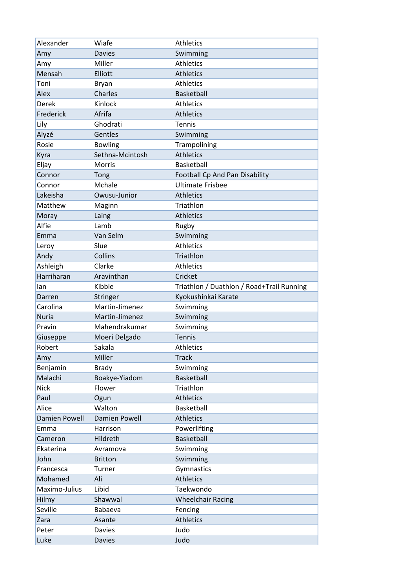| Alexander     | Wiafe                | <b>Athletics</b>                          |
|---------------|----------------------|-------------------------------------------|
| Amy           | <b>Davies</b>        | Swimming                                  |
| Amy           | Miller               | <b>Athletics</b>                          |
| Mensah        | Elliott              | <b>Athletics</b>                          |
| Toni          | Bryan                | <b>Athletics</b>                          |
| Alex          | Charles              | <b>Basketball</b>                         |
| Derek         | Kinlock              | <b>Athletics</b>                          |
| Frederick     | Afrifa               | <b>Athletics</b>                          |
| Lily          | Ghodrati             | Tennis                                    |
| Alyzé         | Gentles              | Swimming                                  |
| Rosie         | <b>Bowling</b>       | Trampolining                              |
| Kyra          | Sethna-Mcintosh      | <b>Athletics</b>                          |
| Eljay         | <b>Morris</b>        | Basketball                                |
| Connor        | Tong                 | Football Cp And Pan Disability            |
| Connor        | Mchale               | <b>Ultimate Frisbee</b>                   |
| Lakeisha      | Owusu-Junior         | <b>Athletics</b>                          |
| Matthew       | Maginn               | Triathlon                                 |
| Moray         | Laing                | <b>Athletics</b>                          |
| Alfie         | Lamb                 | Rugby                                     |
| Emma          | Van Selm             | Swimming                                  |
| Leroy         | Slue                 | <b>Athletics</b>                          |
| Andy          | Collins              | Triathlon                                 |
| Ashleigh      | Clarke               | <b>Athletics</b>                          |
| Harriharan    | Aravinthan           | Cricket                                   |
| lan           | Kibble               | Triathlon / Duathlon / Road+Trail Running |
| Darren        | Stringer             | Kyokushinkai Karate                       |
| Carolina      | Martin-Jimenez       | Swimming                                  |
| <b>Nuria</b>  | Martin-Jimenez       | Swimming                                  |
| Pravin        | Mahendrakumar        | Swimming                                  |
| Giuseppe      | Moeri Delgado        | <b>Tennis</b>                             |
| Robert        | Sakala               | <b>Athletics</b>                          |
| Amy           | Miller               | <b>Track</b>                              |
| Benjamin      | <b>Brady</b>         | Swimming                                  |
| Malachi       | Boakye-Yiadom        | Basketball                                |
| <b>Nick</b>   | Flower               | Triathlon                                 |
| Paul          | Ogun                 | <b>Athletics</b>                          |
| Alice         | Walton               | Basketball                                |
| Damien Powell | <b>Damien Powell</b> | <b>Athletics</b>                          |
| Emma          | Harrison             | Powerlifting                              |
| Cameron       | Hildreth             | <b>Basketball</b>                         |
| Ekaterina     | Avramova             | Swimming                                  |
| John          | <b>Britton</b>       | Swimming                                  |
| Francesca     | Turner               | Gymnastics                                |
| Mohamed       | Ali                  | <b>Athletics</b>                          |
| Maximo-Julius | Libid                | Taekwondo                                 |
| Hilmy         | Shawwal              | <b>Wheelchair Racing</b>                  |
| Seville       | Babaeva              | Fencing                                   |
| Zara          |                      |                                           |
|               | Asante               | <b>Athletics</b>                          |
| Peter         | <b>Davies</b>        | Judo                                      |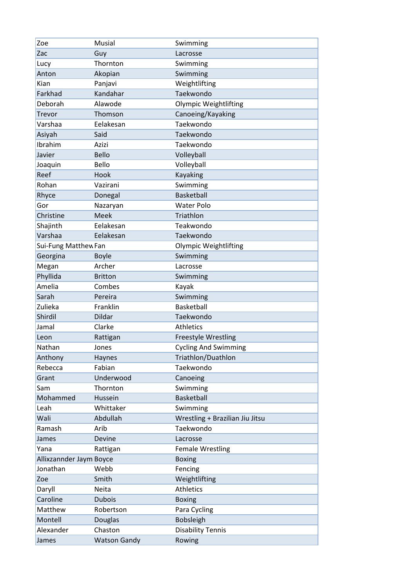| Zoe                     | <b>Musial</b>       | Swimming                        |
|-------------------------|---------------------|---------------------------------|
| Zac                     | Guy                 | Lacrosse                        |
| Lucy                    | Thornton            | Swimming                        |
| Anton                   | Akopian             | Swimming                        |
| Kian                    | Panjavi             | Weightlifting                   |
| Farkhad                 | Kandahar            | Taekwondo                       |
| Deborah                 | Alawode             | <b>Olympic Weightlifting</b>    |
| Trevor                  | Thomson             | Canoeing/Kayaking               |
| Varshaa                 | Eelakesan           | Taekwondo                       |
| Asiyah                  | Said                | Taekwondo                       |
| Ibrahim                 | Azizi               | Taekwondo                       |
| Javier                  | <b>Bello</b>        | Volleyball                      |
| Joaquin                 | Bello               | Volleyball                      |
| Reef                    | Hook                | <b>Kayaking</b>                 |
| Rohan                   | Vazirani            | Swimming                        |
| Rhyce                   | Donegal             | <b>Basketball</b>               |
| Gor                     | Nazaryan            | <b>Water Polo</b>               |
| Christine               | Meek                | Triathlon                       |
| Shajinth                | Eelakesan           | Teakwondo                       |
| Varshaa                 | Eelakesan           | Taekwondo                       |
| Sui-Fung Matthew Fan    |                     | <b>Olympic Weightlifting</b>    |
| Georgina                | <b>Boyle</b>        | Swimming                        |
| Megan                   | Archer              | Lacrosse                        |
| Phyllida                | <b>Britton</b>      | Swimming                        |
| Amelia                  | Combes              | Kayak                           |
| Sarah                   | Pereira             | Swimming                        |
| Zulieka                 | Franklin            | Basketball                      |
| Shirdil                 | Dildar              | Taekwondo                       |
| Jamal                   | Clarke              | <b>Athletics</b>                |
| Leon                    | Rattigan            | Freestyle Wrestling             |
| Nathan                  | Jones               | <b>Cycling And Swimming</b>     |
| Anthony                 | Haynes              | Triathlon/Duathlon              |
| Rebecca                 | Fabian              | Taekwondo                       |
| Grant                   | Underwood           | Canoeing                        |
| Sam                     | Thornton            | Swimming                        |
| Mohammed                | Hussein             | Basketball                      |
| Leah                    | Whittaker           | Swimming                        |
| Wali                    | Abdullah            | Wrestling + Brazilian Jiu Jitsu |
| Ramash                  | Arib                | Taekwondo                       |
| James                   | Devine              | Lacrosse                        |
| Yana                    | Rattigan            | <b>Female Wrestling</b>         |
| Allixzannder Jaym Boyce |                     | <b>Boxing</b>                   |
| Jonathan                | Webb                | Fencing                         |
| Zoe                     | Smith               | Weightlifting                   |
| Daryll                  | Neita               | Athletics                       |
| Caroline                | <b>Dubois</b>       | <b>Boxing</b>                   |
| Matthew                 | Robertson           | Para Cycling                    |
| Montell                 | <b>Douglas</b>      | Bobsleigh                       |
| Alexander               | Chaston             | <b>Disability Tennis</b>        |
| James                   | <b>Watson Gandy</b> | Rowing                          |
|                         |                     |                                 |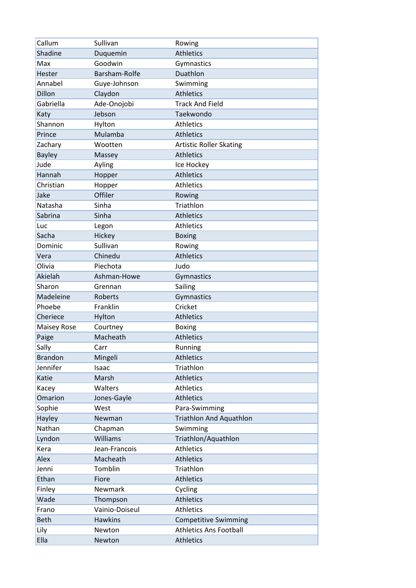| Callum             | Sullivan       | Rowing                         |
|--------------------|----------------|--------------------------------|
| Shadine            | Duquemin       | <b>Athletics</b>               |
| Max                | Goodwin        | Gymnastics                     |
| Hester             | Barsham-Rolfe  | Duathlon                       |
| Annabel            | Guye-Johnson   | Swimming                       |
| Dillon             | Claydon        | <b>Athletics</b>               |
| Gabriella          | Ade-Onojobi    | <b>Track And Field</b>         |
| Katy               | Jebson         | Taekwondo                      |
| Shannon            | Hylton         | <b>Athletics</b>               |
| Prince             | Mulamba        | <b>Athletics</b>               |
| Zachary            | Wootten        | <b>Artistic Roller Skating</b> |
| <b>Bayley</b>      | Massey         | <b>Athletics</b>               |
| Jude               | Ayling         | Ice Hockey                     |
| Hannah             | Hopper         | <b>Athletics</b>               |
| Christian          | Hopper         | <b>Athletics</b>               |
| Jake               | Offiler        | Rowing                         |
| Natasha            | Sinha          | Triathlon                      |
| Sabrina            | Sinha          | <b>Athletics</b>               |
| Luc                | Legon          | <b>Athletics</b>               |
| Sacha              | Hickey         | <b>Boxing</b>                  |
| Dominic            | Sullivan       | Rowing                         |
| Vera               | Chinedu        | <b>Athletics</b>               |
| Olivia             | Piechota       | Judo                           |
| Akielah            | Ashman-Howe    | Gymnastics                     |
| Sharon             | Grennan        | Sailing                        |
| Madeleine          | Roberts        | Gymnastics                     |
| Phoebe             | Franklin       | Cricket                        |
| Cheriece           | Hylton         | <b>Athletics</b>               |
| <b>Maisey Rose</b> | Courtney       | <b>Boxing</b>                  |
| Paige              | Macheath       | <b>Athletics</b>               |
| Sally              | Carr           | Running                        |
| <b>Brandon</b>     | Mingeli        | <b>Athletics</b>               |
| Jennifer           | Isaac          | Triathlon                      |
| Katie              | Marsh          | <b>Athletics</b>               |
| Kacey              | Walters        | <b>Athletics</b>               |
| Omarion            | Jones-Gayle    | <b>Athletics</b>               |
| Sophie             | West           | Para-Swimming                  |
| Hayley             | Newman         | <b>Triathlon And Aquathlon</b> |
| Nathan             | Chapman        | Swimming                       |
| Lyndon             | Williams       | Triathlon/Aquathlon            |
| Kera               | Jean-Francois  | <b>Athletics</b>               |
| Alex               | Macheath       | <b>Athletics</b>               |
| Jenni              | Tomblin        | Triathlon                      |
| Ethan              | Fiore          | <b>Athletics</b>               |
| Finley             | Newmark        | Cycling                        |
| Wade               | Thompson       | <b>Athletics</b>               |
| Frano              | Vainio-Doiseul | Athletics                      |
| <b>Beth</b>        | <b>Hawkins</b> | <b>Competitive Swimming</b>    |
| Lily               | Newton         | <b>Athletics Ans Football</b>  |
| Ella               | Newton         | <b>Athletics</b>               |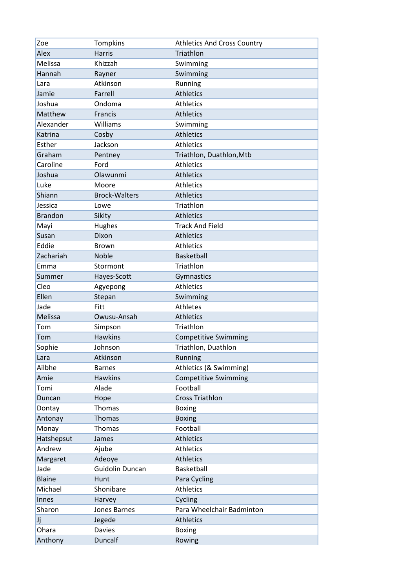| Zoe            | <b>Tompkins</b>      | <b>Athletics And Cross Country</b> |
|----------------|----------------------|------------------------------------|
| Alex           | <b>Harris</b>        | Triathlon                          |
| Melissa        | Khizzah              | Swimming                           |
| Hannah         | Rayner               | Swimming                           |
| Lara           | Atkinson             | Running                            |
| Jamie          | Farrell              | <b>Athletics</b>                   |
| Joshua         | Ondoma               | <b>Athletics</b>                   |
| Matthew        | <b>Francis</b>       | <b>Athletics</b>                   |
| Alexander      | Williams             | Swimming                           |
| Katrina        | Cosby                | <b>Athletics</b>                   |
| Esther         | Jackson              | <b>Athletics</b>                   |
| Graham         | Pentney              | Triathlon, Duathlon, Mtb           |
| Caroline       | Ford                 | <b>Athletics</b>                   |
| Joshua         | Olawunmi             | <b>Athletics</b>                   |
| Luke           | Moore                | <b>Athletics</b>                   |
| Shiann         | <b>Brock-Walters</b> | <b>Athletics</b>                   |
| Jessica        | Lowe                 | Triathlon                          |
| <b>Brandon</b> | Sikity               | <b>Athletics</b>                   |
| Mayi           | Hughes               | <b>Track And Field</b>             |
| Susan          | Dixon                | <b>Athletics</b>                   |
| Eddie          | Brown                | <b>Athletics</b>                   |
| Zachariah      | Noble                | Basketball                         |
| Emma           | Stormont             | Triathlon                          |
| Summer         | Hayes-Scott          | Gymnastics                         |
| Cleo           | Agyepong             | <b>Athletics</b>                   |
| Ellen          | Stepan               | Swimming                           |
| Jade           | <b>Fitt</b>          | <b>Athletes</b>                    |
| Melissa        | Owusu-Ansah          | <b>Athletics</b>                   |
| Tom            | Simpson              | Triathlon                          |
| Tom            | <b>Hawkins</b>       | <b>Competitive Swimming</b>        |
| Sophie         | Johnson              | Triathlon, Duathlon                |
| Lara           | Atkinson             | Running                            |
| Ailbhe         | <b>Barnes</b>        | Athletics (& Swimming)             |
| Amie           | <b>Hawkins</b>       | <b>Competitive Swimming</b>        |
| Tomi           | Alade                | Football                           |
| Duncan         | Hope                 | <b>Cross Triathlon</b>             |
| Dontay         | Thomas               | <b>Boxing</b>                      |
| Antonay        | Thomas               | <b>Boxing</b>                      |
| Monay          | Thomas               | Football                           |
| Hatshepsut     | James                | <b>Athletics</b>                   |
| Andrew         | Ajube                | <b>Athletics</b>                   |
| Margaret       | Adeoye               | <b>Athletics</b>                   |
| Jade           | Guidolin Duncan      | Basketball                         |
| <b>Blaine</b>  | Hunt                 | Para Cycling                       |
| Michael        | Shonibare            | <b>Athletics</b>                   |
| Innes          | Harvey               | Cycling                            |
| Sharon         | Jones Barnes         | Para Wheelchair Badminton          |
| Jj             | Jegede               | <b>Athletics</b>                   |
| Ohara          | <b>Davies</b>        | <b>Boxing</b>                      |
| Anthony        | Duncalf              | Rowing                             |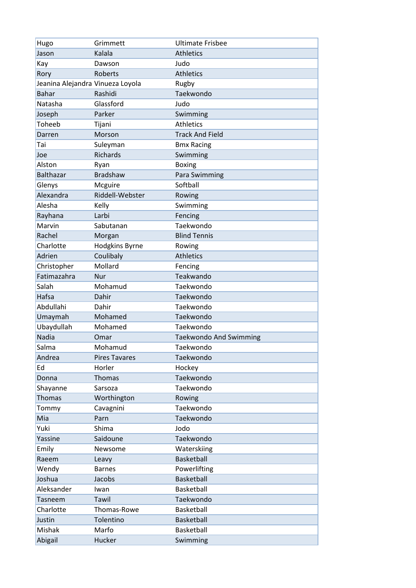| Hugo                             | Grimmett             | <b>Ultimate Frisbee</b>       |
|----------------------------------|----------------------|-------------------------------|
| Jason                            | Kalala               | <b>Athletics</b>              |
| Kay                              | Dawson               | Judo                          |
| Rory                             | Roberts              | <b>Athletics</b>              |
| Jeanina Alejandra Vinueza Loyola |                      | Rugby                         |
| <b>Bahar</b>                     | Rashidi              | Taekwondo                     |
| Natasha                          | Glassford            | Judo                          |
| Joseph                           | Parker               | Swimming                      |
| Toheeb                           | Tijani               | <b>Athletics</b>              |
| Darren                           | Morson               | <b>Track And Field</b>        |
| Tai                              | Suleyman             | <b>Bmx Racing</b>             |
| Joe                              | Richards             | Swimming                      |
| Alston                           | Ryan                 | <b>Boxing</b>                 |
| <b>Balthazar</b>                 | <b>Bradshaw</b>      | Para Swimming                 |
| Glenys                           | Mcguire              | Softball                      |
| Alexandra                        | Riddell-Webster      | Rowing                        |
| Alesha                           | Kelly                | Swimming                      |
| Rayhana                          | Larbi                | Fencing                       |
| Marvin                           | Sabutanan            | Taekwondo                     |
| Rachel                           | Morgan               | <b>Blind Tennis</b>           |
| Charlotte                        | Hodgkins Byrne       | Rowing                        |
| Adrien                           | Coulibaly            | <b>Athletics</b>              |
| Christopher                      | Mollard              | Fencing                       |
| Fatimazahra                      | <b>Nur</b>           | Teakwando                     |
| Salah                            | Mohamud              | Taekwondo                     |
| Hafsa                            | Dahir                | Taekwondo                     |
| Abdullahi                        | Dahir                | Taekwondo                     |
| Umaymah                          | Mohamed              | Taekwondo                     |
| Ubaydullah                       | Mohamed              | Taekwondo                     |
| <b>Nadia</b>                     | Omar                 | <b>Taekwondo And Swimming</b> |
| Salma                            | Mohamud              | Taekwondo                     |
| Andrea                           | <b>Pires Tavares</b> | Taekwondo                     |
| Ed                               | Horler               | Hockey                        |
| Donna                            | Thomas               | Taekwondo                     |
| Shayanne                         | Sarsoza              | Taekwondo                     |
| <b>Thomas</b>                    | Worthington          | Rowing                        |
| Tommy                            | Cavagnini            | Taekwondo                     |
| Mia                              | Parn                 | Taekwondo                     |
| Yuki                             | Shima                | Jodo                          |
| Yassine                          | Saidoune             | Taekwondo                     |
| Emily                            | Newsome              | Waterskiing                   |
| Raeem                            | Leavy                | Basketball                    |
| Wendy                            | <b>Barnes</b>        | Powerlifting                  |
| Joshua                           | Jacobs               | Basketball                    |
| Aleksander                       | Iwan                 | Basketball                    |
| Tasneem                          | Tawil                | Taekwondo                     |
| Charlotte                        | Thomas-Rowe          | Basketball                    |
| Justin                           | Tolentino            | Basketball                    |
| Mishak                           | Marfo                | Basketball                    |
| Abigail                          | Hucker               | Swimming                      |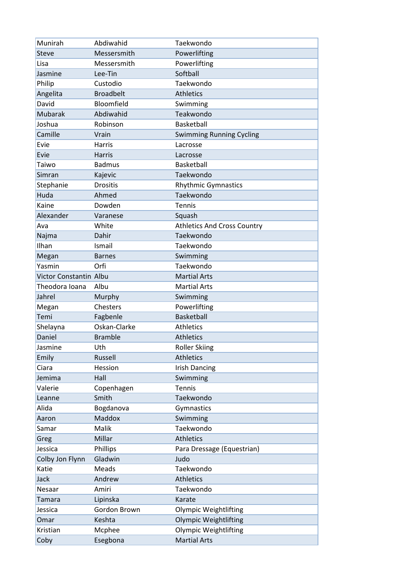| Munirah                | Abdiwahid        | Taekwondo                          |
|------------------------|------------------|------------------------------------|
| <b>Steve</b>           | Messersmith      | Powerlifting                       |
| Lisa                   | Messersmith      | Powerlifting                       |
| Jasmine                | Lee-Tin          | Softball                           |
| Philip                 | Custodio         | Taekwondo                          |
| Angelita               | <b>Broadbelt</b> | <b>Athletics</b>                   |
| David                  | Bloomfield       | Swimming                           |
| <b>Mubarak</b>         | Abdiwahid        | Teakwondo                          |
| Joshua                 | Robinson         | Basketball                         |
| Camille                | Vrain            | <b>Swimming Running Cycling</b>    |
| Evie                   | <b>Harris</b>    | Lacrosse                           |
| Evie                   | <b>Harris</b>    | Lacrosse                           |
| Taiwo                  | <b>Badmus</b>    | Basketball                         |
| Simran                 | Kajevic          | Taekwondo                          |
| Stephanie              | <b>Drositis</b>  | <b>Rhythmic Gymnastics</b>         |
| Huda                   | Ahmed            | Taekwondo                          |
| Kaine                  | Dowden           | Tennis                             |
| Alexander              | Varanese         | Squash                             |
| Ava                    | White            | <b>Athletics And Cross Country</b> |
| Najma                  | Dahir            | Taekwondo                          |
| Ilhan                  | Ismail           | Taekwondo                          |
| Megan                  | <b>Barnes</b>    | Swimming                           |
| Yasmin                 | Orfi             | Taekwondo                          |
| Victor Constantin Albu |                  | <b>Martial Arts</b>                |
| Theodora Ioana         | Albu             | <b>Martial Arts</b>                |
| Jahrel                 | Murphy           | Swimming                           |
| Megan                  | Chesters         | Powerlifting                       |
| Temi                   | Fagbenle         | <b>Basketball</b>                  |
| Shelayna               | Oskan-Clarke     | <b>Athletics</b>                   |
| Daniel                 | <b>Bramble</b>   | <b>Athletics</b>                   |
| Jasmine                | Uth              | <b>Roller Skiing</b>               |
| Emily                  | Russell          | Athletics                          |
| Ciara                  | Hession          | <b>Irish Dancing</b>               |
| Jemima                 | Hall             | Swimming                           |
| Valerie                | Copenhagen       | Tennis                             |
| Leanne                 | Smith            | Taekwondo                          |
| Alida                  | Bogdanova        | Gymnastics                         |
| Aaron                  | Maddox           | Swimming                           |
| Samar                  | Malik            | Taekwondo                          |
| Greg                   | Millar           | <b>Athletics</b>                   |
| Jessica                | Phillips         | Para Dressage (Equestrian)         |
| Colby Jon Flynn        | Gladwin          | Judo                               |
| Katie                  | Meads            | Taekwondo                          |
| Jack                   | Andrew           | <b>Athletics</b>                   |
| Nesaar                 | Amiri            | Taekwondo                          |
| Tamara                 | Lipinska         | Karate                             |
| Jessica                | Gordon Brown     | <b>Olympic Weightlifting</b>       |
| Omar                   | Keshta           | <b>Olympic Weightlifting</b>       |
| Kristian               | Mcphee           | <b>Olympic Weightlifting</b>       |
| Coby                   | Esegbona         | <b>Martial Arts</b>                |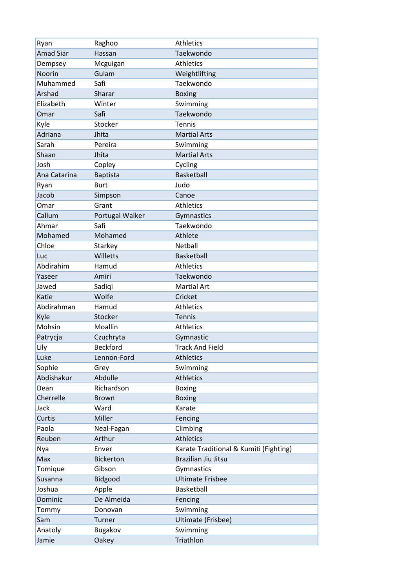| Ryan             | Raghoo           | <b>Athletics</b>                       |
|------------------|------------------|----------------------------------------|
| <b>Amad Siar</b> | Hassan           | Taekwondo                              |
| Dempsey          | Mcguigan         | <b>Athletics</b>                       |
| Noorin           | Gulam            | Weightlifting                          |
| Muhammed         | Safi             | Taekwondo                              |
| Arshad           | Sharar           | <b>Boxing</b>                          |
| Elizabeth        | Winter           | Swimming                               |
| Omar             | Safi             | Taekwondo                              |
| Kyle             | Stocker          | Tennis                                 |
| Adriana          | Jhita            | <b>Martial Arts</b>                    |
| Sarah            | Pereira          | Swimming                               |
| Shaan            | Jhita            | <b>Martial Arts</b>                    |
| Josh             | Copley           | Cycling                                |
| Ana Catarina     | <b>Baptista</b>  | <b>Basketball</b>                      |
| Ryan             | <b>Burt</b>      | Judo                                   |
| Jacob            | Simpson          | Canoe                                  |
| Omar             | Grant            | <b>Athletics</b>                       |
| Callum           | Portugal Walker  | Gymnastics                             |
| Ahmar            | Safi             | Taekwondo                              |
| Mohamed          | Mohamed          | Athlete                                |
| Chloe            | Starkey          | Netball                                |
| Luc              | Willetts         | Basketball                             |
| Abdirahim        | Hamud            | <b>Athletics</b>                       |
| Yaseer           | Amiri            | Taekwondo                              |
| Jawed            | Sadiqi           | <b>Martial Art</b>                     |
| Katie            | Wolfe            | Cricket                                |
| Abdirahman       | Hamud            | <b>Athletics</b>                       |
| Kyle             | Stocker          | Tennis                                 |
| Mohsin           | Moallin          | <b>Athletics</b>                       |
| Patrycja         | Czuchryta        | Gymnastic                              |
| Lily             | <b>Beckford</b>  | <b>Track And Field</b>                 |
| Luke             | Lennon-Ford      | <b>Athletics</b>                       |
| Sophie           | Grey             | Swimming                               |
| Abdishakur       | Abdulle          | <b>Athletics</b>                       |
| Dean             | Richardson       | <b>Boxing</b>                          |
| Cherrelle        | <b>Brown</b>     | <b>Boxing</b>                          |
| Jack             | Ward             | Karate                                 |
| Curtis           | Miller           | Fencing                                |
| Paola            | Neal-Fagan       | Climbing                               |
| Reuben           | Arthur           | <b>Athletics</b>                       |
| Nya              | Enver            | Karate Traditional & Kumiti (Fighting) |
| Max              | <b>Bickerton</b> | Brazilian Jiu Jitsu                    |
| Tomique          | Gibson           | Gymnastics                             |
| Susanna          | Bidgood          | <b>Ultimate Frisbee</b>                |
| Joshua           | Apple            | Basketball                             |
| Dominic          | De Almeida       | Fencing                                |
| Tommy            | Donovan          | Swimming                               |
| Sam              | Turner           | Ultimate (Frisbee)                     |
| Anatoly          | Bugakov          | Swimming                               |
| Jamie            | Oakey            | Triathlon                              |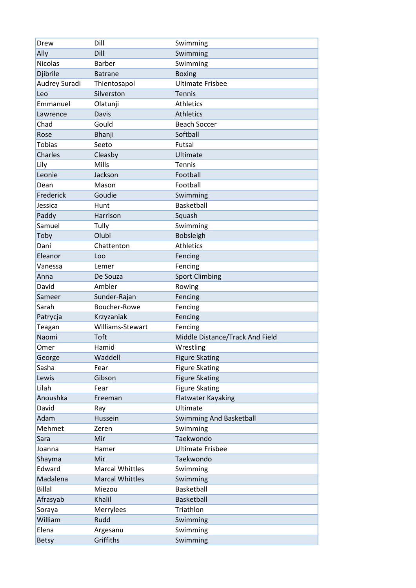| Drew           | Dill                   | Swimming                        |
|----------------|------------------------|---------------------------------|
| Ally           | Dill                   | Swimming                        |
| <b>Nicolas</b> | <b>Barber</b>          | Swimming                        |
| Djibrile       | <b>Batrane</b>         | <b>Boxing</b>                   |
| Audrey Suradi  | Thientosapol           | <b>Ultimate Frisbee</b>         |
| Leo            | Silverston             | <b>Tennis</b>                   |
| Emmanuel       | Olatunji               | <b>Athletics</b>                |
| Lawrence       | Davis                  | <b>Athletics</b>                |
| Chad           | Gould                  | <b>Beach Soccer</b>             |
| Rose           | Bhanji                 | Softball                        |
| <b>Tobias</b>  | Seeto                  | Futsal                          |
| Charles        | Cleasby                | Ultimate                        |
| Lily           | Mills                  | Tennis                          |
| Leonie         | Jackson                | Football                        |
| Dean           | Mason                  | Football                        |
| Frederick      | Goudie                 | Swimming                        |
| Jessica        | Hunt                   | Basketball                      |
| Paddy          | Harrison               | Squash                          |
| Samuel         | Tully                  | Swimming                        |
| Toby           | Olubi                  | Bobsleigh                       |
| Dani           | Chattenton             | <b>Athletics</b>                |
| Eleanor        | Loo                    | Fencing                         |
| Vanessa        | Lemer                  | Fencing                         |
| Anna           | De Souza               | <b>Sport Climbing</b>           |
| David          | Ambler                 | Rowing                          |
| Sameer         | Sunder-Rajan           | Fencing                         |
| Sarah          | Boucher-Rowe           | Fencing                         |
| Patrycja       | Krzyzaniak             | Fencing                         |
| Teagan         | Williams-Stewart       | Fencing                         |
| Naomi          | <b>Toft</b>            | Middle Distance/Track And Field |
| Omer           | Hamid                  | Wrestling                       |
| George         | Waddell                | <b>Figure Skating</b>           |
| Sasha          | Fear                   | <b>Figure Skating</b>           |
| Lewis          | Gibson                 | <b>Figure Skating</b>           |
| Lilah          | Fear                   | <b>Figure Skating</b>           |
| Anoushka       | Freeman                | <b>Flatwater Kayaking</b>       |
| David          | Ray                    | Ultimate                        |
| Adam           | Hussein                | <b>Swimming And Basketball</b>  |
| Mehmet         | Zeren                  | Swimming                        |
| Sara           | Mir                    | Taekwondo                       |
| Joanna         | Hamer                  | <b>Ultimate Frisbee</b>         |
| Shayma         | Mir                    | Taekwondo                       |
| Edward         | <b>Marcal Whittles</b> | Swimming                        |
| Madalena       | <b>Marcal Whittles</b> | Swimming                        |
| <b>Billal</b>  | Miezou                 | Basketball                      |
| Afrasyab       | Khalil                 | Basketball                      |
| Soraya         | Merrylees              | Triathlon                       |
| William        | Rudd                   | Swimming                        |
| Elena          | Argesanu               | Swimming                        |
| <b>Betsy</b>   | Griffiths              | Swimming                        |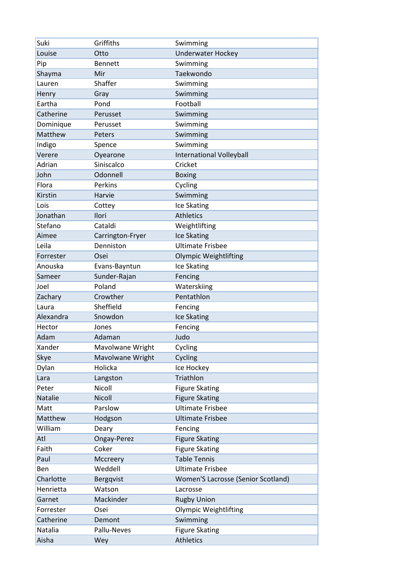| Suki      | Griffiths        | Swimming                           |
|-----------|------------------|------------------------------------|
| Louise    | Otto             | <b>Underwater Hockey</b>           |
| Pip       | <b>Bennett</b>   | Swimming                           |
| Shayma    | Mir              | Taekwondo                          |
| Lauren    | Shaffer          | Swimming                           |
| Henry     | Gray             | Swimming                           |
| Eartha    | Pond             | Football                           |
| Catherine | Perusset         | Swimming                           |
| Dominique | Perusset         | Swimming                           |
| Matthew   | Peters           | Swimming                           |
| Indigo    | Spence           | Swimming                           |
| Verere    | Oyearone         | <b>International Volleyball</b>    |
| Adrian    | Siniscalco       | Cricket                            |
| John      | Odonnell         | <b>Boxing</b>                      |
| Flora     | Perkins          | Cycling                            |
| Kirstin   | Harvie           | Swimming                           |
| Lois      | Cottey           | Ice Skating                        |
| Jonathan  | Ilori            | <b>Athletics</b>                   |
| Stefano   | Cataldi          | Weightlifting                      |
| Aimee     | Carrington-Fryer | Ice Skating                        |
| Leila     | Denniston        | <b>Ultimate Frisbee</b>            |
| Forrester | Osei             | <b>Olympic Weightlifting</b>       |
| Anouska   | Evans-Bayntun    | Ice Skating                        |
| Sameer    | Sunder-Rajan     | Fencing                            |
| Joel      | Poland           | Waterskiing                        |
| Zachary   | Crowther         | Pentathlon                         |
| Laura     | Sheffield        | Fencing                            |
| Alexandra | Snowdon          | Ice Skating                        |
| Hector    | Jones            | Fencing                            |
| Adam      | Adaman           | Judo                               |
| Xander    | Mavolwane Wright | Cycling                            |
| Skye      | Mavolwane Wright | Cycling                            |
| Dylan     | Holicka          | Ice Hockey                         |
| Lara      | Langston         | Triathlon                          |
| Peter     | Nicoll           | <b>Figure Skating</b>              |
| Natalie   | Nicoll           | <b>Figure Skating</b>              |
| Matt      | Parslow          | <b>Ultimate Frisbee</b>            |
| Matthew   | Hodgson          | <b>Ultimate Frisbee</b>            |
| William   | Deary            | Fencing                            |
| Atl       | Ongay-Perez      | <b>Figure Skating</b>              |
| Faith     | Coker            | <b>Figure Skating</b>              |
| Paul      | Mccreery         | <b>Table Tennis</b>                |
| Ben       | Weddell          | <b>Ultimate Frisbee</b>            |
| Charlotte | Bergqvist        | Women'S Lacrosse (Senior Scotland) |
| Henrietta | Watson           | Lacrosse                           |
| Garnet    | Mackinder        | <b>Rugby Union</b>                 |
| Forrester | Osei             | <b>Olympic Weightlifting</b>       |
| Catherine | Demont           | Swimming                           |
| Natalia   | Pallu-Neves      | <b>Figure Skating</b>              |
| Aisha     | Wey              | <b>Athletics</b>                   |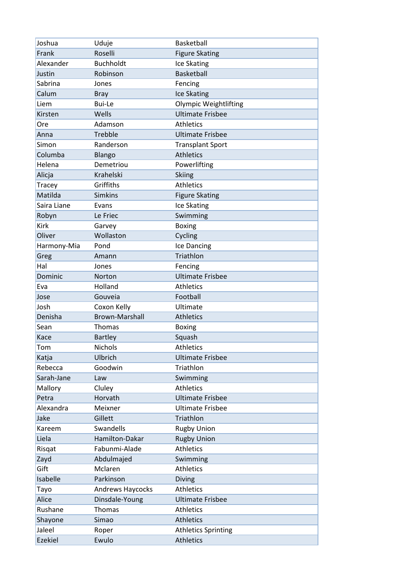| Joshua         | Uduje                   | Basketball                   |
|----------------|-------------------------|------------------------------|
| Frank          | Roselli                 | <b>Figure Skating</b>        |
| Alexander      | <b>Buchholdt</b>        | Ice Skating                  |
| Justin         | Robinson                | <b>Basketball</b>            |
| Sabrina        | Jones                   | Fencing                      |
| Calum          | <b>Bray</b>             | Ice Skating                  |
| Liem           | Bui-Le                  | <b>Olympic Weightlifting</b> |
| Kirsten        | Wells                   | <b>Ultimate Frisbee</b>      |
| Ore            | Adamson                 | <b>Athletics</b>             |
| Anna           | Trebble                 | <b>Ultimate Frisbee</b>      |
| Simon          | Randerson               | <b>Transplant Sport</b>      |
| Columba        | Blango                  | <b>Athletics</b>             |
| Helena         | Demetriou               | Powerlifting                 |
| Alicja         | Krahelski               | <b>Skiing</b>                |
| Tracey         | Griffiths               | <b>Athletics</b>             |
| Matilda        | <b>Simkins</b>          | <b>Figure Skating</b>        |
| Saira Liane    | Evans                   | Ice Skating                  |
| Robyn          | Le Friec                | Swimming                     |
| Kirk           | Garvey                  | <b>Boxing</b>                |
| Oliver         | Wollaston               | Cycling                      |
| Harmony-Mia    | Pond                    | Ice Dancing                  |
| Greg           | Amann                   | Triathlon                    |
| Hal            | Jones                   | Fencing                      |
| Dominic        | <b>Norton</b>           | <b>Ultimate Frisbee</b>      |
| Eva            | Holland                 | <b>Athletics</b>             |
| Jose           | Gouveia                 | Football                     |
| Josh           | Coxon Kelly             | Ultimate                     |
| Denisha        | <b>Brown-Marshall</b>   | <b>Athletics</b>             |
| Sean           | Thomas                  | <b>Boxing</b>                |
| Kace           | <b>Bartley</b>          | Squash                       |
| Tom            | <b>Nichols</b>          | <b>Athletics</b>             |
| Katja          | Ulbrich                 | <b>Ultimate Frisbee</b>      |
| Rebecca        | Goodwin                 | Triathlon                    |
| Sarah-Jane     | Law                     | Swimming                     |
| Mallory        | Cluley                  | <b>Athletics</b>             |
| Petra          | Horvath                 | <b>Ultimate Frisbee</b>      |
| Alexandra      | Meixner                 | <b>Ultimate Frisbee</b>      |
| Jake           | Gillett                 | Triathlon                    |
| Kareem         | Swandells               | <b>Rugby Union</b>           |
| Liela          | Hamilton-Dakar          | <b>Rugby Union</b>           |
| Risgat         | Fabunmi-Alade           | <b>Athletics</b>             |
| Zayd           | Abdulmajed              | Swimming                     |
| Gift           | Mclaren                 | <b>Athletics</b>             |
| Isabelle       | Parkinson               | Diving                       |
| Tayo           | <b>Andrews Haycocks</b> | <b>Athletics</b>             |
| Alice          | Dinsdale-Young          | <b>Ultimate Frisbee</b>      |
| Rushane        | Thomas                  | <b>Athletics</b>             |
| Shayone        | Simao                   | <b>Athletics</b>             |
| Jaleel         | Roper                   | <b>Athletics Sprinting</b>   |
| <b>Ezekiel</b> | Ewulo                   | <b>Athletics</b>             |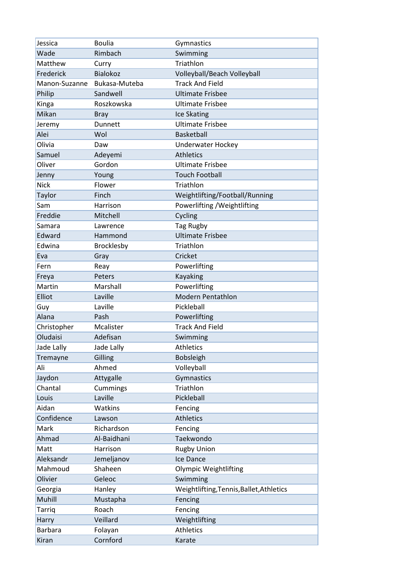| Jessica              | <b>Boulia</b>         | Gymnastics                               |
|----------------------|-----------------------|------------------------------------------|
| Wade                 | Rimbach               | Swimming                                 |
| Matthew              | Curry                 | Triathlon                                |
| Frederick            | <b>Bialokoz</b>       | Volleyball/Beach Volleyball              |
| Manon-Suzanne        | Bukasa-Muteba         | <b>Track And Field</b>                   |
| Philip               | Sandwell              | <b>Ultimate Frisbee</b>                  |
| Kinga                | Roszkowska            | <b>Ultimate Frisbee</b>                  |
| Mikan                | <b>Bray</b>           | Ice Skating                              |
| Jeremy               | Dunnett               | <b>Ultimate Frisbee</b>                  |
| Alei                 | Wol                   | <b>Basketball</b>                        |
| Olivia               | Daw                   | <b>Underwater Hockey</b>                 |
| Samuel               | Adeyemi               | Athletics                                |
| Oliver               | Gordon                | <b>Ultimate Frisbee</b>                  |
| Jenny                | Young                 | <b>Touch Football</b>                    |
| <b>Nick</b>          | Flower                | Triathlon                                |
| Taylor               | Finch                 | Weightlifting/Football/Running           |
| Sam                  | Harrison              | Powerlifting / Weightlifting             |
| Freddie              | Mitchell              | Cycling                                  |
| Samara               | Lawrence              | <b>Tag Rugby</b>                         |
| Edward               | Hammond               | <b>Ultimate Frisbee</b>                  |
| Edwina               | Brocklesby            | Triathlon                                |
| Eva                  | Gray                  | Cricket                                  |
| Fern                 | Reay                  | Powerlifting                             |
| Freya                | Peters                | Kayaking                                 |
| Martin               | Marshall              | Powerlifting                             |
| Elliot               | Laville               | <b>Modern Pentathlon</b>                 |
| Guy                  | Laville               | Pickleball                               |
| Alana                | Pash                  | Powerlifting                             |
| Christopher          | Mcalister             | <b>Track And Field</b>                   |
| Oludaisi             | Adefisan              | Swimming                                 |
| Jade Lally           | Jade Lally            | <b>Athletics</b>                         |
| Tremayne             | Gilling               | <b>Bobsleigh</b>                         |
| Ali                  | Ahmed                 | Volleyball                               |
| Jaydon               | Attygalle             | Gymnastics                               |
| Chantal              | Cummings              | Triathlon                                |
| Louis                | Laville               | Pickleball                               |
| Aidan                | Watkins               | Fencing                                  |
| Confidence           | Lawson                | <b>Athletics</b>                         |
| Mark                 | Richardson            | Fencing                                  |
| Ahmad                | Al-Baidhani           | Taekwondo                                |
| Matt                 | Harrison              | <b>Rugby Union</b>                       |
|                      |                       |                                          |
| Aleksandr<br>Mahmoud | Jemeljanov<br>Shaheen | Ice Dance                                |
| Olivier              |                       | <b>Olympic Weightlifting</b>             |
|                      | Geleoc                | Swimming                                 |
| Georgia              | Hanley                | Weightlifting, Tennis, Ballet, Athletics |
| Muhill               | Mustapha              | Fencing                                  |
| Tarriq               | Roach                 | Fencing                                  |
| Harry                | Veillard              | Weightlifting                            |
| <b>Barbara</b>       | Folayan               | Athletics                                |
| Kiran                | Cornford              | Karate                                   |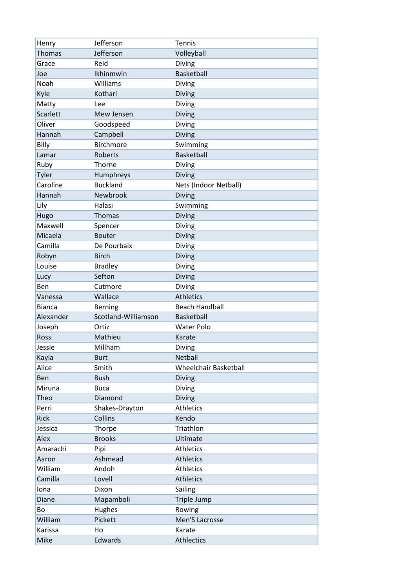| Henry           | Jefferson           | Tennis                       |
|-----------------|---------------------|------------------------------|
| <b>Thomas</b>   | Jefferson           | Volleyball                   |
| Grace           | Reid                | Diving                       |
| Joe             | Ikhinmwin           | <b>Basketball</b>            |
| Noah            | Williams            | Diving                       |
| Kyle            | Kothari             | <b>Diving</b>                |
| Matty           | Lee                 | Diving                       |
| Scarlett        | Mew Jensen          | Diving                       |
| Oliver          | Goodspeed           | Diving                       |
| Hannah          | Campbell            | Diving                       |
| Billy           | <b>Birchmore</b>    | Swimming                     |
| Lamar           | Roberts             | <b>Basketball</b>            |
| Ruby            | Thorne              | Diving                       |
| Tyler           | Humphreys           | Diving                       |
| Caroline        | <b>Buckland</b>     | Nets (Indoor Netball)        |
| Hannah          | Newbrook            | Diving                       |
| Lily            | Halasi              | Swimming                     |
| Hugo            | <b>Thomas</b>       | Diving                       |
| Maxwell         | Spencer             | Diving                       |
| Micaela         | <b>Bouter</b>       | Diving                       |
| Camilla         | De Pourbaix         | Diving                       |
| Robyn           | <b>Birch</b>        | Diving                       |
| Louise          | <b>Bradley</b>      | Diving                       |
| Lucy            | Sefton              | Diving                       |
| Ben             | Cutmore             | Diving                       |
|                 |                     |                              |
| Vanessa         | Wallace             | <b>Athletics</b>             |
| <b>Bianca</b>   | <b>Berning</b>      | <b>Beach Handball</b>        |
| Alexander       | Scotland-Williamson | <b>Basketball</b>            |
| Joseph          | Ortiz               | <b>Water Polo</b>            |
| <b>Ross</b>     | Mathieu             | Karate                       |
| Jessie          | Millham             | Diving                       |
| Kayla           | <b>Burt</b>         | Netball                      |
| Alice           | Smith               | <b>Wheelchair Basketball</b> |
| Ben             | <b>Bush</b>         | Diving                       |
| Miruna          | <b>Buca</b>         | Diving                       |
| Theo            | Diamond             | Diving                       |
| Perri           | Shakes-Drayton      | Athletics                    |
| Rick            | Collins             | Kendo                        |
| Jessica         | Thorpe              | Triathlon                    |
| Alex            | <b>Brooks</b>       | Ultimate                     |
| Amarachi        | Pipi                | Athletics                    |
| Aaron           | Ashmead             | <b>Athletics</b>             |
| William         | Andoh               | Athletics                    |
| Camilla         | Lovell              | <b>Athletics</b>             |
| lona            | Dixon               | Sailing                      |
| Diane           | Mapamboli           | Triple Jump                  |
| Bo              | Hughes              | Rowing                       |
| William         | Pickett             | Men'S Lacrosse               |
| Karissa<br>Mike | Ho<br>Edwards       | Karate<br><b>Athlectics</b>  |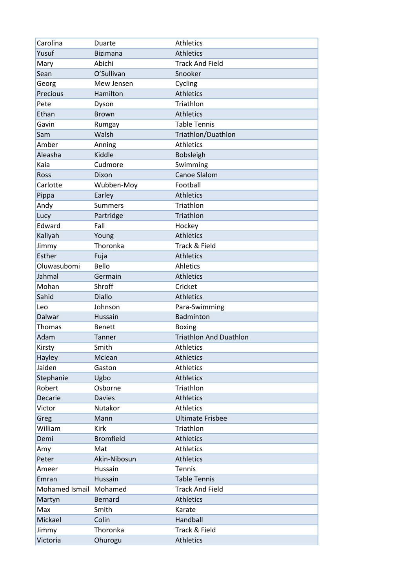| Carolina               | Duarte           | <b>Athletics</b>              |
|------------------------|------------------|-------------------------------|
| Yusuf                  | <b>Bizimana</b>  | <b>Athletics</b>              |
| Mary                   | Abichi           | <b>Track And Field</b>        |
| Sean                   | O'Sullivan       | Snooker                       |
| Georg                  | Mew Jensen       | Cycling                       |
| Precious               | Hamilton         | <b>Athletics</b>              |
| Pete                   | Dyson            | Triathlon                     |
| Ethan                  | <b>Brown</b>     | <b>Athletics</b>              |
| Gavin                  | Rumgay           | <b>Table Tennis</b>           |
| Sam                    | Walsh            | Triathlon/Duathlon            |
| Amber                  | Anning           | <b>Athletics</b>              |
| Aleasha                | Kiddle           | <b>Bobsleigh</b>              |
| Kaia                   | Cudmore          | Swimming                      |
| <b>Ross</b>            | Dixon            | <b>Canoe Slalom</b>           |
| Carlotte               | Wubben-Moy       | Football                      |
| Pippa                  | Earley           | <b>Athletics</b>              |
| Andy                   | <b>Summers</b>   | Triathlon                     |
| Lucy                   | Partridge        | Triathlon                     |
| Edward                 | Fall             | Hockey                        |
| Kaliyah                | Young            | <b>Athletics</b>              |
| Jimmy                  | Thoronka         | Track & Field                 |
| Esther                 | Fuja             | <b>Athletics</b>              |
| Oluwasubomi            | Bello            | Ahletics                      |
| Jahmal                 | Germain          | <b>Athletics</b>              |
| Mohan                  | Shroff           | Cricket                       |
| Sahid                  | Diallo           | <b>Athletics</b>              |
| Leo                    | Johnson          | Para-Swimming                 |
| Dalwar                 | Hussain          | <b>Badminton</b>              |
| Thomas                 | <b>Benett</b>    | <b>Boxing</b>                 |
| Adam                   | Tanner           | <b>Triathlon And Duathlon</b> |
| Kirsty                 | Smith            | <b>Athletics</b>              |
| Hayley                 | Mclean           | <b>Athletics</b>              |
| Jaiden                 | Gaston           | Athletics                     |
| Stephanie              | Ugbo             | <b>Athletics</b>              |
| Robert                 | Osborne          | Triathlon                     |
| Decarie                | <b>Davies</b>    | <b>Athletics</b>              |
| Victor                 | Nutakor          | Athletics                     |
| Greg                   | Mann             | <b>Ultimate Frisbee</b>       |
| William                | Kirk             | Triathlon                     |
| Demi                   | <b>Bromfield</b> | Athletics                     |
| Amy                    | Mat              | <b>Athletics</b>              |
| Peter                  | Akin-Nibosun     | <b>Athletics</b>              |
| Ameer                  | Hussain          | Tennis                        |
| Emran                  | Hussain          | <b>Table Tennis</b>           |
| Mohamed Ismail Mohamed |                  | <b>Track And Field</b>        |
| Martyn                 | Bernard          | <b>Athletics</b>              |
| Max                    | Smith            | Karate                        |
| Mickael                | Colin            | Handball                      |
| Jimmy                  | Thoronka         | Track & Field                 |
| Victoria               | Ohurogu          | <b>Athletics</b>              |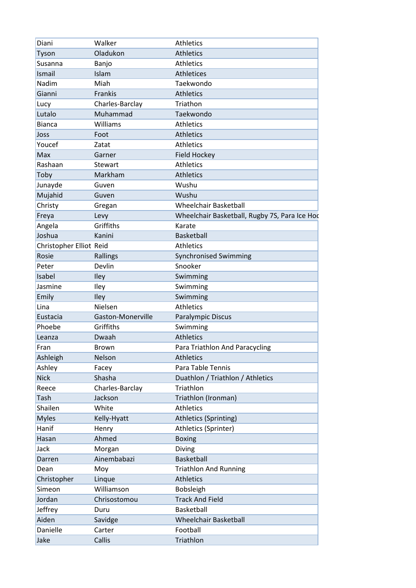| Diani                   | Walker            | <b>Athletics</b>                              |
|-------------------------|-------------------|-----------------------------------------------|
| Tyson                   | Oladukon          | <b>Athletics</b>                              |
| Susanna                 | Banjo             | <b>Athletics</b>                              |
| Ismail                  | Islam             | Athletices                                    |
| Nadim                   | Miah              | Taekwondo                                     |
| Gianni                  | Frankis           | <b>Athletics</b>                              |
| Lucy                    | Charles-Barclay   | Triathon                                      |
| Lutalo                  | Muhammad          | Taekwondo                                     |
| <b>Bianca</b>           | Williams          | <b>Athletics</b>                              |
| Joss                    | Foot              | <b>Athletics</b>                              |
| Youcef                  | Zatat             | <b>Athletics</b>                              |
| Max                     | Garner            | <b>Field Hockey</b>                           |
| Rashaan                 | Stewart           | Athletics                                     |
| Toby                    | Markham           | <b>Athletics</b>                              |
| Junayde                 | Guven             | Wushu                                         |
| Mujahid                 | Guven             | Wushu                                         |
| Christy                 | Gregan            | <b>Wheelchair Basketball</b>                  |
| Freya                   | Levy              | Wheelchair Basketball, Rugby 7S, Para Ice Hoc |
| Angela                  | Griffiths         | Karate                                        |
| Joshua                  | Kanini            | <b>Basketball</b>                             |
| Christopher Elliot Reid |                   | <b>Athletics</b>                              |
| Rosie                   | Rallings          | <b>Synchronised Swimming</b>                  |
| Peter                   | Devlin            | Snooker                                       |
| Isabel                  | <b>Iley</b>       | Swimming                                      |
| Jasmine                 | Iley              | Swimming                                      |
| Emily                   | Iley              | Swimming                                      |
| Lina                    | Nielsen           | <b>Athletics</b>                              |
| Eustacia                | Gaston-Monerville | Paralympic Discus                             |
| Phoebe                  | Griffiths         | Swimming                                      |
| Leanza                  | Dwaah             | <b>Athletics</b>                              |
| Fran                    | Brown             | Para Triathlon And Paracycling                |
| Ashleigh                | Nelson            | Athletics                                     |
| Ashley                  | Facey             | Para Table Tennis                             |
| <b>Nick</b>             | Shasha            | Duathlon / Triathlon / Athletics              |
| Reece                   | Charles-Barclay   | Triathlon                                     |
| Tash                    | Jackson           | Triathlon (Ironman)                           |
| Shailen                 | White             | Athletics                                     |
| <b>Myles</b>            | Kelly-Hyatt       | Athletics (Sprinting)                         |
| Hanif                   | Henry             | Athletics (Sprinter)                          |
| Hasan                   | Ahmed             | <b>Boxing</b>                                 |
| Jack                    | Morgan            | Diving                                        |
| Darren                  | Ainembabazi       | Basketball                                    |
| Dean                    | Moy               | <b>Triathlon And Running</b>                  |
| Christopher             | Linque            | <b>Athletics</b>                              |
| Simeon                  | Williamson        | Bobsleigh                                     |
| Jordan                  | Chrisostomou      | <b>Track And Field</b>                        |
| Jeffrey                 | Duru              | Basketball                                    |
| Aiden                   | Savidge           | <b>Wheelchair Basketball</b>                  |
| Danielle                | Carter            | Football                                      |
| Jake                    | Callis            | Triathlon                                     |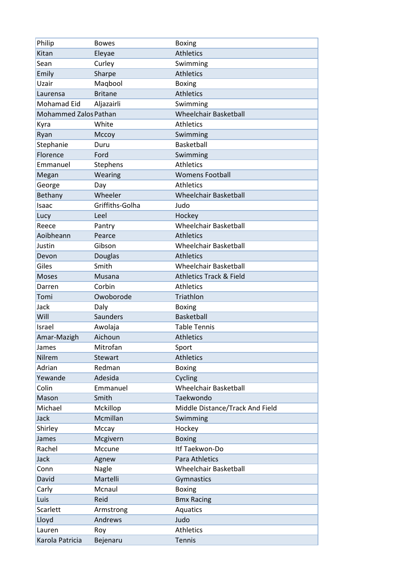| Philip                       | <b>Bowes</b>    | <b>Boxing</b>                      |
|------------------------------|-----------------|------------------------------------|
| Kitan                        | Eleyae          | <b>Athletics</b>                   |
| Sean                         | Curley          | Swimming                           |
| Emily                        | Sharpe          | <b>Athletics</b>                   |
| Uzair                        | Maqbool         | <b>Boxing</b>                      |
| Laurensa                     | <b>Britane</b>  | <b>Athletics</b>                   |
| Mohamad Eid                  | Aljazairli      | Swimming                           |
| <b>Mohammed Zalos Pathan</b> |                 | <b>Wheelchair Basketball</b>       |
| Kyra                         | White           | <b>Athletics</b>                   |
| Ryan                         | Мссоу           | Swimming                           |
| Stephanie                    | Duru            | Basketball                         |
| Florence                     | Ford            | Swimming                           |
| Emmanuel                     | Stephens        | <b>Athletics</b>                   |
| Megan                        | Wearing         | <b>Womens Football</b>             |
| George                       | Day             | <b>Athletics</b>                   |
| <b>Bethany</b>               | Wheeler         | <b>Wheelchair Basketball</b>       |
| Isaac                        | Griffiths-Golha | Judo                               |
| Lucy                         | Leel            | Hockey                             |
| Reece                        | Pantry          | <b>Wheelchair Basketball</b>       |
| Aoibheann                    | Pearce          | <b>Athletics</b>                   |
| Justin                       | Gibson          | <b>Wheelchair Basketball</b>       |
| Devon                        | Douglas         | <b>Athletics</b>                   |
| Giles                        | Smith           | <b>Wheelchair Basketball</b>       |
| <b>Moses</b>                 | Musana          | <b>Athletics Track &amp; Field</b> |
| Darren                       | Corbin          | <b>Athletics</b>                   |
| Tomi                         | Owoborode       | Triathlon                          |
| Jack                         | Daly            | <b>Boxing</b>                      |
| Will                         | Saunders        | <b>Basketball</b>                  |
| Israel                       | Awolaja         | <b>Table Tennis</b>                |
| Amar-Mazigh                  | Aichoun         | <b>Athletics</b>                   |
| James                        | Mitrofan        | Sport                              |
| Nilrem                       | Stewart         | <b>Athletics</b>                   |
| Adrian                       | Redman          | <b>Boxing</b>                      |
| Yewande                      | Adesida         | Cycling                            |
| Colin                        | Emmanuel        | <b>Wheelchair Basketball</b>       |
| Mason                        | Smith           | Taekwondo                          |
| Michael                      | Mckillop        | Middle Distance/Track And Field    |
| Jack                         | Mcmillan        | Swimming                           |
| Shirley                      | Mccay           | Hockey                             |
| James                        | Mcgivern        | <b>Boxing</b>                      |
| Rachel                       | Mccune          | Itf Taekwon-Do                     |
| Jack                         | Agnew           | Para Athletics                     |
| Conn                         | Nagle           | <b>Wheelchair Basketball</b>       |
| David                        | Martelli        | Gymnastics                         |
| Carly                        | Mcnaul          | <b>Boxing</b>                      |
| Luis                         | Reid            | <b>Bmx Racing</b>                  |
| Scarlett                     | Armstrong       | Aquatics                           |
| Lloyd                        | Andrews         | Judo                               |
| Lauren                       | Roy             | <b>Athletics</b>                   |
| Karola Patricia              | Bejenaru        | <b>Tennis</b>                      |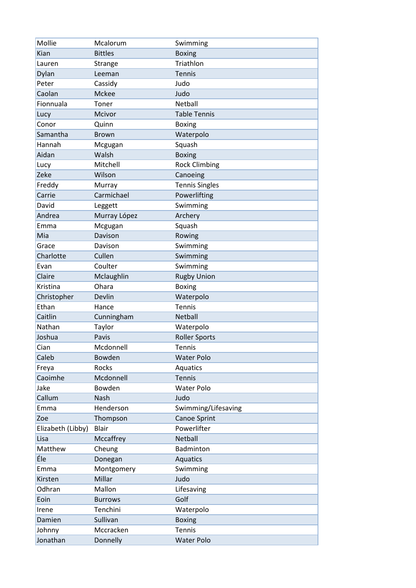| Mollie            | Mcalorum       | Swimming              |
|-------------------|----------------|-----------------------|
| Kian              | <b>Bittles</b> | <b>Boxing</b>         |
| Lauren            | Strange        | Triathlon             |
| Dylan             | Leeman         | <b>Tennis</b>         |
| Peter             | Cassidy        | Judo                  |
| Caolan            | Mckee          | Judo                  |
| Fionnuala         | Toner          | Netball               |
| Lucy              | Mcivor         | <b>Table Tennis</b>   |
| Conor             | Quinn          | <b>Boxing</b>         |
| Samantha          | <b>Brown</b>   | Waterpolo             |
| Hannah            | Mcgugan        | Squash                |
| Aidan             | Walsh          | <b>Boxing</b>         |
| Lucy              | Mitchell       | <b>Rock Climbing</b>  |
| Zeke              | Wilson         | Canoeing              |
| Freddy            | Murray         | <b>Tennis Singles</b> |
| Carrie            | Carmichael     | Powerlifting          |
| David             | Leggett        | Swimming              |
| Andrea            | Murray López   | Archery               |
| Emma              | Mcgugan        | Squash                |
| Mia               | Davison        | Rowing                |
| Grace             | Davison        | Swimming              |
| Charlotte         | Cullen         | Swimming              |
| Evan              | Coulter        | Swimming              |
| Claire            | Mclaughlin     | <b>Rugby Union</b>    |
| Kristina          | Ohara          | <b>Boxing</b>         |
| Christopher       | Devlin         | Waterpolo             |
| Ethan             | Hance          | <b>Tennis</b>         |
| Caitlin           | Cunningham     | Netball               |
| Nathan            | Taylor         | Waterpolo             |
| Joshua            | Pavis          | <b>Roller Sports</b>  |
| Cian              | Mcdonnell      | Tennis                |
| Caleb             | Bowden         | <b>Water Polo</b>     |
| Freya             | Rocks          | Aquatics              |
| Caoimhe           | Mcdonnell      | <b>Tennis</b>         |
| Jake              | Bowden         | <b>Water Polo</b>     |
| Callum            | Nash           | Judo                  |
| Emma              | Henderson      | Swimming/Lifesaving   |
| Zoe               | Thompson       | Canoe Sprint          |
| Elizabeth (Libby) | <b>Blair</b>   | Powerlifter           |
| Lisa              | Mccaffrey      | Netball               |
| Matthew           | Cheung         | Badminton             |
| Éle               | Donegan        | Aquatics              |
| Emma              | Montgomery     | Swimming              |
| Kirsten           | Millar         | Judo                  |
| Odhran            | Mallon         | Lifesaving            |
| Eoin              | <b>Burrows</b> | Golf                  |
| Irene             | Tenchini       | Waterpolo             |
| Damien            | Sullivan       | <b>Boxing</b>         |
| Johnny            | Mccracken      | Tennis                |
| Jonathan          | Donnelly       | <b>Water Polo</b>     |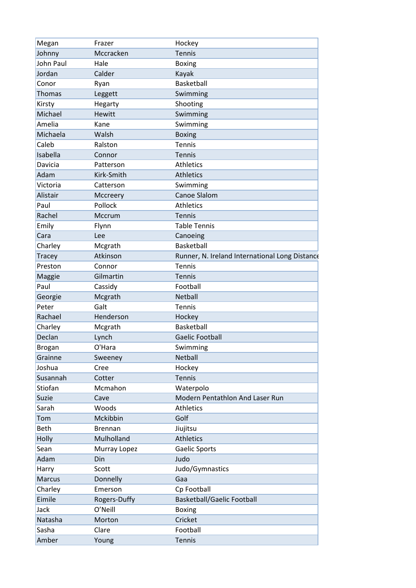| Megan         | Frazer        | Hockey                                         |
|---------------|---------------|------------------------------------------------|
| Johnny        | Mccracken     | <b>Tennis</b>                                  |
| John Paul     | Hale          | <b>Boxing</b>                                  |
| Jordan        | Calder        | Kayak                                          |
| Conor         | Ryan          | Basketball                                     |
| <b>Thomas</b> | Leggett       | Swimming                                       |
| Kirsty        | Hegarty       | Shooting                                       |
| Michael       | <b>Hewitt</b> | Swimming                                       |
| Amelia        | Kane          | Swimming                                       |
| Michaela      | Walsh         | <b>Boxing</b>                                  |
| Caleb         | Ralston       | <b>Tennis</b>                                  |
| Isabella      | Connor        | <b>Tennis</b>                                  |
| Davicia       | Patterson     | <b>Athletics</b>                               |
| Adam          | Kirk-Smith    | <b>Athletics</b>                               |
| Victoria      | Catterson     | Swimming                                       |
| Alistair      | Mccreery      | Canoe Slalom                                   |
| Paul          | Pollock       | <b>Athletics</b>                               |
| Rachel        | Mccrum        | <b>Tennis</b>                                  |
| Emily         | Flynn         | <b>Table Tennis</b>                            |
| Cara          | Lee           | Canoeing                                       |
| Charley       | Mcgrath       | Basketball                                     |
| Tracey        | Atkinson      | Runner, N. Ireland International Long Distance |
| Preston       | Connor        | <b>Tennis</b>                                  |
| Maggie        | Gilmartin     | <b>Tennis</b>                                  |
| Paul          | Cassidy       | Football                                       |
| Georgie       | Mcgrath       | Netball                                        |
| Peter         | Galt          | <b>Tennis</b>                                  |
| Rachael       | Henderson     | Hockey                                         |
| Charley       | Mcgrath       | Basketball                                     |
| Declan        | Lynch         | <b>Gaelic Football</b>                         |
| <b>Brogan</b> | O'Hara        | Swimming                                       |
| Grainne       | Sweeney       | Netball                                        |
| Joshua        | Cree          | Hockey                                         |
| Susannah      | Cotter        | <b>Tennis</b>                                  |
| Stiofan       | Mcmahon       | Waterpolo                                      |
| Suzie         | Cave          | Modern Pentathlon And Laser Run                |
| Sarah         | Woods         | <b>Athletics</b>                               |
| Tom           | Mckibbin      | Golf                                           |
| <b>Beth</b>   | Brennan       | Jiujitsu                                       |
| Holly         | Mulholland    | <b>Athletics</b>                               |
| Sean          | Murray Lopez  | Gaelic Sports                                  |
| Adam          | Din           | Judo                                           |
| Harry         | Scott         | Judo/Gymnastics                                |
| <b>Marcus</b> | Donnelly      | Gaa                                            |
| Charley       | Emerson       | Cp Football                                    |
| Eimile        | Rogers-Duffy  | <b>Basketball/Gaelic Football</b>              |
| Jack          | O'Neill       | <b>Boxing</b>                                  |
| Natasha       | Morton        | Cricket                                        |
| Sasha         | Clare         | Football                                       |
| Amber         | Young         | <b>Tennis</b>                                  |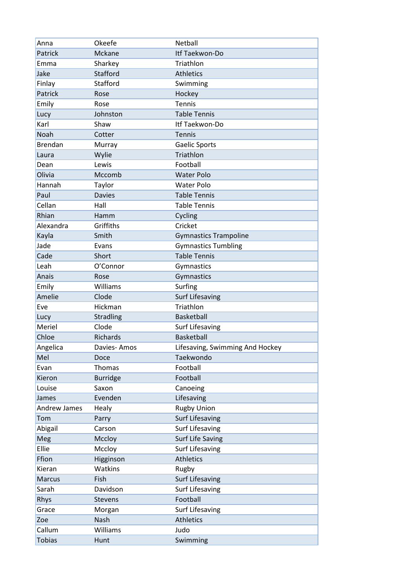| Anna                | Okeefe           | Netball                         |
|---------------------|------------------|---------------------------------|
| Patrick             | Mckane           | Itf Taekwon-Do                  |
| Emma                | Sharkey          | Triathlon                       |
| Jake                | Stafford         | <b>Athletics</b>                |
| Finlay              | Stafford         | Swimming                        |
| Patrick             | Rose             | Hockey                          |
| Emily               | Rose             | Tennis                          |
| Lucy                | Johnston         | <b>Table Tennis</b>             |
| Karl                | Shaw             | Itf Taekwon-Do                  |
| Noah                | Cotter           | <b>Tennis</b>                   |
| <b>Brendan</b>      | Murray           | <b>Gaelic Sports</b>            |
| Laura               | Wylie            | Triathlon                       |
| Dean                | Lewis            | Football                        |
| Olivia              | Mccomb           | <b>Water Polo</b>               |
| Hannah              | Taylor           | <b>Water Polo</b>               |
| Paul                | <b>Davies</b>    | <b>Table Tennis</b>             |
| Cellan              | Hall             | <b>Table Tennis</b>             |
| Rhian               | Hamm             | Cycling                         |
| Alexandra           | Griffiths        | Cricket                         |
| Kayla               | Smith            | <b>Gymnastics Trampoline</b>    |
| Jade                | Evans            | <b>Gymnastics Tumbling</b>      |
| Cade                | Short            | <b>Table Tennis</b>             |
| Leah                | O'Connor         | Gymnastics                      |
| Anais               | Rose             | Gymnastics                      |
| Emily               | Williams         | Surfing                         |
| Amelie              | Clode            | <b>Surf Lifesaving</b>          |
| Eve                 | Hickman          | Triathlon                       |
| Lucy                | <b>Stradling</b> | Basketball                      |
| Meriel              | Clode            | <b>Surf Lifesaving</b>          |
| Chloe               | Richards         | Basketball                      |
| Angelica            | Davies-Amos      | Lifesaving, Swimming And Hockey |
| Mel                 | Doce             | Taekwondo                       |
| Evan                | Thomas           | Football                        |
| Kieron              | <b>Burridge</b>  | Football                        |
| Louise              | Saxon            | Canoeing                        |
| James               | Evenden          | Lifesaving                      |
| <b>Andrew James</b> | Healy            | <b>Rugby Union</b>              |
| Tom                 | Parry            | <b>Surf Lifesaving</b>          |
| Abigail             | Carson           | <b>Surf Lifesaving</b>          |
| Meg                 | Mccloy           | <b>Surf Life Saving</b>         |
| Ellie               | Mccloy           | <b>Surf Lifesaving</b>          |
| Ffion               | Higginson        | <b>Athletics</b>                |
| Kieran              | Watkins          | Rugby                           |
| <b>Marcus</b>       | Fish             | <b>Surf Lifesaving</b>          |
| Sarah               | Davidson         | <b>Surf Lifesaving</b>          |
| Rhys                | Stevens          | Football                        |
| Grace               | Morgan           | <b>Surf Lifesaving</b>          |
| Zoe                 | Nash             | <b>Athletics</b>                |
| Callum              | Williams         | Judo                            |
| <b>Tobias</b>       | Hunt             | Swimming                        |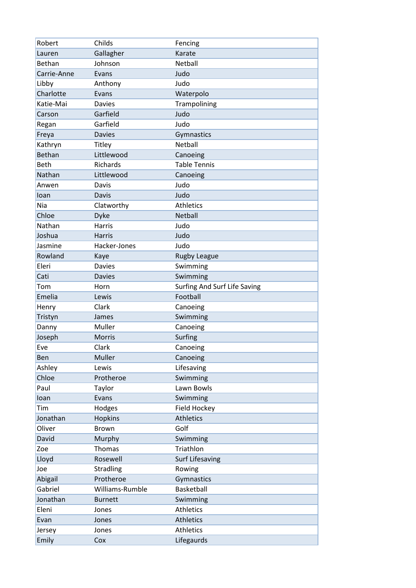| Robert        | Childs           | Fencing                      |
|---------------|------------------|------------------------------|
| Lauren        | Gallagher        | Karate                       |
| Bethan        | Johnson          | Netball                      |
| Carrie-Anne   | Evans            | Judo                         |
| Libby         | Anthony          | Judo                         |
| Charlotte     | Evans            | Waterpolo                    |
| Katie-Mai     | <b>Davies</b>    | Trampolining                 |
| Carson        | Garfield         | Judo                         |
| Regan         | Garfield         | Judo                         |
| Freya         | <b>Davies</b>    | Gymnastics                   |
| Kathryn       | Titley           | Netball                      |
| <b>Bethan</b> | Littlewood       | Canoeing                     |
| <b>Beth</b>   | Richards         | <b>Table Tennis</b>          |
| Nathan        | Littlewood       | Canoeing                     |
| Anwen         | Davis            | Judo                         |
| loan          | <b>Davis</b>     | Judo                         |
| Nia           | Clatworthy       | <b>Athletics</b>             |
| Chloe         | <b>Dyke</b>      | Netball                      |
| Nathan        | Harris           | Judo                         |
| Joshua        | <b>Harris</b>    | Judo                         |
| Jasmine       | Hacker-Jones     | Judo                         |
| Rowland       | Kaye             | <b>Rugby League</b>          |
| Eleri         | <b>Davies</b>    | Swimming                     |
| Cati          | <b>Davies</b>    | Swimming                     |
| Tom           | Horn             | Surfing And Surf Life Saving |
| Emelia        | Lewis            | Football                     |
| Henry         | Clark            | Canoeing                     |
| Tristyn       | James            | Swimming                     |
| Danny         | Muller           | Canoeing                     |
| Joseph        | Morris           | Surfing                      |
| Eve           | Clark            | Canoeing                     |
| Ben           | Muller           | Canoeing                     |
| Ashley        | Lewis            | Lifesaving                   |
| Chloe         | Protheroe        | Swimming                     |
| Paul          | Taylor           | Lawn Bowls                   |
| loan          | Evans            | Swimming                     |
| Tim           | Hodges           | Field Hockey                 |
| Jonathan      | <b>Hopkins</b>   | <b>Athletics</b>             |
| Oliver        | <b>Brown</b>     | Golf                         |
| David         | Murphy           | Swimming                     |
| Zoe           | Thomas           | Triathlon                    |
| Lloyd         | Rosewell         | <b>Surf Lifesaving</b>       |
| Joe           | <b>Stradling</b> | Rowing                       |
| Abigail       | Protheroe        | Gymnastics                   |
| Gabriel       | Williams-Rumble  | Basketball                   |
| Jonathan      | <b>Burnett</b>   | Swimming                     |
| Eleni         | Jones            | Athletics                    |
| Evan          | Jones            | <b>Athletics</b>             |
| Jersey        | Jones            | Athletics                    |
| Emily         | Cox              | Lifegaurds                   |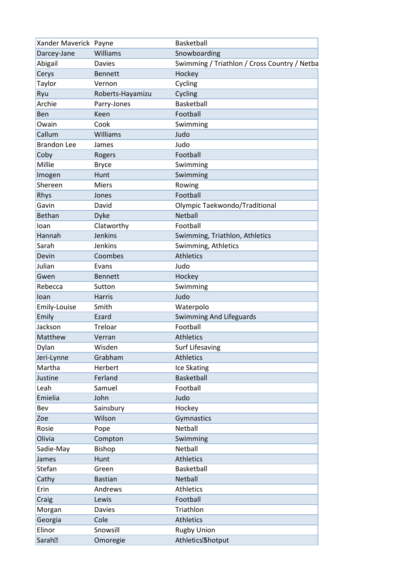| Xander Maverick Payne |                  | Basketball                                   |
|-----------------------|------------------|----------------------------------------------|
| Darcey-Jane           | Williams         | Snowboarding                                 |
| Abigail               | <b>Davies</b>    | Swimming / Triathlon / Cross Country / Netba |
| Cerys                 | <b>Bennett</b>   | Hockey                                       |
| Taylor                | Vernon           | Cycling                                      |
| Ryu                   | Roberts-Hayamizu | Cycling                                      |
| Archie                | Parry-Jones      | Basketball                                   |
| <b>Ben</b>            | Keen             | Football                                     |
| Owain                 | Cook             | Swimming                                     |
| Callum                | Williams         | Judo                                         |
| <b>Brandon Lee</b>    | James            | Judo                                         |
| Coby                  | Rogers           | Football                                     |
| Millie                | <b>Bryce</b>     | Swimming                                     |
| Imogen                | Hunt             | Swimming                                     |
| Shereen               | <b>Miers</b>     | Rowing                                       |
| Rhys                  | Jones            | Football                                     |
| Gavin                 | David            | Olympic Taekwondo/Traditional                |
| Bethan                | <b>Dyke</b>      | Netball                                      |
| loan                  | Clatworthy       | Football                                     |
| Hannah                | Jenkins          | Swimming, Triathlon, Athletics               |
| Sarah                 | Jenkins          | Swimming, Athletics                          |
| Devin                 | Coombes          | <b>Athletics</b>                             |
| Julian                | Evans            | Judo                                         |
| Gwen                  | <b>Bennett</b>   | Hockey                                       |
| Rebecca               | Sutton           | Swimming                                     |
| loan                  | <b>Harris</b>    | Judo                                         |
| Emily-Louise          | Smith            | Waterpolo                                    |
| Emily                 | Ezard            | <b>Swimming And Lifeguards</b>               |
| Jackson               | Treloar          | Football                                     |
| Matthew               | Verran           | <b>Athletics</b>                             |
| Dylan                 | Wisden           | <b>Surf Lifesaving</b>                       |
| Jeri-Lynne            | Grabham          | <b>Athletics</b>                             |
| Martha                | Herbert          | Ice Skating                                  |
| Justine               | Ferland          | Basketball                                   |
| Leah                  | Samuel           | Football                                     |
| Emielia               | John             | Judo                                         |
| Bev                   | Sainsbury        | Hockey                                       |
| Zoe                   | Wilson           | Gymnastics                                   |
| Rosie                 | Pope             | Netball                                      |
| Olivia                | Compton          | Swimming                                     |
| Sadie-May             | <b>Bishop</b>    | Netball                                      |
| James                 | Hunt             | <b>Athletics</b>                             |
| Stefan                | Green            | Basketball                                   |
| Cathy                 | <b>Bastian</b>   | Netball                                      |
| Erin                  | Andrews          | <b>Athletics</b>                             |
| Craig                 | Lewis            | Football                                     |
| Morgan                | <b>Davies</b>    | Triathlon                                    |
| Georgia               | Cole             | <b>Athletics</b>                             |
| Elinor                | Snowsill         | <b>Rugby Union</b>                           |
| Sarah <sup>?</sup>    | Omoregie         | Athletics <sup>Bhotput</sup>                 |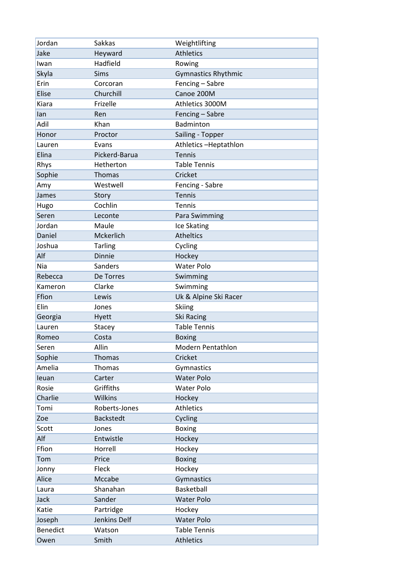| Jordan   | <b>Sakkas</b>    | Weightlifting              |
|----------|------------------|----------------------------|
| Jake     | Heyward          | <b>Athletics</b>           |
| Iwan     | Hadfield         | Rowing                     |
| Skyla    | <b>Sims</b>      | <b>Gymnastics Rhythmic</b> |
| Erin     | Corcoran         | Fencing - Sabre            |
| Elise    | Churchill        | Canoe 200M                 |
| Kiara    | Frizelle         | Athletics 3000M            |
| lan      | Ren              | Fencing - Sabre            |
| Adil     | Khan             | Badminton                  |
| Honor    | Proctor          | Sailing - Topper           |
| Lauren   | Evans            | Athletics-Heptathlon       |
| Elina    | Pickerd-Barua    | <b>Tennis</b>              |
| Rhys     | Hetherton        | <b>Table Tennis</b>        |
| Sophie   | Thomas           | Cricket                    |
| Amy      | Westwell         | Fencing - Sabre            |
| James    | Story            | <b>Tennis</b>              |
| Hugo     | Cochlin          | <b>Tennis</b>              |
| Seren    | Leconte          | Para Swimming              |
| Jordan   | Maule            | Ice Skating                |
| Daniel   | Mckerlich        | <b>Atheltics</b>           |
| Joshua   | <b>Tarling</b>   | Cycling                    |
| Alf      | <b>Dinnie</b>    | Hockey                     |
| Nia      | Sanders          | <b>Water Polo</b>          |
| Rebecca  | De Torres        | Swimming                   |
| Kameron  | Clarke           | Swimming                   |
| Ffion    | Lewis            | Uk & Alpine Ski Racer      |
| Elin     | Jones            | <b>Skiing</b>              |
| Georgia  | Hyett            | Ski Racing                 |
| Lauren   | Stacey           | <b>Table Tennis</b>        |
| Romeo    | Costa            | <b>Boxing</b>              |
| Seren    | Allin            | Modern Pentathlon          |
| Sophie   | Thomas           | Cricket                    |
| Amelia   | Thomas           | Gymnastics                 |
| leuan    | Carter           | <b>Water Polo</b>          |
| Rosie    | Griffiths        | <b>Water Polo</b>          |
| Charlie  | Wilkins          | Hockey                     |
| Tomi     | Roberts-Jones    | <b>Athletics</b>           |
| Zoe      | <b>Backstedt</b> | Cycling                    |
| Scott    | Jones            | <b>Boxing</b>              |
| Alf      | Entwistle        | Hockey                     |
| Ffion    | Horrell          | Hockey                     |
| Tom      | Price            | <b>Boxing</b>              |
| Jonny    | Fleck            | Hockey                     |
| Alice    | Mccabe           | Gymnastics                 |
| Laura    | Shanahan         | Basketball                 |
| Jack     | Sander           | <b>Water Polo</b>          |
| Katie    | Partridge        | Hockey                     |
| Joseph   | Jenkins Delf     | <b>Water Polo</b>          |
| Benedict | Watson           | <b>Table Tennis</b>        |
| Owen     | Smith            | <b>Athletics</b>           |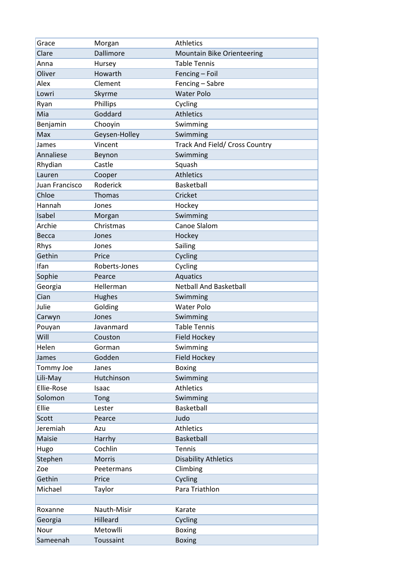| Grace          | Morgan        | <b>Athletics</b>               |
|----------------|---------------|--------------------------------|
| Clare          | Dallimore     | Mountain Bike Orienteering     |
| Anna           | Hursey        | <b>Table Tennis</b>            |
| Oliver         | Howarth       | Fencing - Foil                 |
| Alex           | Clement       | Fencing - Sabre                |
| Lowri          | Skyrme        | <b>Water Polo</b>              |
| Ryan           | Phillips      | Cycling                        |
| Mia            | Goddard       | <b>Athletics</b>               |
| Benjamin       | Chooyin       | Swimming                       |
| Max            | Geysen-Holley | Swimming                       |
| James          | Vincent       | Track And Field/ Cross Country |
| Annaliese      | Beynon        | Swimming                       |
| Rhydian        | Castle        | Squash                         |
| Lauren         | Cooper        | <b>Athletics</b>               |
| Juan Francisco | Roderick      | Basketball                     |
| Chloe          | <b>Thomas</b> | Cricket                        |
| Hannah         | Jones         | Hockey                         |
| Isabel         | Morgan        | Swimming                       |
| Archie         | Christmas     | <b>Canoe Slalom</b>            |
| Becca          | Jones         | Hockey                         |
| Rhys           | Jones         | Sailing                        |
| Gethin         | Price         | Cycling                        |
| Ifan           | Roberts-Jones | Cycling                        |
| Sophie         | Pearce        | Aquatics                       |
| Georgia        | Hellerman     | <b>Netball And Basketball</b>  |
| Cian           | <b>Hughes</b> | Swimming                       |
| Julie          | Golding       | <b>Water Polo</b>              |
| Carwyn         | Jones         | Swimming                       |
| Pouyan         | Javanmard     | <b>Table Tennis</b>            |
| Will           | Couston       | Field Hockey                   |
| Helen          | Gorman        | Swimming                       |
| James          | Godden        | Field Hockey                   |
| Tommy Joe      | Janes         | <b>Boxing</b>                  |
| Lili-May       | Hutchinson    | Swimming                       |
| Ellie-Rose     | Isaac         | <b>Athletics</b>               |
| Solomon        | Tong          | Swimming                       |
| Ellie          | Lester        | Basketball                     |
| Scott          | Pearce        | Judo                           |
| Jeremiah       | Azu           | Athletics                      |
| Maisie         | Harrhy        | Basketball                     |
| Hugo           | Cochlin       | <b>Tennis</b>                  |
| Stephen        | <b>Morris</b> | <b>Disability Athletics</b>    |
| Zoe            | Peetermans    | Climbing                       |
| Gethin         | Price         | Cycling                        |
| Michael        | Taylor        | Para Triathlon                 |
|                |               |                                |
| Roxanne        | Nauth-Misir   | Karate                         |
| Georgia        | Hilleard      | Cycling                        |
| Nour           | Metowlli      | <b>Boxing</b>                  |
| Sameenah       | Toussaint     | <b>Boxing</b>                  |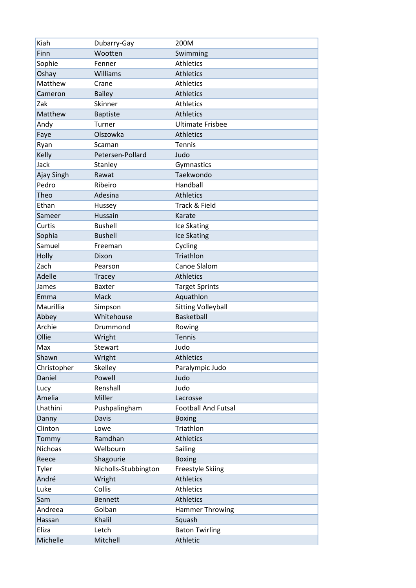| Kiah           | Dubarry-Gay          | 200M                       |
|----------------|----------------------|----------------------------|
| Finn           | Wootten              | Swimming                   |
| Sophie         | Fenner               | <b>Athletics</b>           |
| Oshay          | Williams             | <b>Athletics</b>           |
| Matthew        | Crane                | <b>Athletics</b>           |
| Cameron        | <b>Bailey</b>        | <b>Athletics</b>           |
| Zak            | Skinner              | <b>Athletics</b>           |
| Matthew        | <b>Baptiste</b>      | <b>Athletics</b>           |
| Andy           | Turner               | <b>Ultimate Frisbee</b>    |
| Faye           | Olszowka             | <b>Athletics</b>           |
| Ryan           | Scaman               | Tennis                     |
| Kelly          | Petersen-Pollard     | Judo                       |
| Jack           | Stanley              | Gymnastics                 |
| Ajay Singh     | Rawat                | Taekwondo                  |
| Pedro          | Ribeiro              | Handball                   |
| Theo           | Adesina              | <b>Athletics</b>           |
| Ethan          | Hussey               | Track & Field              |
| Sameer         | Hussain              | Karate                     |
| Curtis         | <b>Bushell</b>       | Ice Skating                |
| Sophia         | <b>Bushell</b>       | Ice Skating                |
| Samuel         | Freeman              | Cycling                    |
| Holly          | Dixon                | Triathlon                  |
| Zach           | Pearson              | Canoe Slalom               |
| Adelle         | <b>Tracey</b>        | <b>Athletics</b>           |
| James          | <b>Baxter</b>        | <b>Target Sprints</b>      |
| Emma           | Mack                 | Aquathlon                  |
| Maurillia      | Simpson              | <b>Sitting Volleyball</b>  |
| Abbey          | Whitehouse           | <b>Basketball</b>          |
| Archie         | Drummond             | Rowing                     |
| Ollie          | Wright               | <b>Tennis</b>              |
| Max            | Stewart              | Judo                       |
| Shawn          | Wright               | <b>Athletics</b>           |
| Christopher    | Skelley              | Paralympic Judo            |
| Daniel         | Powell               | Judo                       |
| Lucy           | Renshall             | Judo                       |
| Amelia         | Miller               | Lacrosse                   |
| Lhathini       | Pushpalingham        | <b>Football And Futsal</b> |
| Danny          | Davis                | <b>Boxing</b>              |
| Clinton        | Lowe                 | Triathlon                  |
| Tommy          | Ramdhan              | <b>Athletics</b>           |
| <b>Nichoas</b> | Welbourn             | Sailing                    |
| Reece          | Shagourie            | <b>Boxing</b>              |
| Tyler          | Nicholls-Stubbington | Freestyle Skiing           |
| André          | Wright               | <b>Athletics</b>           |
| Luke           | Collis               | <b>Athletics</b>           |
| Sam            | <b>Bennett</b>       | <b>Athletics</b>           |
| Andreea        | Golban               | <b>Hammer Throwing</b>     |
| Hassan         | Khalil               | Squash                     |
| Eliza          | Letch                | <b>Baton Twirling</b>      |
| Michelle       | Mitchell             | Athletic                   |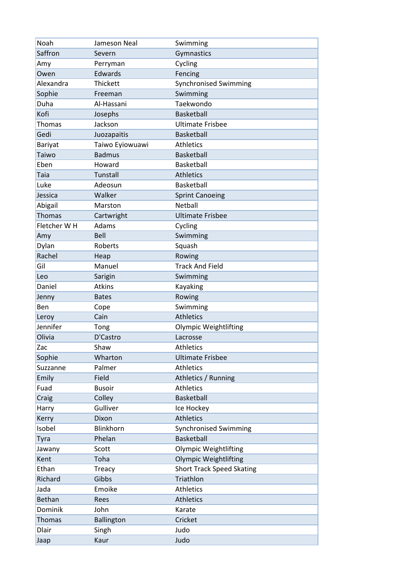| Noah           | Jameson Neal      | Swimming                         |
|----------------|-------------------|----------------------------------|
| Saffron        | Severn            | Gymnastics                       |
| Amy            | Perryman          | Cycling                          |
| Owen           | Edwards           | Fencing                          |
| Alexandra      | Thickett          | <b>Synchronised Swimming</b>     |
| Sophie         | Freeman           | Swimming                         |
| Duha           | Al-Hassani        | Taekwondo                        |
| Kofi           | Josephs           | <b>Basketball</b>                |
| <b>Thomas</b>  | Jackson           | <b>Ultimate Frisbee</b>          |
| Gedi           | Juozapaitis       | <b>Basketball</b>                |
| Bariyat        | Taiwo Eyiowuawi   | <b>Athletics</b>                 |
| Taiwo          | <b>Badmus</b>     | Basketball                       |
| Eben           | Howard            | Basketball                       |
| Taia           | Tunstall          | <b>Athletics</b>                 |
| Luke           | Adeosun           | Basketball                       |
| Jessica        | Walker            | <b>Sprint Canoeing</b>           |
| Abigail        | Marston           | Netball                          |
| <b>Thomas</b>  | Cartwright        | <b>Ultimate Frisbee</b>          |
| Fletcher W H   | Adams             | Cycling                          |
| Amy            | Bell              | Swimming                         |
| Dylan          | Roberts           | Squash                           |
| Rachel         | Heap              | Rowing                           |
| Gil            | Manuel            | <b>Track And Field</b>           |
| Leo            | Sarigin           | Swimming                         |
| Daniel         | <b>Atkins</b>     | Kayaking                         |
| Jenny          | <b>Bates</b>      | Rowing                           |
| Ben            | Cope              | Swimming                         |
| Leroy          | Cain              | <b>Athletics</b>                 |
| Jennifer       | Tong              | <b>Olympic Weightlifting</b>     |
| Olivia         | D'Castro          | Lacrosse                         |
| Zac            | Shaw              | Athletics                        |
| Sophie         | Wharton           | <b>Ultimate Frisbee</b>          |
| Suzzanne       | Palmer            | <b>Athletics</b>                 |
| Emily          | Field             | Athletics / Running              |
| Fuad           | <b>Busoir</b>     | <b>Athletics</b>                 |
| Craig          | Colley            | Basketball                       |
| Harry          | Gulliver          | Ice Hockey                       |
| Kerry          | Dixon             | <b>Athletics</b>                 |
| Isobel         | Blinkhorn         | Synchronised Swimming            |
|                | Phelan            | <b>Basketball</b>                |
| Tyra           | Scott             |                                  |
| Jawany<br>Kent |                   | <b>Olympic Weightlifting</b>     |
|                | Toha              | <b>Olympic Weightlifting</b>     |
| Ethan          | Treacy            | <b>Short Track Speed Skating</b> |
| Richard        | Gibbs             | Triathlon                        |
| Jada           | Emoike            | <b>Athletics</b>                 |
| <b>Bethan</b>  | Rees              | <b>Athletics</b>                 |
| Dominik        | John              | Karate                           |
| <b>Thomas</b>  | <b>Ballington</b> | Cricket                          |
| <b>Dlair</b>   | Singh             | Judo                             |
| Jaap           | Kaur              | Judo                             |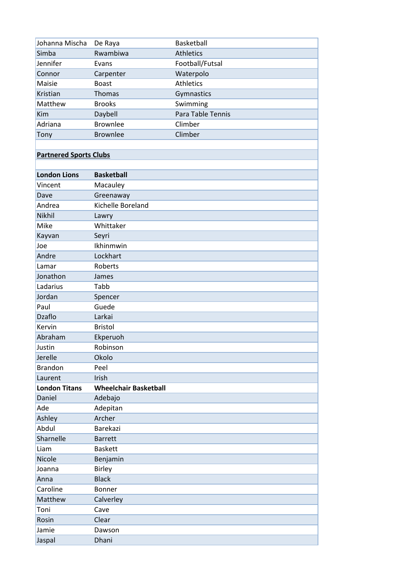| Johanna Mischa                | De Raya                      | Basketball        |
|-------------------------------|------------------------------|-------------------|
| Simba                         | Rwambiwa                     | <b>Athletics</b>  |
| Jennifer                      | Evans                        | Football/Futsal   |
| Connor                        | Carpenter                    | Waterpolo         |
| Maisie                        | <b>Boast</b>                 | Athletics         |
| Kristian                      | <b>Thomas</b>                | Gymnastics        |
| Matthew                       | <b>Brooks</b>                | Swimming          |
| Kim                           | Daybell                      | Para Table Tennis |
| Adriana                       | <b>Brownlee</b>              | Climber           |
| Tony                          | <b>Brownlee</b>              | Climber           |
|                               |                              |                   |
| <b>Partnered Sports Clubs</b> |                              |                   |
|                               |                              |                   |
| <b>London Lions</b>           | <b>Basketball</b>            |                   |
| Vincent                       | Macauley                     |                   |
| Dave                          | Greenaway                    |                   |
| Andrea                        | Kichelle Boreland            |                   |
| Nikhil                        | Lawry                        |                   |
| Mike                          | Whittaker                    |                   |
| Kayvan                        | Seyri                        |                   |
| Joe                           | Ikhinmwin                    |                   |
| Andre                         | Lockhart                     |                   |
| Lamar                         | Roberts                      |                   |
| Jonathon                      | James                        |                   |
| Ladarius                      | Tabb                         |                   |
| Jordan                        |                              |                   |
| Paul                          | Spencer<br>Guede             |                   |
| <b>Dzaflo</b>                 | Larkai                       |                   |
| Kervin                        |                              |                   |
|                               | <b>Bristol</b>               |                   |
| Abraham                       | Ekperuoh                     |                   |
| Justin                        | Robinson                     |                   |
| Jerelle                       | Okolo                        |                   |
| <b>Brandon</b>                | Peel                         |                   |
| Laurent                       | Irish                        |                   |
| <b>London Titans</b>          | <b>Wheelchair Basketball</b> |                   |
| Daniel                        | Adebajo                      |                   |
| Ade                           | Adepitan                     |                   |
| Ashley                        | Archer                       |                   |
| Abdul                         | Barekazi                     |                   |
| Sharnelle                     | <b>Barrett</b>               |                   |
| Liam                          | <b>Baskett</b>               |                   |
| Nicole                        | Benjamin                     |                   |
| Joanna                        | <b>Birley</b>                |                   |
| Anna                          | <b>Black</b>                 |                   |
| Caroline                      | Bonner                       |                   |
| Matthew                       | Calverley                    |                   |
| Toni                          | Cave                         |                   |
| Rosin                         | Clear                        |                   |
| Jamie                         | Dawson                       |                   |
| Jaspal                        | Dhani                        |                   |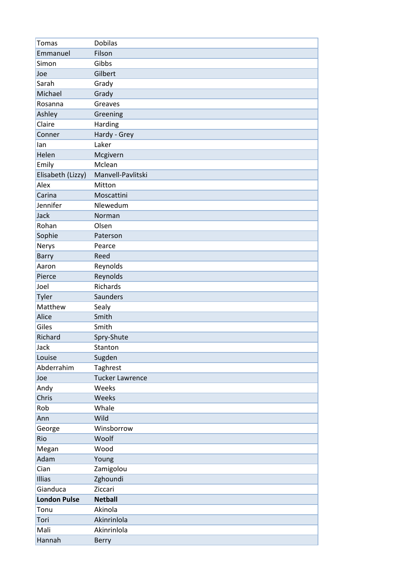| <b>Tomas</b>        | <b>Dobilas</b>         |
|---------------------|------------------------|
| Emmanuel            | Filson                 |
| Simon               | Gibbs                  |
| Joe                 | Gilbert                |
| Sarah               | Grady                  |
| Michael             | Grady                  |
| Rosanna             | Greaves                |
| Ashley              | Greening               |
| Claire              | Harding                |
| Conner              | Hardy - Grey           |
| lan                 | Laker                  |
| Helen               | Mcgivern               |
| Emily               | Mclean                 |
| Elisabeth (Lizzy)   | Manvell-Pavlitski      |
| Alex                | Mitton                 |
| Carina              | Moscattini             |
| Jennifer            | Nlewedum               |
| Jack                | Norman                 |
| Rohan               | Olsen                  |
| Sophie              | Paterson               |
| Nerys               | Pearce                 |
| <b>Barry</b>        | Reed                   |
| Aaron               | Reynolds               |
| Pierce              | Reynolds               |
| Joel                | Richards               |
| Tyler               | Saunders               |
| Matthew             | Sealy                  |
| Alice               | Smith                  |
| Giles               | Smith                  |
| Richard             | Spry-Shute             |
| Jack                | Stanton                |
| Louise              | Sugden                 |
| Abderrahim          | Taghrest               |
| Joe                 | <b>Tucker Lawrence</b> |
| Andy                | Weeks                  |
| Chris               | Weeks                  |
| Rob                 | Whale                  |
| Ann                 | Wild                   |
| George              | Winsborrow             |
| Rio                 | Woolf                  |
| Megan               | Wood                   |
| Adam                | Young                  |
| Cian                | Zamigolou              |
| Illias              | Zghoundi               |
| Gianduca            | Ziccari                |
| <b>London Pulse</b> | <b>Netball</b>         |
| Tonu                | Akinola                |
| Tori                | Akinrinlola            |
| Mali                | Akinrinlola            |
| Hannah              | <b>Berry</b>           |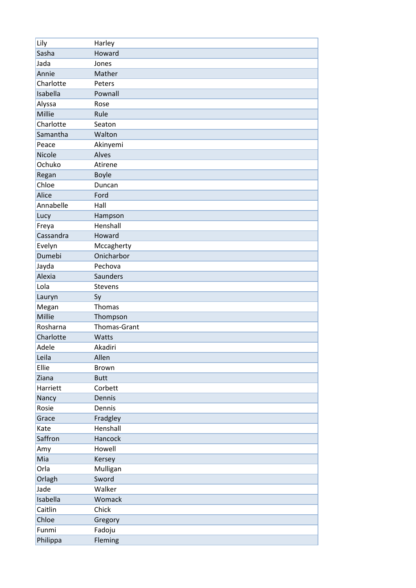| Lily      | Harley       |
|-----------|--------------|
| Sasha     | Howard       |
| Jada      | Jones        |
| Annie     | Mather       |
| Charlotte | Peters       |
| Isabella  | Pownall      |
| Alyssa    | Rose         |
| Millie    | Rule         |
| Charlotte | Seaton       |
| Samantha  | Walton       |
| Peace     | Akinyemi     |
| Nicole    | Alves        |
| Ochuko    | Atirene      |
| Regan     | <b>Boyle</b> |
| Chloe     | Duncan       |
| Alice     | Ford         |
| Annabelle | Hall         |
| Lucy      | Hampson      |
| Freya     | Henshall     |
| Cassandra | Howard       |
| Evelyn    | Mccagherty   |
| Dumebi    | Onicharbor   |
| Jayda     | Pechova      |
| Alexia    | Saunders     |
| Lola      | Stevens      |
| Lauryn    | Sy           |
| Megan     | Thomas       |
| Millie    | Thompson     |
| Rosharna  | Thomas-Grant |
| Charlotte | Watts        |
| Adele     | Akadiri      |
| Leila     | Allen        |
| Ellie     | Brown        |
| Ziana     | <b>Butt</b>  |
| Harriett  | Corbett      |
| Nancy     | Dennis       |
| Rosie     | Dennis       |
| Grace     | Fradgley     |
| Kate      | Henshall     |
| Saffron   | Hancock      |
| Amy       | Howell       |
| Mia       | Kersey       |
| Orla      | Mulligan     |
| Orlagh    | Sword        |
| Jade      | Walker       |
| Isabella  | Womack       |
| Caitlin   | Chick        |
| Chloe     | Gregory      |
| Funmi     | Fadoju       |
| Philippa  | Fleming      |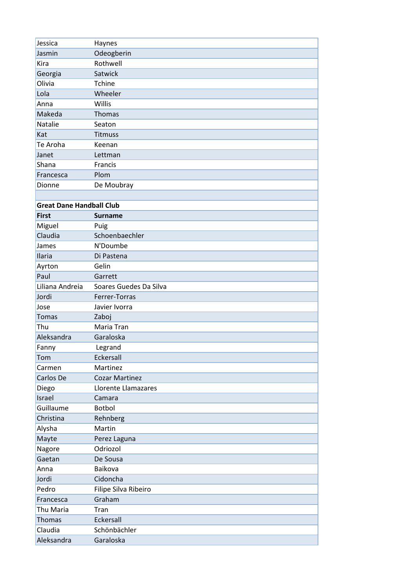| Jessica                         | Haynes                 |
|---------------------------------|------------------------|
| Jasmin                          | Odeogberin             |
| Kira                            | Rothwell               |
| Georgia                         | Satwick                |
| Olivia                          | <b>Tchine</b>          |
| Lola                            | Wheeler                |
| Anna                            | Willis                 |
| Makeda                          | Thomas                 |
| Natalie                         | Seaton                 |
| Kat                             | <b>Titmuss</b>         |
| Te Aroha                        | Keenan                 |
| Janet                           | Lettman                |
| Shana                           | Francis                |
| Francesca                       | Plom                   |
| Dionne                          | De Moubray             |
|                                 |                        |
| <b>Great Dane Handball Club</b> |                        |
| <b>First</b>                    | <b>Surname</b>         |
| Miguel                          | Puig                   |
| Claudia                         | Schoenbaechler         |
| James                           | N'Doumbe               |
| Ilaria                          | Di Pastena             |
| Ayrton                          | Gelin                  |
| Paul                            | Garrett                |
| Liliana Andreia                 | Soares Guedes Da Silva |
| Jordi                           | Ferrer-Torras          |
| Jose                            | Javier Ivorra          |
| <b>Tomas</b>                    | Zaboj                  |
| Thu                             | Maria Tran             |
| Aleksandra                      | Garaloska              |
| Fanny                           | Legrand                |
| Tom                             | Eckersall              |
| Carmen                          | Martinez               |
| Carlos De                       | <b>Cozar Martinez</b>  |
| Diego                           | Llorente Llamazares    |
| Israel                          | Camara                 |
| Guillaume                       | Botbol                 |
| Christina                       | Rehnberg               |
| Alysha                          | Martin                 |
| Mayte                           | Perez Laguna           |
| Nagore                          | Odriozol               |
| Gaetan                          | De Sousa               |
| Anna                            | Baikova                |
| Jordi                           | Cidoncha               |
| Pedro                           | Filipe Silva Ribeiro   |
| Francesca                       | Graham                 |
| Thu Maria                       | Tran                   |
| Thomas                          | Eckersall              |
| Claudia                         | Schönbächler           |
| Aleksandra                      | Garaloska              |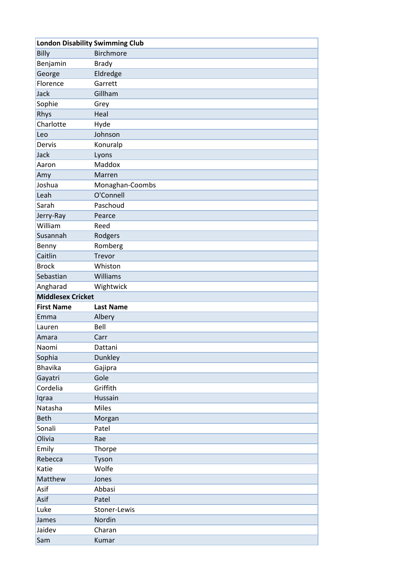| <b>London Disability Swimming Club</b> |                  |
|----------------------------------------|------------------|
| Billy                                  | <b>Birchmore</b> |
| Benjamin                               | <b>Brady</b>     |
| George                                 | Eldredge         |
| Florence                               | Garrett          |
| Jack                                   | Gillham          |
| Sophie                                 | Grey             |
| Rhys                                   | Heal             |
| Charlotte                              | Hyde             |
| Leo                                    | Johnson          |
| Dervis                                 | Konuralp         |
| Jack                                   | Lyons            |
| Aaron                                  | Maddox           |
| Amy                                    | Marren           |
| Joshua                                 | Monaghan-Coombs  |
| Leah                                   | O'Connell        |
| Sarah                                  | Paschoud         |
| Jerry-Ray                              | Pearce           |
| William                                | Reed             |
| Susannah                               | Rodgers          |
| Benny                                  | Romberg          |
| Caitlin                                | Trevor           |
| <b>Brock</b>                           | Whiston          |
| Sebastian                              | Williams         |
| Angharad                               | Wightwick        |
| <b>Middlesex Cricket</b>               |                  |
| <b>First Name</b>                      | <b>Last Name</b> |
| Emma                                   | Albery           |
| Lauren                                 | Bell             |
| Amara                                  | Carr             |
| Naomi                                  | Dattani          |
| Sophia                                 | Dunkley          |
| <b>Bhavika</b>                         | Gajipra          |
| Gayatri                                | Gole             |
| Cordelia                               | Griffith         |
| Iqraa                                  | Hussain          |
| Natasha                                | <b>Miles</b>     |
| Beth                                   | Morgan           |
| Sonali                                 | Patel            |
| Olivia                                 | Rae              |
| Emily                                  | Thorpe           |
| Rebecca                                | Tyson            |
| Katie                                  | Wolfe            |
| Matthew                                | Jones            |
| Asif                                   | Abbasi           |
| Asif                                   | Patel            |
| Luke                                   | Stoner-Lewis     |
|                                        |                  |
| James                                  | Nordin           |
| Jaidev                                 | Charan           |